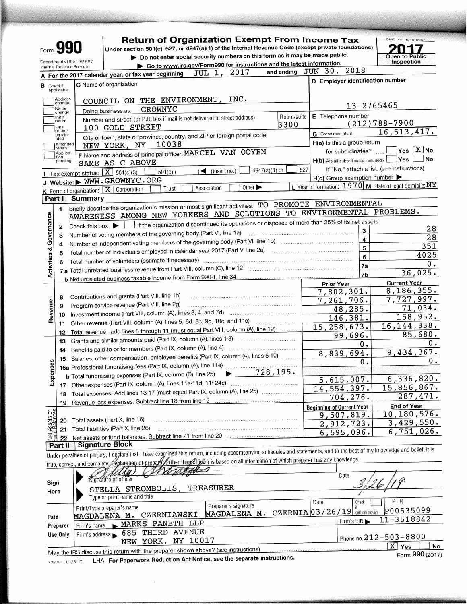|                         | <b>Form 990</b>             |                                                        | <b>Return of Organization Exempt From Income Tax</b><br>Under section 501(c), 527, or 4947(a)(1) of the Internal Revenue Code (except private foundations)                  |                                    |                   | OMB No. 1545-0047                                                                              |
|-------------------------|-----------------------------|--------------------------------------------------------|-----------------------------------------------------------------------------------------------------------------------------------------------------------------------------|------------------------------------|-------------------|------------------------------------------------------------------------------------------------|
|                         |                             |                                                        | Do not enter social security numbers on this form as it may be made public.                                                                                                 |                                    |                   | <b>Open to Public</b>                                                                          |
|                         |                             | Department of the Treasury<br>Internal Revenue Service | Go to www.irs.gov/Form990 for instructions and the latest information.                                                                                                      |                                    |                   | Inspection                                                                                     |
|                         |                             |                                                        | JUL 1, 2017<br>A For the 2017 calendar year, or tax year beginning                                                                                                          | and ending JUN 30, 2018            |                   |                                                                                                |
| <b>B</b> Check if       | applicable:                 |                                                        | C Name of organization                                                                                                                                                      |                                    |                   | D Employer identification number                                                               |
|                         | Address<br>change           |                                                        | COUNCIL ON THE ENVIRONMENT, INC.                                                                                                                                            |                                    | 13-2765465        |                                                                                                |
|                         | Name<br>change              |                                                        | GROWNYC<br>Doing business as                                                                                                                                                | E Telephone number                 |                   |                                                                                                |
|                         | Initial<br>return           |                                                        | Room/suite<br>Number and street (or P.O. box if mail is not delivered to street address)<br>3300                                                                            |                                    |                   | $(212)788 - 7900$                                                                              |
|                         | Final<br>return/<br>termin- |                                                        | 100 GOLD STREET                                                                                                                                                             | G Gross receipts \$                |                   | $16, 5\overline{13}, \overline{417}$ .                                                         |
|                         | ated<br>Amended             |                                                        | City or town, state or province, country, and ZIP or foreign postal code<br>10038                                                                                           | H(a) is this a group return        |                   |                                                                                                |
|                         | return<br>Applica-<br>tion  |                                                        | NEW YORK, NY<br>F Name and address of principal officer: MARCEL VAN OOYEN                                                                                                   |                                    | for subordinates? | $\sqrt{}$ Yes $\sqrt{X}$ No<br>l No                                                            |
|                         | pending                     |                                                        | SAME AS C ABOVE                                                                                                                                                             |                                    |                   | $H(b)$ Are all subordinates included? $\Box$ Yes<br>If "No," attach a list. (see instructions) |
|                         |                             |                                                        | $4947(a)(1)$ or<br>$\blacktriangleleft$ (insert no.)<br>$\sqrt{1 - \text{Tax-exempt status}:}$ $\boxed{\textbf{X}}$ 501(c)(3)<br>$501(c)$ (                                 | 527<br>H(c) Group exemption number |                   |                                                                                                |
|                         |                             |                                                        | J Website: WWW.GROWNYC.ORG<br>Other $\blacktriangleright$                                                                                                                   |                                    |                   | L Year of formation: 1970   M State of legal domicile: NY                                      |
|                         |                             |                                                        | Association<br>K Form of organization: X Corporation<br>Trust                                                                                                               |                                    |                   |                                                                                                |
|                         | Part II                     | Summary                                                | Briefly describe the organization's mission or most significant activities: TO PROMOTE ENVIRONMENTAL                                                                        |                                    |                   |                                                                                                |
|                         | 1.                          |                                                        | AWARENESS AMONG NEW YORKERS AND SOLUTIONS TO ENVIRONMENTAL PROBLEMS.                                                                                                        |                                    |                   |                                                                                                |
| Governance              |                             |                                                        | $\mid$ if the organization discontinued its operations or disposed of more than 25% of its net assets.                                                                      |                                    |                   |                                                                                                |
|                         | 2                           | Check this box $\blacktriangleright$                   | Number of voting members of the governing body (Part VI, line 1a)                                                                                                           |                                    | з                 | 28                                                                                             |
|                         | з                           |                                                        | Number of independent voting members of the governing body (Part VI, line 1b) [11] manufactured in the Number                                                               |                                    | 4                 | 28                                                                                             |
|                         | 5                           |                                                        | Total number of individuals employed in calendar year 2017 (Part V, line 2a) manufactured in the manufactured                                                               |                                    | 5                 | 351                                                                                            |
|                         |                             |                                                        |                                                                                                                                                                             |                                    | 6                 | 4025<br>0.                                                                                     |
| <b>Activities &amp;</b> |                             |                                                        | 7 a Total unrelated business revenue from Part VIII, column (C), line 12 [11] [12] [11] Total unrelated business revenue from Part VIII, column (C), line 12                |                                    | 7a                | 36,025.                                                                                        |
|                         |                             |                                                        |                                                                                                                                                                             |                                    | 7b                | <b>Current Year</b>                                                                            |
|                         |                             |                                                        |                                                                                                                                                                             | <b>Prior Year</b><br>7,802,301.    |                   | 8,186,355.                                                                                     |
|                         | 8                           |                                                        |                                                                                                                                                                             | $7,261,706$ .                      |                   | 7,727,997.                                                                                     |
| Revenue                 | 9                           |                                                        | Program service revenue (Part VIII, line 2g)                                                                                                                                |                                    | 48,285.           | 71,034.                                                                                        |
|                         | 10                          |                                                        |                                                                                                                                                                             |                                    | 146,381.          | 158,952.                                                                                       |
|                         | 11                          |                                                        | Other revenue (Part VIII, column (A), lines 5, 6d, 8c, 9c, 10c, and 11e)<br>Total revenue - add lines 8 through 11 (must equal Part VIII, column (A), line 12)              | 15, 258, 673.                      |                   | 16, 144, 338.                                                                                  |
|                         | 12                          |                                                        | Grants and similar amounts paid (Part IX, column (A), lines 1-3) <i></i>                                                                                                    |                                    | 99,696.           | 85,680.                                                                                        |
|                         | 13<br>14                    |                                                        |                                                                                                                                                                             |                                    | 0.                | ο.                                                                                             |
|                         | 15                          |                                                        | Salaries, other compensation, employee benefits (Part IX, column (A), lines 5-10)                                                                                           | 8,839,694.                         |                   | 9,434,367.                                                                                     |
| ses                     |                             |                                                        |                                                                                                                                                                             |                                    | о.                | Ο.                                                                                             |
|                         |                             |                                                        | $-728, 195.$<br><b>b</b> Total fundraising expenses (Part IX, column (D), line 25)                                                                                          |                                    |                   | 6,336,820.                                                                                     |
| Exper                   | 17                          |                                                        |                                                                                                                                                                             |                                    | 5,615,007.        | 15,856,867.                                                                                    |
|                         | 18                          |                                                        | Total expenses. Add lines 13-17 (must equal Part IX, column (A), line 25)                                                                                                   | 14,554,397.                        | 704,276.          | 287,471.                                                                                       |
|                         | 19                          |                                                        | Revenue less expenses. Subtract line 18 from line 12                                                                                                                        | <b>Beginning of Current Year</b>   |                   | End of Year                                                                                    |
| sets or<br>alances      |                             |                                                        |                                                                                                                                                                             |                                    | 9,507,819.        | 10, 180, 576.                                                                                  |
|                         | 20                          |                                                        | Total assets (Part X, line 16)                                                                                                                                              |                                    | 2,912,723.        | 3,429,550.                                                                                     |
|                         | 21                          |                                                        | Total liabilities (Part X, line 26)<br>Net assets or fund balances. Subtract line 21 from line 20 manus and contain the set                                                 |                                    | 6,595,096         | 6,751,026.                                                                                     |
|                         | 22<br>Part II               |                                                        | <b>Signature Block</b>                                                                                                                                                      |                                    |                   |                                                                                                |
|                         |                             |                                                        | Under penalties of perjury, I deglare that I have exagnined this return, including accompanying schedules and statements, and to the best of my knowledge and belief, it is |                                    |                   |                                                                                                |
|                         |                             |                                                        | true, correct, and complete Gedaration of prepare/other than officer) is based on all information of which preparer has any knowledge.                                      |                                    |                   |                                                                                                |
|                         |                             |                                                        |                                                                                                                                                                             |                                    | Date              |                                                                                                |
| Sign                    |                             |                                                        | Signature of officer                                                                                                                                                        |                                    |                   |                                                                                                |
| Here                    |                             |                                                        | STELLA STROMBOLIS, TREASURER                                                                                                                                                |                                    |                   |                                                                                                |
|                         |                             |                                                        | Type or print name and title                                                                                                                                                | Date                               | Check             | PTIN                                                                                           |
|                         |                             |                                                        | Preparer's signature<br>Print/Type preparer's name<br>MAGDALENA M. CZERNIA 03/26/19 self-employed                                                                           |                                    |                   | P00535099                                                                                      |
| Paid                    |                             |                                                        | MAGDALENA M. CZERNIAWSKI                                                                                                                                                    |                                    | Firm's EIN        | $11 - 3518842$                                                                                 |
|                         | Preparer                    | Firm's name                                            | MARKS PANETH LLP<br>685 THIRD AVENUE                                                                                                                                        |                                    |                   |                                                                                                |
|                         | Use Only                    | Firm's address                                         | NY 10017<br>NEW YORK,                                                                                                                                                       |                                    |                   | Phone no. 212-503-8800                                                                         |
|                         |                             |                                                        | May the IRS discuss this return with the preparer shown above? (see instructions)                                                                                           |                                    |                   | $\boxed{\text{X}}$ Yes<br>No                                                                   |
|                         |                             |                                                        |                                                                                                                                                                             |                                    |                   | Form 990 (2017)                                                                                |

LHA For Paperwork Reduction Act Notice, see the separate instructions. 732001 11-28-17

**The Company of Company Company** 

Form 990 (2017)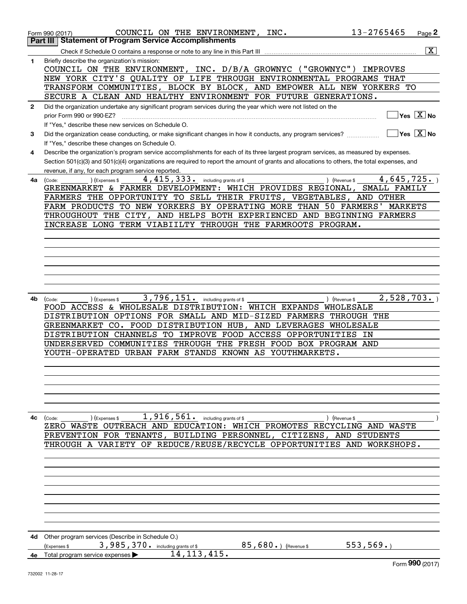|              | 13-2765465<br>COUNCIL ON THE ENVIRONMENT, INC.<br>Page 2<br>Form 990 (2017)                                                                            |
|--------------|--------------------------------------------------------------------------------------------------------------------------------------------------------|
|              | <b>Statement of Program Service Accomplishments</b><br>Part III                                                                                        |
|              | $\overline{\mathbf{x}}$<br>Check if Schedule O contains a response or note to any line in this Part III                                                |
| 1            | Briefly describe the organization's mission:<br>COUNCIL ON THE ENVIRONMENT, INC. D/B/A GROWNYC ("GROWNYC")<br>IMPROVES                                 |
|              | NEW YORK CITY'S QUALITY OF LIFE THROUGH ENVIRONMENTAL PROGRAMS THAT                                                                                    |
|              | TRANSFORM COMMUNITIES, BLOCK BY BLOCK, AND EMPOWER ALL NEW YORKERS TO                                                                                  |
|              | SECURE A CLEAN AND HEALTHY ENVIRONMENT FOR FUTURE GENERATIONS.                                                                                         |
| $\mathbf{2}$ | Did the organization undertake any significant program services during the year which were not listed on the                                           |
|              | $\overline{\ }$ Yes $\overline{\phantom{X}}$ No<br>prior Form 990 or 990-EZ?                                                                           |
|              | If "Yes," describe these new services on Schedule O.                                                                                                   |
| 3            | $\sqrt{}$ Yes $\sqrt{}$ X $\sqrt{}$ No<br>Did the organization cease conducting, or make significant changes in how it conducts, any program services? |
|              | If "Yes," describe these changes on Schedule O.                                                                                                        |
| 4            | Describe the organization's program service accomplishments for each of its three largest program services, as measured by expenses.                   |
|              | Section 501(c)(3) and 501(c)(4) organizations are required to report the amount of grants and allocations to others, the total expenses, and           |
|              | revenue, if any, for each program service reported.<br>4,645,725.<br>4, 415, 333. including grants of \$                                               |
| 4a           | ) (Revenue \$<br>(Expenses \$<br>(Code:<br>GREENMARKET & FARMER DEVELOPMENT: WHICH PROVIDES REGIONAL,<br>SMALL FAMILY                                  |
|              | FARMERS THE OPPORTUNITY TO SELL THEIR FRUITS, VEGETABLES, AND OTHER                                                                                    |
|              | FARM PRODUCTS TO NEW YORKERS BY OPERATING MORE THAN 50 FARMERS' MARKETS                                                                                |
|              | THROUGHOUT THE CITY, AND HELPS BOTH EXPERIENCED AND BEGINNING FARMERS                                                                                  |
|              | INCREASE LONG TERM VIABIILTY THROUGH THE FARMROOTS PROGRAM.                                                                                            |
|              |                                                                                                                                                        |
|              |                                                                                                                                                        |
|              |                                                                                                                                                        |
|              |                                                                                                                                                        |
|              |                                                                                                                                                        |
|              |                                                                                                                                                        |
|              |                                                                                                                                                        |
| 4b           | 3,796,151. including grants of \$<br>2,528,703.<br>) (Revenue \$<br>(Code:<br>(Expenses \$                                                             |
|              | FOOD ACCESS & WHOLESALE DISTRIBUTION: WHICH EXPANDS WHOLESALE<br>DISTRIBUTION OPTIONS FOR SMALL AND MID-SIZED FARMERS THROUGH THE                      |
|              | GREENMARKET CO. FOOD DISTRIBUTION HUB, AND LEVERAGES WHOLESALE                                                                                         |
|              | DISTRIBUTION CHANNELS TO IMPROVE FOOD ACCESS OPPORTUNITIES IN                                                                                          |
|              | UNDERSERVED COMMUNITIES THROUGH THE FRESH FOOD BOX PROGRAM AND                                                                                         |
|              | YOUTH-OPERATED URBAN FARM STANDS KNOWN AS YOUTHMARKETS.                                                                                                |
|              |                                                                                                                                                        |
|              |                                                                                                                                                        |
|              |                                                                                                                                                        |
|              |                                                                                                                                                        |
|              |                                                                                                                                                        |
|              |                                                                                                                                                        |
| 4с           | $1,916,561$ . including grants of \$<br>(Expenses \$<br>) (Revenue \$<br>(Code:                                                                        |
|              | ZERO WASTE OUTREACH AND EDUCATION: WHICH PROMOTES RECYCLING AND WASTE                                                                                  |
|              | PREVENTION FOR TENANTS, BUILDING PERSONNEL, CITIZENS, AND STUDENTS                                                                                     |
|              | THROUGH A VARIETY OF REDUCE/REUSE/RECYCLE OPPORTUNITIES AND WORKSHOPS.                                                                                 |
|              |                                                                                                                                                        |
|              |                                                                                                                                                        |
|              |                                                                                                                                                        |
|              |                                                                                                                                                        |
|              |                                                                                                                                                        |
|              |                                                                                                                                                        |
|              |                                                                                                                                                        |
|              |                                                                                                                                                        |
|              | 4d Other program services (Describe in Schedule O.)                                                                                                    |
|              | 3,985,370. including grants of \$<br>553, 569.<br>$85,680.$ (Revenue \$<br>(Expenses \$                                                                |
| 4е           | 14, 113, 415.<br>Total program service expenses >                                                                                                      |
|              | Form 990 (2017)                                                                                                                                        |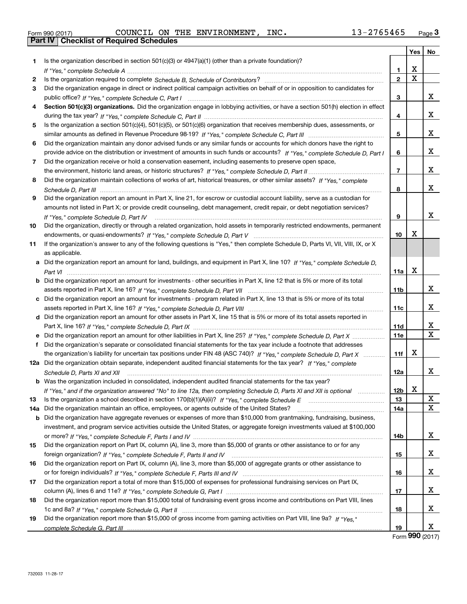732003 11-28-17

|     | 13-2765465<br>COUNCIL ON THE ENVIRONMENT, INC.<br>Form 990 (2017)                                                                                                                                                                                                                                                                                         |                 |             | <u>Page</u> 3 |
|-----|-----------------------------------------------------------------------------------------------------------------------------------------------------------------------------------------------------------------------------------------------------------------------------------------------------------------------------------------------------------|-----------------|-------------|---------------|
|     | <b>Part IV   Checklist of Required Schedules</b>                                                                                                                                                                                                                                                                                                          |                 |             |               |
|     |                                                                                                                                                                                                                                                                                                                                                           |                 | Yes         | No            |
| 1   | Is the organization described in section $501(c)(3)$ or $4947(a)(1)$ (other than a private foundation)?                                                                                                                                                                                                                                                   |                 |             |               |
|     |                                                                                                                                                                                                                                                                                                                                                           | 1               | х           |               |
| 2   |                                                                                                                                                                                                                                                                                                                                                           | $\overline{2}$  | $\mathbf X$ |               |
| 3   | Did the organization engage in direct or indirect political campaign activities on behalf of or in opposition to candidates for                                                                                                                                                                                                                           |                 |             |               |
|     |                                                                                                                                                                                                                                                                                                                                                           | 3               |             | x             |
|     | Section 501(c)(3) organizations. Did the organization engage in lobbying activities, or have a section 501(h) election in effect                                                                                                                                                                                                                          |                 |             |               |
|     |                                                                                                                                                                                                                                                                                                                                                           | 4               |             | x             |
| 5   | Is the organization a section 501(c)(4), 501(c)(5), or 501(c)(6) organization that receives membership dues, assessments, or                                                                                                                                                                                                                              |                 |             |               |
|     |                                                                                                                                                                                                                                                                                                                                                           | 5               |             | x             |
| 6   | Did the organization maintain any donor advised funds or any similar funds or accounts for which donors have the right to                                                                                                                                                                                                                                 |                 |             |               |
|     | provide advice on the distribution or investment of amounts in such funds or accounts? If "Yes," complete Schedule D, Part I                                                                                                                                                                                                                              | 6               |             | x             |
| 7   | Did the organization receive or hold a conservation easement, including easements to preserve open space,                                                                                                                                                                                                                                                 |                 |             |               |
|     |                                                                                                                                                                                                                                                                                                                                                           | $\overline{7}$  |             | x             |
| 8   | Did the organization maintain collections of works of art, historical treasures, or other similar assets? If "Yes," complete                                                                                                                                                                                                                              |                 |             |               |
|     |                                                                                                                                                                                                                                                                                                                                                           | 8               |             | x             |
| 9   | Did the organization report an amount in Part X, line 21, for escrow or custodial account liability, serve as a custodian for                                                                                                                                                                                                                             |                 |             |               |
|     | amounts not listed in Part X; or provide credit counseling, debt management, credit repair, or debt negotiation services?                                                                                                                                                                                                                                 |                 |             |               |
|     | If "Yes." complete Schedule D. Part IV                                                                                                                                                                                                                                                                                                                    | 9               |             | x             |
| 10  | Did the organization, directly or through a related organization, hold assets in temporarily restricted endowments, permanent                                                                                                                                                                                                                             |                 |             |               |
|     |                                                                                                                                                                                                                                                                                                                                                           | 10              | X           |               |
| 11  | If the organization's answer to any of the following questions is "Yes," then complete Schedule D, Parts VI, VII, VIII, IX, or X                                                                                                                                                                                                                          |                 |             |               |
|     | as applicable.                                                                                                                                                                                                                                                                                                                                            |                 |             |               |
|     | a Did the organization report an amount for land, buildings, and equipment in Part X, line 10? If "Yes," complete Schedule D.                                                                                                                                                                                                                             |                 |             |               |
|     |                                                                                                                                                                                                                                                                                                                                                           | 11a             | х           |               |
|     | <b>b</b> Did the organization report an amount for investments - other securities in Part X, line 12 that is 5% or more of its total                                                                                                                                                                                                                      |                 |             |               |
|     |                                                                                                                                                                                                                                                                                                                                                           | 11 <sub>b</sub> |             | x             |
|     | c Did the organization report an amount for investments - program related in Part X, line 13 that is 5% or more of its total                                                                                                                                                                                                                              |                 |             |               |
|     |                                                                                                                                                                                                                                                                                                                                                           | 11c             |             | x             |
|     | d Did the organization report an amount for other assets in Part X, line 15 that is 5% or more of its total assets reported in                                                                                                                                                                                                                            |                 |             |               |
|     |                                                                                                                                                                                                                                                                                                                                                           | 11d             |             | x             |
|     | e Did the organization report an amount for other liabilities in Part X, line 25? If "Yes," complete Schedule D, Part X                                                                                                                                                                                                                                   | 11e             |             | $\mathbf X$   |
| f   | Did the organization's separate or consolidated financial statements for the tax year include a footnote that addresses                                                                                                                                                                                                                                   |                 |             |               |
|     | the organization's liability for uncertain tax positions under FIN 48 (ASC 740)? If "Yes," complete Schedule D, Part X                                                                                                                                                                                                                                    | 11f             | х           |               |
|     | 12a Did the organization obtain separate, independent audited financial statements for the tax year? If "Yes," complete                                                                                                                                                                                                                                   |                 |             |               |
|     |                                                                                                                                                                                                                                                                                                                                                           | 12a             |             | х             |
|     | Schedule D, Parts XI and XII <i>measured and contact and all and all and All</i> and All and All and All and All and All and and and all and all and all and all and all and all and all and and all and all and all and all and al<br><b>b</b> Was the organization included in consolidated, independent audited financial statements for the tax year? |                 |             |               |
|     |                                                                                                                                                                                                                                                                                                                                                           |                 | х           |               |
|     | If "Yes," and if the organization answered "No" to line 12a, then completing Schedule D, Parts XI and XII is optional                                                                                                                                                                                                                                     | 12b<br>13       |             | х             |
| 13  | Did the organization maintain an office, employees, or agents outside of the United States?                                                                                                                                                                                                                                                               |                 |             | х             |
| 14a |                                                                                                                                                                                                                                                                                                                                                           | 14a             |             |               |
| b   | Did the organization have aggregate revenues or expenses of more than \$10,000 from grantmaking, fundraising, business,                                                                                                                                                                                                                                   |                 |             |               |
|     | investment, and program service activities outside the United States, or aggregate foreign investments valued at \$100,000                                                                                                                                                                                                                                |                 |             |               |
|     |                                                                                                                                                                                                                                                                                                                                                           | 14b             |             | x             |
| 15  | Did the organization report on Part IX, column (A), line 3, more than \$5,000 of grants or other assistance to or for any                                                                                                                                                                                                                                 |                 |             |               |
|     |                                                                                                                                                                                                                                                                                                                                                           | 15              |             | x             |
| 16  | Did the organization report on Part IX, column (A), line 3, more than \$5,000 of aggregate grants or other assistance to                                                                                                                                                                                                                                  |                 |             |               |
|     |                                                                                                                                                                                                                                                                                                                                                           | 16              |             | x             |
| 17  | Did the organization report a total of more than \$15,000 of expenses for professional fundraising services on Part IX,                                                                                                                                                                                                                                   |                 |             |               |
|     |                                                                                                                                                                                                                                                                                                                                                           | 17              |             | x             |
| 18  | Did the organization report more than \$15,000 total of fundraising event gross income and contributions on Part VIII, lines                                                                                                                                                                                                                              |                 |             |               |
|     |                                                                                                                                                                                                                                                                                                                                                           | 18              |             | х             |
| 19  | Did the organization report more than \$15,000 of gross income from gaming activities on Part VIII, line 9a? If "Yes."                                                                                                                                                                                                                                    |                 |             |               |
|     |                                                                                                                                                                                                                                                                                                                                                           | 19              |             | x             |

|--|

| COUNCIL ON THE |  |
|----------------|--|
|                |  |
|                |  |

| 19 Did the organization report more than \$15,000 of gross income from gaming activities on Part VIII, line 9a? If "Yes." |
|---------------------------------------------------------------------------------------------------------------------------|
|                                                                                                                           |

Form (2017) **990**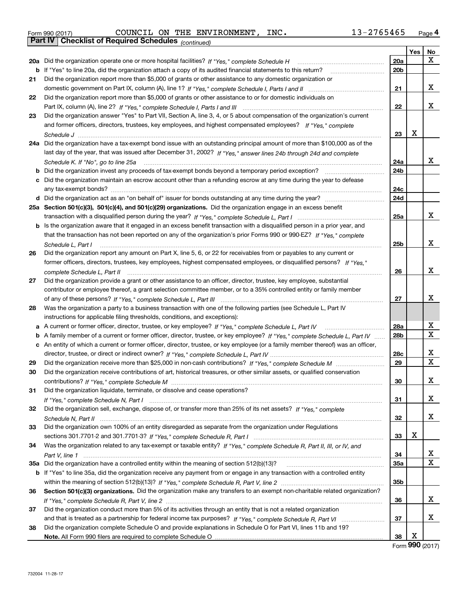| Form 990 (2017) |                                                              |  | COUNCIL ON THE ENVIRONMENT, | INC. | 13-2765465 | Page 4 |
|-----------------|--------------------------------------------------------------|--|-----------------------------|------|------------|--------|
|                 | <b>Part IV   Checklist of Required Schedules</b> (continued) |  |                             |      |            |        |

|     | Parl IV I<br>Criecklist of Required Scriedules (continued)                                                                        |                 |     |                             |
|-----|-----------------------------------------------------------------------------------------------------------------------------------|-----------------|-----|-----------------------------|
|     |                                                                                                                                   |                 | Yes | No                          |
|     | 20a Did the organization operate one or more hospital facilities? If "Yes," complete Schedule H                                   | 20a             |     | x                           |
| b   | If "Yes" to line 20a, did the organization attach a copy of its audited financial statements to this return?                      | 20 <sub>b</sub> |     |                             |
| 21  | Did the organization report more than \$5,000 of grants or other assistance to any domestic organization or                       |                 |     |                             |
|     |                                                                                                                                   | 21              |     | х                           |
| 22  | Did the organization report more than \$5,000 of grants or other assistance to or for domestic individuals on                     |                 |     |                             |
|     |                                                                                                                                   | 22              |     | х                           |
| 23  | Did the organization answer "Yes" to Part VII, Section A, line 3, 4, or 5 about compensation of the organization's current        |                 |     |                             |
|     | and former officers, directors, trustees, key employees, and highest compensated employees? If "Yes," complete                    |                 |     |                             |
|     |                                                                                                                                   | 23              | x   |                             |
| 24a | Did the organization have a tax-exempt bond issue with an outstanding principal amount of more than \$100,000 as of the           |                 |     |                             |
|     | last day of the year, that was issued after December 31, 2002? If "Yes," answer lines 24b through 24d and complete                |                 |     |                             |
|     | Schedule K. If "No", go to line 25a                                                                                               | 24a             |     | x                           |
| b   | Did the organization invest any proceeds of tax-exempt bonds beyond a temporary period exception?                                 | 24b             |     |                             |
| c   | Did the organization maintain an escrow account other than a refunding escrow at any time during the year to defease              | 24c             |     |                             |
|     |                                                                                                                                   | 24d             |     |                             |
|     | 25a Section 501(c)(3), 501(c)(4), and 501(c)(29) organizations. Did the organization engage in an excess benefit                  |                 |     |                             |
|     |                                                                                                                                   | 25a             |     | x                           |
|     | b Is the organization aware that it engaged in an excess benefit transaction with a disqualified person in a prior year, and      |                 |     |                             |
|     | that the transaction has not been reported on any of the organization's prior Forms 990 or 990-EZ? If "Yes," complete             |                 |     |                             |
|     | Schedule L. Part I                                                                                                                | 25b             |     | x                           |
| 26  | Did the organization report any amount on Part X, line 5, 6, or 22 for receivables from or payables to any current or             |                 |     |                             |
|     | former officers, directors, trustees, key employees, highest compensated employees, or disqualified persons? If "Yes."            |                 |     |                             |
|     | complete Schedule L, Part II                                                                                                      | 26              |     | х                           |
| 27  | Did the organization provide a grant or other assistance to an officer, director, trustee, key employee, substantial              |                 |     |                             |
|     | contributor or employee thereof, a grant selection committee member, or to a 35% controlled entity or family member               |                 |     |                             |
|     |                                                                                                                                   | 27              |     | x                           |
| 28  | Was the organization a party to a business transaction with one of the following parties (see Schedule L, Part IV                 |                 |     |                             |
|     | instructions for applicable filing thresholds, conditions, and exceptions):                                                       |                 |     |                             |
| а   | A current or former officer, director, trustee, or key employee? If "Yes," complete Schedule L, Part IV                           | 28a             |     | х                           |
|     | b A family member of a current or former officer, director, trustee, or key employee? If "Yes," complete Schedule L, Part IV      | 28 <sub>b</sub> |     | х                           |
|     | c An entity of which a current or former officer, director, trustee, or key employee (or a family member thereof) was an officer, |                 |     |                             |
|     |                                                                                                                                   | 28c             |     | х                           |
| 29  |                                                                                                                                   | 29              |     | X                           |
| 30  | Did the organization receive contributions of art, historical treasures, or other similar assets, or qualified conservation       |                 |     |                             |
|     |                                                                                                                                   | 30              |     | х                           |
| 31  | Did the organization liquidate, terminate, or dissolve and cease operations?                                                      |                 |     |                             |
|     |                                                                                                                                   | 31              |     | x                           |
| 32  | Did the organization sell, exchange, dispose of, or transfer more than 25% of its net assets? If "Yes," complete                  |                 |     |                             |
|     |                                                                                                                                   | 32              |     | x                           |
| 33  | Did the organization own 100% of an entity disregarded as separate from the organization under Regulations                        |                 |     |                             |
|     |                                                                                                                                   | 33              | X   |                             |
| 34  | Was the organization related to any tax-exempt or taxable entity? If "Yes," complete Schedule R, Part II, III, or IV, and         |                 |     |                             |
|     |                                                                                                                                   | 34              |     | х                           |
|     | 35a Did the organization have a controlled entity within the meaning of section 512(b)(13)?                                       | <b>35a</b>      |     | х                           |
|     | b If "Yes" to line 35a, did the organization receive any payment from or engage in any transaction with a controlled entity       |                 |     |                             |
|     |                                                                                                                                   | 35b             |     |                             |
| 36  | Section 501(c)(3) organizations. Did the organization make any transfers to an exempt non-charitable related organization?        |                 |     |                             |
|     |                                                                                                                                   | 36              |     | х                           |
| 37  | Did the organization conduct more than 5% of its activities through an entity that is not a related organization                  |                 |     |                             |
|     |                                                                                                                                   | 37              |     | x                           |
| 38  | Did the organization complete Schedule O and provide explanations in Schedule O for Part VI, lines 11b and 19?                    |                 |     |                             |
|     |                                                                                                                                   | 38              | х   |                             |
|     |                                                                                                                                   |                 |     | $F_{\text{arm}}$ 990 (2017) |

Form (2017) **990**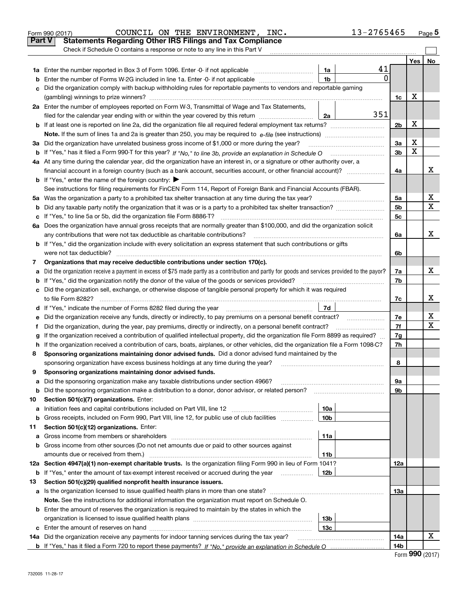|               | COUNCIL ON THE ENVIRONMENT, INC.<br>Form 990 (2017)                                                                                             |                 | 13-2765465 |                 |     | Page 5      |
|---------------|-------------------------------------------------------------------------------------------------------------------------------------------------|-----------------|------------|-----------------|-----|-------------|
| <b>Part V</b> | <b>Statements Regarding Other IRS Filings and Tax Compliance</b>                                                                                |                 |            |                 |     |             |
|               | Check if Schedule O contains a response or note to any line in this Part V                                                                      |                 |            |                 |     |             |
|               |                                                                                                                                                 |                 |            |                 | Yes | No          |
|               |                                                                                                                                                 | 1a              | 41         |                 |     |             |
| b             | Enter the number of Forms W-2G included in line 1a. Enter -0- if not applicable                                                                 | 1 <sub>b</sub>  | 0          |                 |     |             |
| с             | Did the organization comply with backup withholding rules for reportable payments to vendors and reportable gaming                              |                 |            |                 |     |             |
|               |                                                                                                                                                 |                 |            | 1c              | х   |             |
|               | 2a Enter the number of employees reported on Form W-3, Transmittal of Wage and Tax Statements,                                                  |                 |            |                 |     |             |
|               | filed for the calendar year ending with or within the year covered by this return                                                               | 2a              | 351        |                 |     |             |
|               |                                                                                                                                                 |                 |            | 2b              | х   |             |
|               |                                                                                                                                                 |                 |            |                 |     |             |
|               | 3a Did the organization have unrelated business gross income of \$1,000 or more during the year?                                                |                 |            | 3a              | х   |             |
|               |                                                                                                                                                 |                 |            | 3b              | X   |             |
|               | 4a At any time during the calendar year, did the organization have an interest in, or a signature or other authority over, a                    |                 |            |                 |     |             |
|               |                                                                                                                                                 |                 |            | 4a              |     | x           |
|               | <b>b</b> If "Yes," enter the name of the foreign country: $\blacktriangleright$                                                                 |                 |            |                 |     |             |
|               | See instructions for filing requirements for FinCEN Form 114, Report of Foreign Bank and Financial Accounts (FBAR).                             |                 |            |                 |     |             |
|               | 5a Was the organization a party to a prohibited tax shelter transaction at any time during the tax year?                                        |                 |            | 5а              |     | х           |
| b             |                                                                                                                                                 |                 |            | 5b              |     | $\mathbf X$ |
| с             |                                                                                                                                                 |                 |            | 5с              |     |             |
|               | 6a Does the organization have annual gross receipts that are normally greater than \$100,000, and did the organization solicit                  |                 |            |                 |     |             |
|               |                                                                                                                                                 |                 |            | 6a              |     | х           |
|               | <b>b</b> If "Yes," did the organization include with every solicitation an express statement that such contributions or gifts                   |                 |            |                 |     |             |
|               |                                                                                                                                                 |                 |            | 6b              |     |             |
| 7             | Organizations that may receive deductible contributions under section 170(c).                                                                   |                 |            |                 |     |             |
| a             | Did the organization receive a payment in excess of \$75 made partly as a contribution and partly for goods and services provided to the payor? |                 |            | 7a              |     | х           |
|               | <b>b</b> If "Yes," did the organization notify the donor of the value of the goods or services provided?                                        |                 |            | 7b              |     |             |
|               | c Did the organization sell, exchange, or otherwise dispose of tangible personal property for which it was required                             |                 |            |                 |     |             |
|               |                                                                                                                                                 |                 |            | 7c              |     | x           |
|               |                                                                                                                                                 | 7d              |            |                 |     |             |
| е             |                                                                                                                                                 |                 |            | 7е              |     | х           |
| f             | Did the organization, during the year, pay premiums, directly or indirectly, on a personal benefit contract?                                    |                 |            | 7f              |     | х           |
| g             | If the organization received a contribution of qualified intellectual property, did the organization file Form 8899 as required?                |                 |            | 7g              |     |             |
| h.            | If the organization received a contribution of cars, boats, airplanes, or other vehicles, did the organization file a Form 1098-C?              |                 |            | 7h              |     |             |
| 8             | Sponsoring organizations maintaining donor advised funds. Did a donor advised fund maintained by the                                            |                 |            |                 |     |             |
|               | sponsoring organization have excess business holdings at any time during the year?                                                              |                 |            | 8               |     |             |
|               | Sponsoring organizations maintaining donor advised funds.                                                                                       |                 |            |                 |     |             |
| a             | Did the sponsoring organization make any taxable distributions under section 4966?                                                              |                 |            | 9а              |     |             |
| b             | Did the sponsoring organization make a distribution to a donor, donor advisor, or related person?                                               |                 |            | 9b              |     |             |
| 10            | Section 501(c)(7) organizations. Enter:                                                                                                         |                 |            |                 |     |             |
| а             | Initiation fees and capital contributions included on Part VIII, line 12 <i>manuarrouus</i> manuations of the latest                            | 10a             |            |                 |     |             |
| b             | Gross receipts, included on Form 990, Part VIII, line 12, for public use of club facilities                                                     | 10 <sub>b</sub> |            |                 |     |             |
| 11            | Section 501(c)(12) organizations. Enter:                                                                                                        |                 |            |                 |     |             |
| a             |                                                                                                                                                 | 11a             |            |                 |     |             |
|               | b Gross income from other sources (Do not net amounts due or paid to other sources against                                                      |                 |            |                 |     |             |
|               | amounts due or received from them.)                                                                                                             | 11b             |            |                 |     |             |
|               | 12a Section 4947(a)(1) non-exempt charitable trusts. Is the organization filing Form 990 in lieu of Form 1041?                                  |                 |            | 12a             |     |             |
|               | <b>b</b> If "Yes," enter the amount of tax-exempt interest received or accrued during the year <i>manument</i> of                               | 12b             |            |                 |     |             |
| 13            | Section 501(c)(29) qualified nonprofit health insurance issuers.                                                                                |                 |            |                 |     |             |
|               | a Is the organization licensed to issue qualified health plans in more than one state?                                                          |                 |            | 13a             |     |             |
|               | Note. See the instructions for additional information the organization must report on Schedule O.                                               |                 |            |                 |     |             |
|               | <b>b</b> Enter the amount of reserves the organization is required to maintain by the states in which the                                       |                 |            |                 |     |             |
|               |                                                                                                                                                 | 13b             |            |                 |     |             |
|               |                                                                                                                                                 | 13с             |            |                 |     |             |
|               | 14a Did the organization receive any payments for indoor tanning services during the tax year?                                                  |                 |            | 14a             |     | x           |
|               |                                                                                                                                                 |                 |            | 14 <sub>b</sub> |     |             |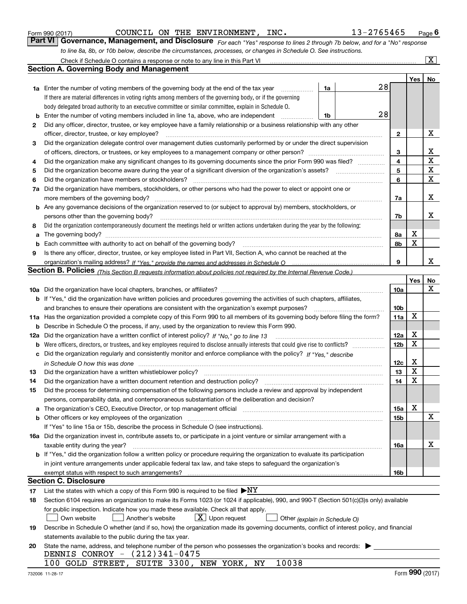| Form 990 (2017 |  |  |
|----------------|--|--|
|                |  |  |

COUNCIL ON THE ENVIRONMENT, INC. 13-2765465

*For each "Yes" response to lines 2 through 7b below, and for a "No" response to line 8a, 8b, or 10b below, describe the circumstances, processes, or changes in Schedule O. See instructions.* Form 990 (2017) Page **6Part VI Governance, Management, and Disclosure** 

|     | Check if Schedule O contains a response or note to any line in this Part VI                                                                                           |                 |             | $\overline{\mathbf{x}}$ |
|-----|-----------------------------------------------------------------------------------------------------------------------------------------------------------------------|-----------------|-------------|-------------------------|
|     | <b>Section A. Governing Body and Management</b>                                                                                                                       |                 |             |                         |
|     |                                                                                                                                                                       |                 | Yes         | No                      |
|     | 28<br>1a<br><b>1a</b> Enter the number of voting members of the governing body at the end of the tax year<br>.                                                        |                 |             |                         |
|     | If there are material differences in voting rights among members of the governing body, or if the governing                                                           |                 |             |                         |
|     | body delegated broad authority to an executive committee or similar committee, explain in Schedule O.                                                                 |                 |             |                         |
| b   | 28<br>Enter the number of voting members included in line 1a, above, who are independent<br>1b                                                                        |                 |             |                         |
| 2   | Did any officer, director, trustee, or key employee have a family relationship or a business relationship with any other                                              |                 |             |                         |
|     | officer, director, trustee, or key employee?                                                                                                                          | $\mathbf{2}$    |             | х                       |
| 3   | Did the organization delegate control over management duties customarily performed by or under the direct supervision                                                 |                 |             |                         |
|     |                                                                                                                                                                       | 3               |             | x                       |
| 4   | Did the organization make any significant changes to its governing documents since the prior Form 990 was filed?                                                      | 4               |             | $\mathbf X$             |
| 5   |                                                                                                                                                                       | 5               |             | X                       |
| 6   | Did the organization have members or stockholders?                                                                                                                    | 6               |             | $\mathbf X$             |
| 7a  | Did the organization have members, stockholders, or other persons who had the power to elect or appoint one or                                                        |                 |             |                         |
|     | more members of the governing body?                                                                                                                                   | 7a              |             | x                       |
|     | <b>b</b> Are any governance decisions of the organization reserved to (or subject to approval by) members, stockholders, or                                           |                 |             |                         |
|     | persons other than the governing body?                                                                                                                                | 7b              |             | x                       |
| 8   | Did the organization contemporaneously document the meetings held or written actions undertaken during the year by the following:                                     |                 |             |                         |
| a   |                                                                                                                                                                       | 8а              | х           |                         |
| b   |                                                                                                                                                                       | 8b              | X           |                         |
| 9   | Is there any officer, director, trustee, or key employee listed in Part VII, Section A, who cannot be reached at the                                                  |                 |             |                         |
|     |                                                                                                                                                                       | 9               |             | x                       |
|     | Section B. Policies <sub>(This Section B requests information about policies not required by the Internal Revenue Code.)</sub>                                        |                 |             |                         |
|     |                                                                                                                                                                       |                 | Yes         | No                      |
|     |                                                                                                                                                                       | <b>10a</b>      |             | X                       |
|     | b If "Yes," did the organization have written policies and procedures governing the activities of such chapters, affiliates,                                          |                 |             |                         |
|     | and branches to ensure their operations are consistent with the organization's exempt purposes?                                                                       | 10 <sub>b</sub> |             |                         |
|     | 11a Has the organization provided a complete copy of this Form 990 to all members of its governing body before filing the form?                                       | 11a             | X           |                         |
| b   | Describe in Schedule O the process, if any, used by the organization to review this Form 990.                                                                         |                 |             |                         |
| 12a | Did the organization have a written conflict of interest policy? If "No," go to line 13                                                                               | 12a             | х           |                         |
| b   |                                                                                                                                                                       | 12 <sub>b</sub> | $\mathbf X$ |                         |
| c   | Did the organization regularly and consistently monitor and enforce compliance with the policy? If "Yes," describe                                                    |                 |             |                         |
|     |                                                                                                                                                                       | 12c             | х           |                         |
| 13  | Did the organization have a written whistleblower policy?                                                                                                             | 13              | X           |                         |
| 14  | Did the organization have a written document retention and destruction policy?                                                                                        | 14              | X           |                         |
| 15  | Did the process for determining compensation of the following persons include a review and approval by independent                                                    |                 |             |                         |
|     | persons, comparability data, and contemporaneous substantiation of the deliberation and decision?                                                                     |                 |             |                         |
| a   | The organization's CEO, Executive Director, or top management official manufactured content of the organization's CEO, Executive Director, or top management official | 15a             | х           |                         |
|     | <b>b</b> Other officers or key employees of the organization                                                                                                          | 15b             |             | х                       |
|     | If "Yes" to line 15a or 15b, describe the process in Schedule O (see instructions).                                                                                   |                 |             |                         |
|     | 16a Did the organization invest in, contribute assets to, or participate in a joint venture or similar arrangement with a                                             |                 |             |                         |
|     | taxable entity during the year?                                                                                                                                       | 16a             |             | х                       |
|     | b If "Yes," did the organization follow a written policy or procedure requiring the organization to evaluate its participation                                        |                 |             |                         |
|     | in joint venture arrangements under applicable federal tax law, and take steps to safeguard the organization's                                                        |                 |             |                         |
|     | exempt status with respect to such arrangements?                                                                                                                      | 16b             |             |                         |
|     | Section C. Disclosure                                                                                                                                                 |                 |             |                         |
| 17  | List the states with which a copy of this Form 990 is required to be filed $\blacktriangleright$ NY                                                                   |                 |             |                         |
| 18  | Section 6104 requires an organization to make its Forms 1023 (or 1024 if applicable), 990, and 990-T (Section 501(c)(3)s only) available                              |                 |             |                         |
|     | for public inspection. Indicate how you made these available. Check all that apply.                                                                                   |                 |             |                         |
|     | $X$ Upon request<br>Own website<br>Another's website<br>Other (explain in Schedule O)                                                                                 |                 |             |                         |
| 19  | Describe in Schedule O whether (and if so, how) the organization made its governing documents, conflict of interest policy, and financial                             |                 |             |                         |
|     | statements available to the public during the tax year.                                                                                                               |                 |             |                         |
| 20  | State the name, address, and telephone number of the person who possesses the organization's books and records:                                                       |                 |             |                         |
|     | DENNIS CONROY - (212)341-0475                                                                                                                                         |                 |             |                         |
|     | 100 GOLD STREET, SUITE 3300, NEW YORK, NY<br>10038                                                                                                                    |                 |             |                         |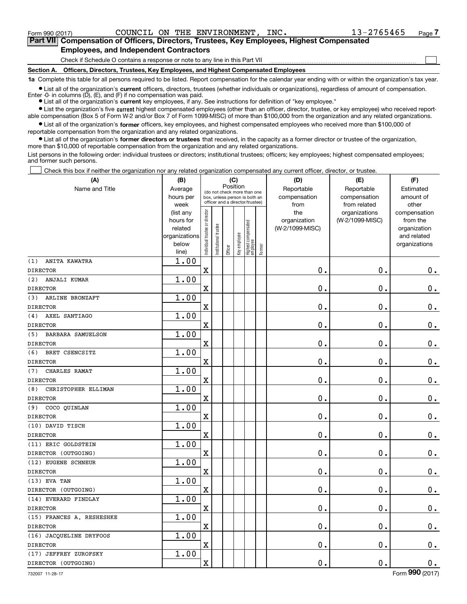<code>Form</code> 990 (2017) COUNCIL ON THE ENVIRONMENT, INC.  $13-2765465$  <code>Page</code>

 $\mathcal{L}^{\text{max}}$ 

**7Part VII Compensation of Officers, Directors, Trustees, Key Employees, Highest Compensated Employees, and Independent Contractors**

Check if Schedule O contains a response or note to any line in this Part VII

**Section A. Officers, Directors, Trustees, Key Employees, and Highest Compensated Employees**

**1a**  Complete this table for all persons required to be listed. Report compensation for the calendar year ending with or within the organization's tax year.

**•** List all of the organization's current officers, directors, trustees (whether individuals or organizations), regardless of amount of compensation. Enter -0- in columns  $(D)$ ,  $(E)$ , and  $(F)$  if no compensation was paid.

● List all of the organization's **current** key employees, if any. See instructions for definition of "key employee."

· List the organization's five current highest compensated employees (other than an officer, director, trustee, or key employee) who received report-■ List the organization's five current highest compensated employees (other than an officer, director, trustee, or key employee) who received report-<br>able compensation (Box 5 of Form W-2 and/or Box 7 of Form 1099-MISC) of

 $\bullet$  List all of the organization's **former** officers, key employees, and highest compensated employees who received more than \$100,000 of reportable compensation from the organization and any related organizations.

**•** List all of the organization's former directors or trustees that received, in the capacity as a former director or trustee of the organization, more than \$10,000 of reportable compensation from the organization and any related organizations.

List persons in the following order: individual trustees or directors; institutional trustees; officers; key employees; highest compensated employees; and former such persons.

Check this box if neither the organization nor any related organization compensated any current officer, director, or trustee.  $\mathcal{L}^{\text{max}}$ 

| (A)                             | (B)                                                                  |                               |                                                                                                             | (C)     |                                    |                                            |                                 | (D)                                    | (E)                              | (F)                                                                      |
|---------------------------------|----------------------------------------------------------------------|-------------------------------|-------------------------------------------------------------------------------------------------------------|---------|------------------------------------|--------------------------------------------|---------------------------------|----------------------------------------|----------------------------------|--------------------------------------------------------------------------|
| Name and Title                  | Average<br>hours per<br>week                                         |                               | Position<br>(do not check more than one<br>box, unless person is both an<br>officer and a director/trustee) |         | Reportable<br>compensation<br>from | Reportable<br>compensation<br>from related | Estimated<br>amount of<br>other |                                        |                                  |                                                                          |
|                                 | (list any<br>hours for<br>related<br>organizations<br>below<br>line) | ndividual trustee or director | nstitutional trustee                                                                                        | Officer | Key employee                       | Highest compensated<br> employee           | Former                          | the<br>organization<br>(W-2/1099-MISC) | organizations<br>(W-2/1099-MISC) | compensation<br>from the<br>organization<br>and related<br>organizations |
| (1)<br>ANITA KAWATRA            | 1.00                                                                 |                               |                                                                                                             |         |                                    |                                            |                                 |                                        |                                  |                                                                          |
| <b>DIRECTOR</b>                 |                                                                      | $\overline{\textbf{X}}$       |                                                                                                             |         |                                    |                                            |                                 | $\mathbf 0$ .                          | $\mathbf 0$ .                    | $\mathbf 0$ .                                                            |
| (2)<br>ANJALI KUMAR             | 1.00                                                                 |                               |                                                                                                             |         |                                    |                                            |                                 |                                        |                                  |                                                                          |
| <b>DIRECTOR</b>                 |                                                                      | $\overline{\textbf{X}}$       |                                                                                                             |         |                                    |                                            |                                 | $\mathbf 0$ .                          | $\mathbf 0$ .                    | $0_{.}$                                                                  |
| (3)<br>ARLINE BRONZAFT          | 1.00                                                                 |                               |                                                                                                             |         |                                    |                                            |                                 |                                        |                                  |                                                                          |
| <b>DIRECTOR</b>                 |                                                                      | $\overline{\textbf{X}}$       |                                                                                                             |         |                                    |                                            |                                 | $\mathbf 0$ .                          | $\mathbf 0$ .                    | $\mathbf 0$ .                                                            |
| AXEL SANTIAGO<br>(4)            | 1.00                                                                 |                               |                                                                                                             |         |                                    |                                            |                                 |                                        |                                  |                                                                          |
| <b>DIRECTOR</b>                 |                                                                      | $\overline{\textbf{X}}$       |                                                                                                             |         |                                    |                                            |                                 | $\mathbf 0$ .                          | $\mathbf 0$ .                    | $\mathbf 0$ .                                                            |
| (5)<br><b>BARBARA SAMUELSON</b> | 1.00                                                                 |                               |                                                                                                             |         |                                    |                                            |                                 |                                        |                                  |                                                                          |
| <b>DIRECTOR</b>                 |                                                                      | $\overline{\textbf{X}}$       |                                                                                                             |         |                                    |                                            |                                 | $\mathbf 0$ .                          | $\mathbf 0$ .                    | $\mathbf 0$ .                                                            |
| (6)<br>BRET CSENCSITZ           | 1.00                                                                 |                               |                                                                                                             |         |                                    |                                            |                                 |                                        |                                  |                                                                          |
| <b>DIRECTOR</b>                 |                                                                      | $\mathbf X$                   |                                                                                                             |         |                                    |                                            |                                 | $\mathbf 0$ .                          | $\mathbf 0$ .                    | $\mathbf 0$ .                                                            |
| CHARLES RAMAT<br>(7)            | 1.00                                                                 |                               |                                                                                                             |         |                                    |                                            |                                 |                                        |                                  |                                                                          |
| <b>DIRECTOR</b>                 |                                                                      | $\mathbf X$                   |                                                                                                             |         |                                    |                                            |                                 | $\mathbf 0$ .                          | $\mathbf 0$ .                    | $\mathbf 0$ .                                                            |
| CHRISTOPHER ELLIMAN<br>(8)      | 1.00                                                                 |                               |                                                                                                             |         |                                    |                                            |                                 |                                        |                                  |                                                                          |
| <b>DIRECTOR</b>                 |                                                                      | $\mathbf X$                   |                                                                                                             |         |                                    |                                            |                                 | $\mathbf 0$ .                          | $\mathbf 0$ .                    | $\mathbf 0$ .                                                            |
| (9)<br>COCO QUINLAN             | 1.00                                                                 |                               |                                                                                                             |         |                                    |                                            |                                 |                                        |                                  |                                                                          |
| <b>DIRECTOR</b>                 |                                                                      | $\mathbf X$                   |                                                                                                             |         |                                    |                                            |                                 | $\mathbf 0$ .                          | $\mathbf 0$ .                    | $\mathbf 0$ .                                                            |
| (10) DAVID TISCH                | 1.00                                                                 |                               |                                                                                                             |         |                                    |                                            |                                 |                                        |                                  |                                                                          |
| <b>DIRECTOR</b>                 |                                                                      | $\mathbf X$                   |                                                                                                             |         |                                    |                                            |                                 | $\mathbf 0$ .                          | $\mathbf 0$ .                    | $\mathbf 0$ .                                                            |
| (11) ERIC GOLDSTEIN             | 1.00                                                                 |                               |                                                                                                             |         |                                    |                                            |                                 |                                        |                                  |                                                                          |
| DIRECTOR (OUTGOING)             |                                                                      | $\mathbf X$                   |                                                                                                             |         |                                    |                                            |                                 | $\mathbf 0$ .                          | $\mathbf 0$ .                    | $\mathbf 0$ .                                                            |
| (12) EUGENE SCHNEUR             | 1.00                                                                 |                               |                                                                                                             |         |                                    |                                            |                                 |                                        |                                  |                                                                          |
| <b>DIRECTOR</b>                 |                                                                      | $\mathbf X$                   |                                                                                                             |         |                                    |                                            |                                 | $\mathbf 0$ .                          | $\mathbf 0$ .                    | $\mathbf 0$ .                                                            |
| $(13)$ EVA TAN                  | 1.00                                                                 |                               |                                                                                                             |         |                                    |                                            |                                 |                                        |                                  |                                                                          |
| DIRECTOR (OUTGOING)             |                                                                      | $\mathbf X$                   |                                                                                                             |         |                                    |                                            |                                 | $\mathbf 0$ .                          | $\mathbf 0$ .                    | $\mathbf 0$ .                                                            |
| (14) EVERARD FINDLAY            | 1.00                                                                 |                               |                                                                                                             |         |                                    |                                            |                                 |                                        |                                  |                                                                          |
| <b>DIRECTOR</b>                 |                                                                      | $\mathbf X$                   |                                                                                                             |         |                                    |                                            |                                 | $\mathbf 0$ .                          | $\mathbf 0$ .                    | $\mathbf 0$ .                                                            |
| (15) FRANCES A. RESHESHKE       | 1.00                                                                 |                               |                                                                                                             |         |                                    |                                            |                                 |                                        |                                  |                                                                          |
| <b>DIRECTOR</b>                 |                                                                      | $\mathbf X$                   |                                                                                                             |         |                                    |                                            |                                 | $\mathbf 0$ .                          | $\mathbf 0$ .                    | $0_{.}$                                                                  |
| (16) JACQUELINE DRYFOOS         | 1.00                                                                 |                               |                                                                                                             |         |                                    |                                            |                                 |                                        |                                  |                                                                          |
| <b>DIRECTOR</b>                 |                                                                      | $\overline{\textbf{X}}$       |                                                                                                             |         |                                    |                                            |                                 | $\mathbf 0$ .                          | $\mathbf 0$ .                    | $0_{.}$                                                                  |
| (17) JEFFREY ZUROFSKY           | 1.00                                                                 |                               |                                                                                                             |         |                                    |                                            |                                 |                                        |                                  |                                                                          |
| DIRECTOR (OUTGOING)             |                                                                      | $\mathbf X$                   |                                                                                                             |         |                                    |                                            |                                 | $\mathbf 0$ .                          | $\mathbf 0$ .                    | 0.                                                                       |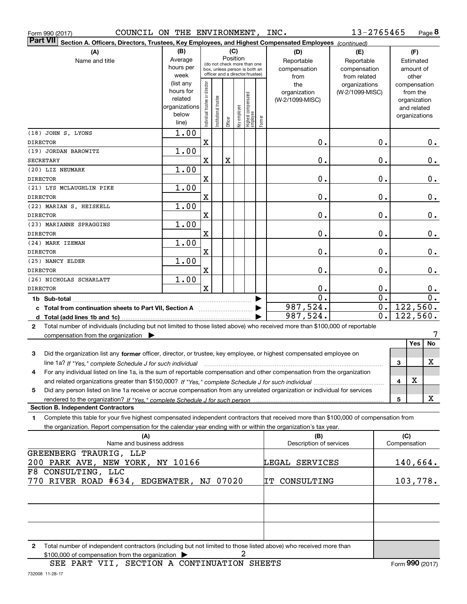|  | Form 990 (2017) |
|--|-----------------|

Form 990 (2017) Page COUNCIL ON THE ENVIRONMENT, INC.

**8** 13-2765465

| $\vert$ Part VII $\vert$ Section A. Officers, Directors, Trustees, Key Employees, and Highest Compensated Employees $\vert$ $_{\rm {Continued)}}$ |                        |                               |                                 |             |              |                                   |        |                                 |                 |                  |     |                          |               |
|---------------------------------------------------------------------------------------------------------------------------------------------------|------------------------|-------------------------------|---------------------------------|-------------|--------------|-----------------------------------|--------|---------------------------------|-----------------|------------------|-----|--------------------------|---------------|
| (B)<br>(C)<br>(A)<br>(D)                                                                                                                          |                        |                               |                                 |             |              |                                   |        |                                 | (E)             |                  |     | (F)                      |               |
| Name and title                                                                                                                                    | Average                |                               | (do not check more than one     |             | Position     |                                   |        | Reportable                      | Reportable      |                  |     | Estimated                |               |
|                                                                                                                                                   | hours per              |                               | box, unless person is both an   |             |              |                                   |        | compensation                    | compensation    |                  |     | amount of                |               |
|                                                                                                                                                   | week                   |                               | officer and a director/trustee) |             |              |                                   |        | from                            | from related    |                  |     | other                    |               |
|                                                                                                                                                   | (list any<br>hours for |                               |                                 |             |              |                                   |        | the                             | organizations   |                  |     | compensation             |               |
|                                                                                                                                                   | related                |                               |                                 |             |              |                                   |        | organization<br>(W-2/1099-MISC) | (W-2/1099-MISC) |                  |     | from the<br>organization |               |
|                                                                                                                                                   | organizations          |                               |                                 |             |              |                                   |        |                                 |                 |                  |     | and related              |               |
|                                                                                                                                                   | below                  | ndividual trustee or director | Institutional trustee           |             | Key employee |                                   |        |                                 |                 |                  |     | organizations            |               |
|                                                                                                                                                   | line)                  |                               |                                 | Officer     |              | Highest compensated<br>  employee | Former |                                 |                 |                  |     |                          |               |
| (18) JOHN S. LYONS                                                                                                                                | 1.00                   |                               |                                 |             |              |                                   |        |                                 |                 |                  |     |                          |               |
| <b>DIRECTOR</b>                                                                                                                                   |                        | $\mathbf X$                   |                                 |             |              |                                   |        | 0.                              |                 | 0.               |     |                          | 0.            |
| (19) JORDAN BAROWITZ                                                                                                                              | 1.00                   |                               |                                 |             |              |                                   |        |                                 |                 |                  |     |                          |               |
| <b>SECRETARY</b>                                                                                                                                  |                        | $\mathbf X$                   |                                 | $\mathbf X$ |              |                                   |        | 0.                              |                 | 0.               |     |                          | 0.            |
| (20) LIZ NEUMARK                                                                                                                                  | 1.00                   |                               |                                 |             |              |                                   |        |                                 |                 |                  |     |                          |               |
| <b>DIRECTOR</b>                                                                                                                                   |                        | X                             |                                 |             |              |                                   |        | 0.                              |                 | 0.               |     |                          | 0.            |
| (21) LYS MCLAUGHLIN PIKE                                                                                                                          | 1.00                   |                               |                                 |             |              |                                   |        |                                 |                 |                  |     |                          |               |
| <b>DIRECTOR</b>                                                                                                                                   |                        | X                             |                                 |             |              |                                   |        | 0.                              |                 | 0.               |     |                          | $\mathbf 0$ . |
| (22) MARIAN S. HEISKELL                                                                                                                           | 1.00                   |                               |                                 |             |              |                                   |        |                                 |                 |                  |     |                          |               |
| <b>DIRECTOR</b>                                                                                                                                   |                        | X                             |                                 |             |              |                                   |        | 0.                              |                 | 0.               |     |                          | 0.            |
| (23) MARIANNE SPRAGGINS                                                                                                                           | 1.00                   |                               |                                 |             |              |                                   |        |                                 |                 |                  |     |                          |               |
| <b>DIRECTOR</b>                                                                                                                                   |                        | X                             |                                 |             |              |                                   |        | 0.                              |                 | 0.               |     |                          | 0.            |
| (24) MARK IZEMAN                                                                                                                                  | 1.00                   |                               |                                 |             |              |                                   |        |                                 |                 |                  |     |                          |               |
| <b>DIRECTOR</b>                                                                                                                                   |                        | X                             |                                 |             |              |                                   |        | 0.                              |                 | 0.               |     |                          | 0.            |
| (25) NANCY ELDER                                                                                                                                  | 1.00                   |                               |                                 |             |              |                                   |        |                                 |                 |                  |     |                          |               |
| <b>DIRECTOR</b>                                                                                                                                   |                        | X                             |                                 |             |              |                                   |        | 0.                              |                 | 0.               |     |                          | 0.            |
| (26) NICHOLAS SCHARLATT                                                                                                                           | 1.00                   |                               |                                 |             |              |                                   |        |                                 |                 |                  |     |                          |               |
| <b>DIRECTOR</b>                                                                                                                                   |                        | $\mathbf x$                   |                                 |             |              |                                   |        | 0.                              |                 | 0.               |     |                          | $0_{.}$       |
|                                                                                                                                                   |                        |                               |                                 |             |              |                                   |        | $\overline{0}$ .                |                 | $\overline{0}$ . |     |                          | 0.            |
| c Total from continuation sheets to Part VII, Section A <b>Conservation</b> Section A                                                             |                        |                               |                                 |             |              |                                   |        | 987,524.                        |                 | $0$ .            |     | 122,560.                 |               |
|                                                                                                                                                   |                        |                               |                                 |             |              |                                   |        | 987,524.                        |                 | 0.               |     | 122,560.                 |               |
| Total number of individuals (including but not limited to those listed above) who received more than \$100,000 of reportable<br>$\mathbf{2}$      |                        |                               |                                 |             |              |                                   |        |                                 |                 |                  |     |                          |               |
| compensation from the organization $\blacktriangleright$                                                                                          |                        |                               |                                 |             |              |                                   |        |                                 |                 |                  |     |                          | 7             |
|                                                                                                                                                   |                        |                               |                                 |             |              |                                   |        |                                 |                 |                  |     | Yes                      | No            |
| 3<br>Did the organization list any former officer, director, or trustee, key employee, or highest compensated employee on                         |                        |                               |                                 |             |              |                                   |        |                                 |                 |                  |     |                          |               |
| line 1a? If "Yes," complete Schedule J for such individual                                                                                        |                        |                               |                                 |             |              |                                   |        |                                 |                 |                  | 3   |                          | х             |
| For any individual listed on line 1a, is the sum of reportable compensation and other compensation from the organization<br>4                     |                        |                               |                                 |             |              |                                   |        |                                 |                 |                  |     |                          |               |
|                                                                                                                                                   |                        |                               |                                 |             |              |                                   |        |                                 |                 |                  | 4   | X                        |               |
| Did any person listed on line 1a receive or accrue compensation from any unrelated organization or individual for services<br>5                   |                        |                               |                                 |             |              |                                   |        |                                 |                 |                  |     |                          |               |
| rendered to the organization? If "Yes." complete Schedule J for such person                                                                       |                        |                               |                                 |             |              |                                   |        |                                 |                 |                  | 5   |                          | X             |
| <b>Section B. Independent Contractors</b>                                                                                                         |                        |                               |                                 |             |              |                                   |        |                                 |                 |                  |     |                          |               |
| Complete this table for your five highest compensated independent contractors that received more than \$100,000 of compensation from<br>1         |                        |                               |                                 |             |              |                                   |        |                                 |                 |                  |     |                          |               |
| the organization. Report compensation for the calendar year ending with or within the organization's tax year.                                    |                        |                               |                                 |             |              |                                   |        |                                 |                 |                  |     |                          |               |
| (A)                                                                                                                                               |                        |                               |                                 |             |              |                                   |        | (B)                             |                 |                  | (C) |                          |               |
| Name and business address                                                                                                                         |                        |                               |                                 |             |              |                                   |        | Description of services         |                 |                  |     | Compensation             |               |
| GREENBERG TRAURIG, LLP                                                                                                                            |                        |                               |                                 |             |              |                                   |        |                                 |                 |                  |     |                          |               |
| 200 PARK AVE, NEW YORK, NY 10166                                                                                                                  |                        |                               |                                 |             |              |                                   |        | LEGAL SERVICES                  |                 |                  |     | 140,664.                 |               |
| F8 CONSULTING, LLC                                                                                                                                |                        |                               |                                 |             |              |                                   |        |                                 |                 |                  |     |                          |               |
| 770 RIVER ROAD #634,                                                                                                                              | EDGEWATER, NJ 07020    |                               |                                 |             |              |                                   |        | IT CONSULTING                   |                 |                  |     | 103,778.                 |               |
|                                                                                                                                                   |                        |                               |                                 |             |              |                                   |        |                                 |                 |                  |     |                          |               |
|                                                                                                                                                   |                        |                               |                                 |             |              |                                   |        |                                 |                 |                  |     |                          |               |
|                                                                                                                                                   |                        |                               |                                 |             |              |                                   |        |                                 |                 |                  |     |                          |               |
|                                                                                                                                                   |                        |                               |                                 |             |              |                                   |        |                                 |                 |                  |     |                          |               |
|                                                                                                                                                   |                        |                               |                                 |             |              |                                   |        |                                 |                 |                  |     |                          |               |
| 2 Total number of independent contractors (including but not limited to those listed above) who received more than                                |                        |                               |                                 |             |              |                                   |        |                                 |                 |                  |     |                          |               |
|                                                                                                                                                   |                        |                               |                                 |             |              |                                   |        |                                 |                 |                  |     |                          |               |

2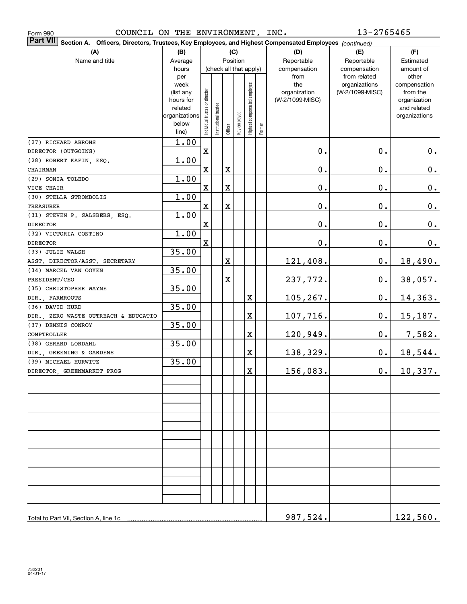| COUNCIL ON THE ENVIRONMENT, INC.<br>Form 990 |                                                                                                        |                                |                       |             |              |                              |        |                     | 13-2765465                       |                          |
|----------------------------------------------|--------------------------------------------------------------------------------------------------------|--------------------------------|-----------------------|-------------|--------------|------------------------------|--------|---------------------|----------------------------------|--------------------------|
| <b>Part VII</b>                              | Section A. Officers, Directors, Trustees, Key Employees, and Highest Compensated Employees (continued) |                                |                       |             |              |                              |        |                     |                                  |                          |
| (A)                                          | (B)                                                                                                    |                                |                       |             | (C)          |                              |        | (D)                 | (E)                              | (F)                      |
| Name and title                               | Average                                                                                                |                                |                       |             | Position     |                              |        | Reportable          | Reportable                       | Estimated                |
|                                              | hours                                                                                                  |                                |                       |             |              | (check all that apply)       |        | compensation        | compensation                     | amount of                |
|                                              | per                                                                                                    |                                |                       |             |              |                              |        | from                | from related                     | other                    |
|                                              | week                                                                                                   |                                |                       |             |              |                              |        | the<br>organization | organizations<br>(W-2/1099-MISC) | compensation<br>from the |
|                                              | (list any<br>hours for                                                                                 |                                |                       |             |              |                              |        | (W-2/1099-MISC)     |                                  | organization             |
|                                              | related                                                                                                |                                |                       |             |              |                              |        |                     |                                  | and related              |
|                                              | organizations                                                                                          | Individual trustee or director | Institutional trustee |             |              | Highest compensated employee |        |                     |                                  | organizations            |
|                                              | below                                                                                                  |                                |                       |             | Key employee |                              |        |                     |                                  |                          |
|                                              | line)                                                                                                  |                                |                       | Officer     |              |                              | Former |                     |                                  |                          |
| (27) RICHARD ABRONS                          | 1.00                                                                                                   |                                |                       |             |              |                              |        |                     |                                  |                          |
| DIRECTOR (OUTGOING)                          |                                                                                                        | $\mathbf X$                    |                       |             |              |                              |        | $\mathbf 0$ .       | 0.                               | $0_{.}$                  |
| (28) ROBERT KAFIN, ESQ.                      | 1.00                                                                                                   |                                |                       |             |              |                              |        |                     |                                  |                          |
| CHAIRMAN                                     |                                                                                                        | $\mathbf X$                    |                       | X           |              |                              |        | $\mathbf 0$ .       | 0.                               | $0$ .                    |
| (29) SONIA TOLEDO                            | 1.00                                                                                                   |                                |                       |             |              |                              |        |                     |                                  |                          |
| VICE CHAIR                                   |                                                                                                        | $\mathbf X$                    |                       | $\mathbf X$ |              |                              |        | $\mathbf 0$ .       | 0.                               | $0_{.}$                  |
| (30) STELLA STROMBOLIS                       | 1.00                                                                                                   |                                |                       |             |              |                              |        |                     |                                  |                          |
| TREASURER                                    |                                                                                                        | $\mathbf X$                    |                       | $\mathbf X$ |              |                              |        | $\mathbf 0$ .       | 0.                               | $0_{.}$                  |
| (31) STEVEN P. SALSBERG, ESQ.                | 1.00                                                                                                   |                                |                       |             |              |                              |        |                     |                                  |                          |
| <b>DIRECTOR</b>                              |                                                                                                        | $\mathbf X$                    |                       |             |              |                              |        | $\mathbf 0$ .       | 0.                               | 0.                       |
| (32) VICTORIA CONTINO                        | 1.00                                                                                                   |                                |                       |             |              |                              |        |                     |                                  |                          |
| <b>DIRECTOR</b>                              |                                                                                                        | $\mathbf X$                    |                       |             |              |                              |        | $\mathbf 0$ .       | 0.                               | 0.                       |
| (33) JULIE WALSH                             | 35.00                                                                                                  |                                |                       |             |              |                              |        |                     |                                  |                          |
| ASST. DIRECTOR/ASST. SECRETARY               |                                                                                                        |                                |                       | $\mathbf X$ |              |                              |        | 121,408.            | 0.                               | 18,490.                  |
| (34) MARCEL VAN OOYEN                        | 35.00                                                                                                  |                                |                       |             |              |                              |        |                     |                                  |                          |
| PRESIDENT/CEO                                |                                                                                                        |                                |                       | $\mathbf X$ |              |                              |        | 237,772.            | 0.                               | 38,057.                  |
| (35) CHRISTOPHER WAYNE                       | 35.00                                                                                                  |                                |                       |             |              |                              |        |                     |                                  |                          |
| DIR., FARMROOTS                              |                                                                                                        |                                |                       |             |              | Χ                            |        | 105,267.            | 0.                               | <u>14,363.</u>           |
| (36) DAVID HURD                              | 35.00                                                                                                  |                                |                       |             |              |                              |        |                     |                                  |                          |
| DIR., ZERO WASTE OUTREACH & EDUCATIO         |                                                                                                        |                                |                       |             |              | Χ                            |        | <u>107,716.</u>     | 0.                               | 15, 187.                 |
| (37) DENNIS CONROY                           | 35.00                                                                                                  |                                |                       |             |              |                              |        |                     |                                  |                          |
| COMPTROLLER                                  |                                                                                                        |                                |                       |             |              | X                            |        | <u> 120,949.</u>    | 0.                               | 7,582.                   |
| (38) GERARD LORDAHL                          | 35.00                                                                                                  |                                |                       |             |              |                              |        |                     |                                  |                          |
| DIR., GREENING & GARDENS                     |                                                                                                        |                                |                       |             |              | X                            |        | 138,329.            | $0$ .                            | 18,544.                  |
| (39) MICHAEL HURWITZ                         | 35.00                                                                                                  |                                |                       |             |              |                              |        |                     |                                  |                          |
| DIRECTOR, GREENMARKET PROG                   |                                                                                                        |                                |                       |             |              | x                            |        | 156,083.            | $\mathbf 0$ .                    | 10,337.                  |
|                                              |                                                                                                        |                                |                       |             |              |                              |        |                     |                                  |                          |
|                                              |                                                                                                        |                                |                       |             |              |                              |        |                     |                                  |                          |
|                                              |                                                                                                        |                                |                       |             |              |                              |        |                     |                                  |                          |
|                                              |                                                                                                        |                                |                       |             |              |                              |        |                     |                                  |                          |
|                                              |                                                                                                        |                                |                       |             |              |                              |        |                     |                                  |                          |
|                                              |                                                                                                        |                                |                       |             |              |                              |        |                     |                                  |                          |
|                                              |                                                                                                        |                                |                       |             |              |                              |        |                     |                                  |                          |
|                                              |                                                                                                        |                                |                       |             |              |                              |        |                     |                                  |                          |
|                                              |                                                                                                        |                                |                       |             |              |                              |        |                     |                                  |                          |
|                                              |                                                                                                        |                                |                       |             |              |                              |        |                     |                                  |                          |
|                                              |                                                                                                        |                                |                       |             |              |                              |        |                     |                                  |                          |
|                                              |                                                                                                        |                                |                       |             |              |                              |        |                     |                                  |                          |
|                                              |                                                                                                        |                                |                       |             |              |                              |        |                     |                                  |                          |
|                                              |                                                                                                        |                                |                       |             |              |                              |        |                     |                                  |                          |
|                                              |                                                                                                        |                                |                       |             |              |                              |        |                     |                                  |                          |
| Total to Part VII, Section A, line 1c        |                                                                                                        |                                |                       |             |              |                              |        | 987,524.            |                                  | 122,560.                 |
|                                              |                                                                                                        |                                |                       |             |              |                              |        |                     |                                  |                          |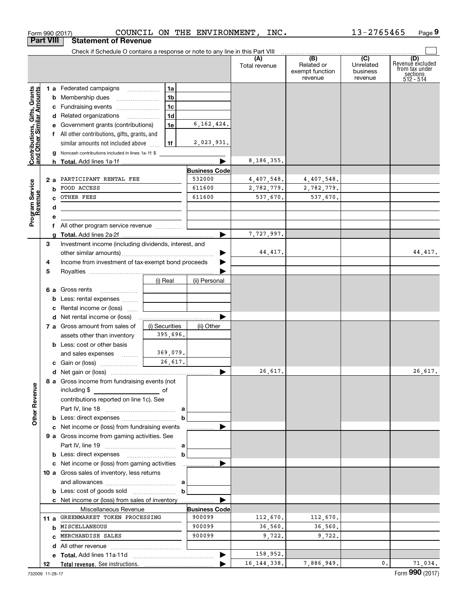|                                                           |                  | Form 990 (2017)                                                               |                | COUNCIL ON THE ENVIRONMENT, | INC.                 |                                          | 13-2765465                       | Page 9                                                             |
|-----------------------------------------------------------|------------------|-------------------------------------------------------------------------------|----------------|-----------------------------|----------------------|------------------------------------------|----------------------------------|--------------------------------------------------------------------|
|                                                           | <b>Part VIII</b> | <b>Statement of Revenue</b>                                                   |                |                             |                      |                                          |                                  |                                                                    |
|                                                           |                  | Check if Schedule O contains a response or note to any line in this Part VIII |                |                             |                      | $\overline{)}$ (B) (C) $\overline{)}$    |                                  |                                                                    |
|                                                           |                  |                                                                               |                |                             | (A)<br>Total revenue | Related or<br>exempt function<br>revenue | Unrelated<br>business<br>revenue | (D)<br>Revenue excluded<br>from tax under<br>sections<br>512 - 514 |
|                                                           |                  | 1 a Federated campaigns                                                       | 1a             |                             |                      |                                          |                                  |                                                                    |
| Contributions, Gifts, Grants<br>and Other Similar Amounts |                  | <b>b</b> Membership dues                                                      | 1 <sub>b</sub> |                             |                      |                                          |                                  |                                                                    |
|                                                           |                  | c Fundraising events                                                          | 1 <sub>c</sub> |                             |                      |                                          |                                  |                                                                    |
|                                                           |                  | d Related organizations                                                       | 1d             |                             |                      |                                          |                                  |                                                                    |
|                                                           |                  | e Government grants (contributions)                                           | 1e             | 6, 162, 424.                |                      |                                          |                                  |                                                                    |
|                                                           |                  | f All other contributions, gifts, grants, and                                 |                |                             |                      |                                          |                                  |                                                                    |
|                                                           |                  | similar amounts not included above                                            | 1f             | 2,023,931.                  |                      |                                          |                                  |                                                                    |
|                                                           |                  | g Noncash contributions included in lines 1a-1f: \$                           |                |                             |                      |                                          |                                  |                                                                    |
|                                                           |                  |                                                                               |                |                             | 8,186,355.           |                                          |                                  |                                                                    |
|                                                           |                  |                                                                               |                | <b>Business Code</b>        |                      |                                          |                                  |                                                                    |
|                                                           | 2a               | PARTICIPANT RENTAL FEE                                                        |                | 532000                      | 4,407,548.           | 4,407,548.                               |                                  |                                                                    |
|                                                           | b                | FOOD ACCESS                                                                   |                | 611600                      | 2,782,779.           | 2,782,779.                               |                                  |                                                                    |
|                                                           | c                | OTHER FEES                                                                    |                | 611600                      | 537,670.             | 537,670.                                 |                                  |                                                                    |
|                                                           | d                |                                                                               |                |                             |                      |                                          |                                  |                                                                    |
| Program Service<br>Revenue                                | е                | the control of the control of the control of the control of the control of    |                |                             |                      |                                          |                                  |                                                                    |
|                                                           |                  | f All other program service revenue                                           |                |                             |                      |                                          |                                  |                                                                    |
|                                                           | q                |                                                                               |                |                             | 7,727,997.           |                                          |                                  |                                                                    |
|                                                           | 3                | Investment income (including dividends, interest, and                         |                |                             |                      |                                          |                                  |                                                                    |
|                                                           |                  |                                                                               |                |                             | 44,417.              |                                          |                                  | 44,417.                                                            |
|                                                           | 4                | Income from investment of tax-exempt bond proceeds                            |                |                             |                      |                                          |                                  |                                                                    |
|                                                           | 5                |                                                                               |                |                             |                      |                                          |                                  |                                                                    |
|                                                           |                  |                                                                               | (i) Real       | (ii) Personal               |                      |                                          |                                  |                                                                    |
|                                                           |                  | 6 a Gross rents                                                               |                |                             |                      |                                          |                                  |                                                                    |
|                                                           | b                | Less: rental expenses                                                         |                |                             |                      |                                          |                                  |                                                                    |
|                                                           | c                | Rental income or (loss)                                                       |                |                             |                      |                                          |                                  |                                                                    |
|                                                           |                  |                                                                               |                |                             |                      |                                          |                                  |                                                                    |
|                                                           |                  | 7 a Gross amount from sales of                                                | (i) Securities | (ii) Other                  |                      |                                          |                                  |                                                                    |
|                                                           |                  | assets other than inventory                                                   | 395,696.       |                             |                      |                                          |                                  |                                                                    |
|                                                           |                  | <b>b</b> Less: cost or other basis                                            |                |                             |                      |                                          |                                  |                                                                    |
|                                                           |                  | and sales expenses                                                            | 369,079.       |                             |                      |                                          |                                  |                                                                    |
|                                                           |                  | c Gain or (loss)                                                              | 26,617.        |                             |                      |                                          |                                  |                                                                    |
|                                                           |                  |                                                                               |                |                             | 26,617.              |                                          |                                  | 26,617.                                                            |
|                                                           |                  | 8 a Gross income from fundraising events (not                                 |                |                             |                      |                                          |                                  |                                                                    |
|                                                           |                  | including \$<br>$\overline{\phantom{a}}$ of                                   |                |                             |                      |                                          |                                  |                                                                    |
|                                                           |                  | contributions reported on line 1c). See                                       |                |                             |                      |                                          |                                  |                                                                    |
|                                                           |                  |                                                                               |                |                             |                      |                                          |                                  |                                                                    |
| <b>Other Revenue</b>                                      |                  |                                                                               |                | $\mathbf b$                 |                      |                                          |                                  |                                                                    |
|                                                           |                  | c Net income or (loss) from fundraising events                                |                |                             |                      |                                          |                                  |                                                                    |
|                                                           |                  | 9 a Gross income from gaming activities. See                                  |                |                             |                      |                                          |                                  |                                                                    |
|                                                           |                  |                                                                               |                |                             |                      |                                          |                                  |                                                                    |
|                                                           |                  |                                                                               |                | $\mathbf b$                 |                      |                                          |                                  |                                                                    |
|                                                           |                  |                                                                               |                |                             |                      |                                          |                                  |                                                                    |
|                                                           |                  | 10 a Gross sales of inventory, less returns                                   |                |                             |                      |                                          |                                  |                                                                    |
|                                                           |                  |                                                                               |                |                             |                      |                                          |                                  |                                                                    |
|                                                           |                  |                                                                               |                | $\mathbf b$                 |                      |                                          |                                  |                                                                    |
|                                                           |                  | c Net income or (loss) from sales of inventory                                |                |                             |                      |                                          |                                  |                                                                    |
|                                                           |                  | Miscellaneous Revenue                                                         |                | <b>Business Code</b>        |                      |                                          |                                  |                                                                    |
|                                                           | 11 $a$           | GREENMARKET TOKEN PROCESSING                                                  |                | 900099                      | 112,670.             | 112,670.                                 |                                  |                                                                    |
|                                                           |                  | <b>b</b> MISCELLANEOUS                                                        |                | 900099                      | 36,560.              | 36,560.                                  |                                  |                                                                    |
|                                                           | C.               | MERCHANDISE SALES                                                             |                | 900099                      | 9,722.               | 9,722.                                   |                                  |                                                                    |
|                                                           |                  |                                                                               |                |                             |                      |                                          |                                  |                                                                    |
|                                                           | е                |                                                                               |                |                             | 158,952.             |                                          |                                  |                                                                    |
|                                                           |                  |                                                                               |                |                             | 16, 144, 338.        | 7,886,949.                               | 0.                               | 71,034.                                                            |
|                                                           | 12               |                                                                               |                |                             |                      |                                          |                                  |                                                                    |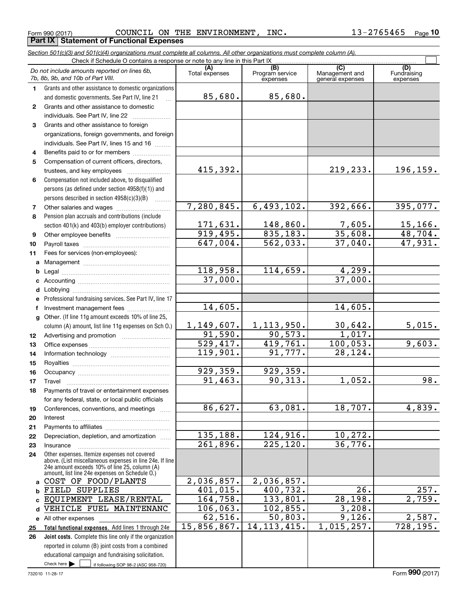Form 990 (2017) Page **Part IX Statement of Functional Expenses** COUNCIL ON THE ENVIRONMENT, INC.  $13-2765465$ 

*Section 501(c)(3) and 501(c)(4) organizations must complete all columns. All other organizations must complete column (A).*

| Check if Schedule O contains a response or note to any line in this Part IX |                                                                                                 |                        |                                    |                                           |                                |  |  |  |  |  |  |
|-----------------------------------------------------------------------------|-------------------------------------------------------------------------------------------------|------------------------|------------------------------------|-------------------------------------------|--------------------------------|--|--|--|--|--|--|
|                                                                             | Do not include amounts reported on lines 6b,<br>7b, 8b, 9b, and 10b of Part VIII.               | (A)<br>Total expenses  | (B)<br>Program service<br>expenses | (C)<br>Management and<br>general expenses | (D)<br>Fundraising<br>expenses |  |  |  |  |  |  |
| 1.                                                                          | Grants and other assistance to domestic organizations                                           |                        |                                    |                                           |                                |  |  |  |  |  |  |
|                                                                             | and domestic governments. See Part IV, line 21                                                  | 85,680.                | 85,680.                            |                                           |                                |  |  |  |  |  |  |
| $\mathbf{2}$                                                                | Grants and other assistance to domestic                                                         |                        |                                    |                                           |                                |  |  |  |  |  |  |
|                                                                             | individuals. See Part IV, line 22                                                               |                        |                                    |                                           |                                |  |  |  |  |  |  |
| 3                                                                           | Grants and other assistance to foreign                                                          |                        |                                    |                                           |                                |  |  |  |  |  |  |
|                                                                             | organizations, foreign governments, and foreign                                                 |                        |                                    |                                           |                                |  |  |  |  |  |  |
|                                                                             | individuals. See Part IV, lines 15 and 16                                                       |                        |                                    |                                           |                                |  |  |  |  |  |  |
| 4                                                                           | Benefits paid to or for members                                                                 |                        |                                    |                                           |                                |  |  |  |  |  |  |
| 5                                                                           | Compensation of current officers, directors,                                                    |                        |                                    |                                           |                                |  |  |  |  |  |  |
|                                                                             | trustees, and key employees                                                                     | 415,392.               |                                    | 219,233.                                  | 196, 159.                      |  |  |  |  |  |  |
| 6                                                                           | Compensation not included above, to disqualified                                                |                        |                                    |                                           |                                |  |  |  |  |  |  |
|                                                                             | persons (as defined under section 4958(f)(1)) and                                               |                        |                                    |                                           |                                |  |  |  |  |  |  |
|                                                                             | persons described in section 4958(c)(3)(B)                                                      |                        |                                    |                                           |                                |  |  |  |  |  |  |
| 7                                                                           |                                                                                                 | 7, 280, 845.           | 6,493,102.                         | 392,666.                                  | 395,077.                       |  |  |  |  |  |  |
| 8                                                                           | Pension plan accruals and contributions (include                                                |                        |                                    |                                           |                                |  |  |  |  |  |  |
|                                                                             | section 401(k) and 403(b) employer contributions)                                               | 171,631.               | 148,860.                           | 7,605.                                    | $\frac{15,166}{48,704}$        |  |  |  |  |  |  |
| 9                                                                           |                                                                                                 | 919,495.               | 835, 183.                          | 35,608.                                   |                                |  |  |  |  |  |  |
| 10                                                                          |                                                                                                 | 647,004.               | 562,033.                           | 37,040.                                   | 47,931.                        |  |  |  |  |  |  |
| 11                                                                          | Fees for services (non-employees):                                                              |                        |                                    |                                           |                                |  |  |  |  |  |  |
| a                                                                           |                                                                                                 |                        |                                    |                                           |                                |  |  |  |  |  |  |
| b                                                                           |                                                                                                 | 118,958.               | 114,659.                           | 4,299.                                    |                                |  |  |  |  |  |  |
| c                                                                           |                                                                                                 | 37,000.                |                                    | 37,000.                                   |                                |  |  |  |  |  |  |
| d                                                                           |                                                                                                 |                        |                                    |                                           |                                |  |  |  |  |  |  |
| е                                                                           | Professional fundraising services. See Part IV, line 17                                         |                        |                                    |                                           |                                |  |  |  |  |  |  |
| f                                                                           | Investment management fees                                                                      | 14,605.                |                                    | 14,605.                                   |                                |  |  |  |  |  |  |
| $\mathbf{q}$                                                                | Other. (If line 11g amount exceeds 10% of line 25,                                              |                        |                                    |                                           |                                |  |  |  |  |  |  |
|                                                                             | column (A) amount, list line 11g expenses on Sch O.)                                            | 1,149,607.             | 1, 113, 950.                       | 30,642.                                   | 5,015.                         |  |  |  |  |  |  |
| 12                                                                          |                                                                                                 | 91,590.                | 90, 573.                           | 1,017.                                    |                                |  |  |  |  |  |  |
| 13                                                                          |                                                                                                 | $\overline{529,417}$ . | 419,761.                           | 100,053.                                  | 9,603.                         |  |  |  |  |  |  |
| 14                                                                          |                                                                                                 | 119,901.               | 91,777.                            | $\overline{28,124}$ .                     |                                |  |  |  |  |  |  |
| 15                                                                          |                                                                                                 |                        |                                    |                                           |                                |  |  |  |  |  |  |
| 16                                                                          |                                                                                                 | 929,359.<br>91,463.    | 929,359.<br>90, 313.               | 1,052.                                    | 98.                            |  |  |  |  |  |  |
| 17                                                                          | Travel                                                                                          |                        |                                    |                                           |                                |  |  |  |  |  |  |
| 18                                                                          | Payments of travel or entertainment expenses                                                    |                        |                                    |                                           |                                |  |  |  |  |  |  |
|                                                                             | for any federal, state, or local public officials                                               | 86,627.                | 63,081.                            | 18,707.                                   | 4,839.                         |  |  |  |  |  |  |
| 19                                                                          | Conferences, conventions, and meetings                                                          |                        |                                    |                                           |                                |  |  |  |  |  |  |
| 20<br>21                                                                    | Interest                                                                                        |                        |                                    |                                           |                                |  |  |  |  |  |  |
| 22                                                                          | Depreciation, depletion, and amortization                                                       | 135,188.               | 124,916.                           | 10, 272.                                  |                                |  |  |  |  |  |  |
| 23                                                                          | Insurance                                                                                       | 261,896.               | 225, 120.                          | 36,776.                                   |                                |  |  |  |  |  |  |
| 24                                                                          | Other expenses. Itemize expenses not covered                                                    |                        |                                    |                                           |                                |  |  |  |  |  |  |
|                                                                             | above. (List miscellaneous expenses in line 24e. If line                                        |                        |                                    |                                           |                                |  |  |  |  |  |  |
|                                                                             | 24e amount exceeds 10% of line 25, column (A)<br>amount, list line 24e expenses on Schedule O.) |                        |                                    |                                           |                                |  |  |  |  |  |  |
| a                                                                           | COST OF FOOD/PLANTS                                                                             | 2,036,857.             | 2,036,857.                         |                                           |                                |  |  |  |  |  |  |
| b                                                                           | FIELD SUPPLIES                                                                                  | 401,015.               | 400,732.                           | 26.                                       | 257.                           |  |  |  |  |  |  |
| C.                                                                          | EQUIPMENT LEASE/RENTAL                                                                          | 164,758.               | 133,801.                           | 28, 198.                                  | 2,759.                         |  |  |  |  |  |  |
| d                                                                           | VEHICLE FUEL MAINTENANC                                                                         | 106,063.               | 102,855.                           | 3,208.                                    |                                |  |  |  |  |  |  |
|                                                                             | e All other expenses                                                                            | 62,516.                | 50,803.                            | 9,126.                                    | 2,587.                         |  |  |  |  |  |  |
| 25                                                                          | Total functional expenses. Add lines 1 through 24e                                              | 15,856,867.            | 14, 113, 415.                      | 1,015,257.                                | $\overline{728,195}$ .         |  |  |  |  |  |  |
| 26                                                                          | Joint costs. Complete this line only if the organization                                        |                        |                                    |                                           |                                |  |  |  |  |  |  |
|                                                                             | reported in column (B) joint costs from a combined                                              |                        |                                    |                                           |                                |  |  |  |  |  |  |
|                                                                             | educational campaign and fundraising solicitation.                                              |                        |                                    |                                           |                                |  |  |  |  |  |  |
|                                                                             | Check here $\blacktriangleright$<br>if following SOP 98-2 (ASC 958-720)                         |                        |                                    |                                           |                                |  |  |  |  |  |  |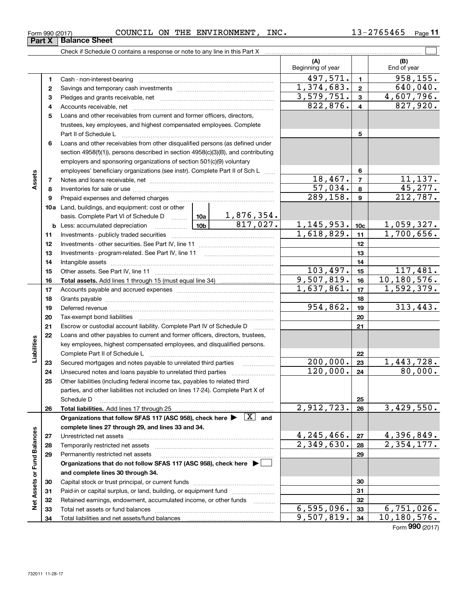| Form 990 (2017) | COUNCIL | ON<br>THE | <b>ENVIRONMENT</b> | INC. | - - -<br>$\sim$<br>5465<br>U J | Page |
|-----------------|---------|-----------|--------------------|------|--------------------------------|------|
|-----------------|---------|-----------|--------------------|------|--------------------------------|------|

| (A)<br>(B)<br>Beginning of year<br>End of year<br>$\overline{958,155}$ .<br>497,571.<br>$\mathbf{1}$<br>1.<br>$\overline{1,374},683.$<br>640,040.<br>$\mathbf{2}$<br>2<br>4,607,796.<br>3,579,751.<br>$\mathbf{3}$<br>з<br>827,920.<br>822,876.<br>$\overline{\mathbf{4}}$<br>4<br>Loans and other receivables from current and former officers, directors,<br>5<br>trustees, key employees, and highest compensated employees. Complete<br>5<br>Part II of Schedule L<br>Loans and other receivables from other disqualified persons (as defined under<br>6<br>section 4958(f)(1)), persons described in section 4958(c)(3)(B), and contributing<br>employers and sponsoring organizations of section 501(c)(9) voluntary<br>employees' beneficiary organizations (see instr). Complete Part II of Sch L<br>6<br>Assets<br>18,467.<br>11,137.<br>$\overline{7}$<br>7<br>45,277.<br>$\overline{57,034}$ .<br>8<br>8<br>212,787.<br>$\overline{289,158}$ .<br>$\mathbf{9}$<br>9<br>Prepaid expenses and deferred charges<br><b>10a</b> Land, buildings, and equipment: cost or other<br><u>1,876,354.</u><br>basis. Complete Part VI of Schedule D  10a<br>817,027.<br>1, 145, 953.<br>1,059,327.<br>10b l<br>10 <sub>c</sub><br><b>b</b> Less: accumulated depreciation<br>. 1<br>1,700,656.<br>1,618,829.<br>11<br>11<br>12<br>12<br>13<br>13<br>14<br>14<br>103,497.<br>117,481.<br>15<br>15<br>9,507,819.<br>10, 180, 576.<br>16<br>16<br>1,637,861.<br>1,592,379.<br>17<br>17<br>18<br>18<br>954,862.<br>313,443.<br>19<br>19<br>Deferred revenue manual contracts and contracts are contracted and contract and contract are contracted and contract are contracted and contract are contracted and contract are contracted and contract are contracted and co<br>20<br>20<br>21<br>21<br>Escrow or custodial account liability. Complete Part IV of Schedule D<br>.<br>Loans and other payables to current and former officers, directors, trustees,<br>22<br>Liabilities<br>key employees, highest compensated employees, and disqualified persons.<br>22<br>1,443,728.<br>200,000.<br>23<br>Secured mortgages and notes payable to unrelated third parties<br>23<br>120,000.<br>80,000.<br>24<br>24<br>25<br>Other liabilities (including federal income tax, payables to related third<br>parties, and other liabilities not included on lines 17-24). Complete Part X of<br>25<br>Schedule D<br>2,912,723.<br>3,429,550.<br>26<br>26<br>Organizations that follow SFAS 117 (ASC 958), check here $\blacktriangleright \begin{array}{ c } \hline X & \text{and} \end{array}$<br>complete lines 27 through 29, and lines 33 and 34.<br>Net Assets or Fund Balances<br>4,396,849.<br>4,245,466.<br>27<br>27<br>$\overline{2,349,630}$ .<br>$\overline{2}$ , 354, 177.<br>28<br>28<br>29<br>29<br>Permanently restricted net assets<br>Organizations that do not follow SFAS 117 (ASC 958), check here ▶ □<br>and complete lines 30 through 34.<br>30<br>30<br>Paid-in or capital surplus, or land, building, or equipment fund<br>31<br>31<br>32<br>Retained earnings, endowment, accumulated income, or other funds<br>32<br>6, 595, 096.<br>6,751,026.<br>33<br>33<br>9,507,819.<br>10, 180, 576.<br>34<br>34 |  | Check if Schedule O contains a response or note to any line in this Part X |  |  |  |                   |
|------------------------------------------------------------------------------------------------------------------------------------------------------------------------------------------------------------------------------------------------------------------------------------------------------------------------------------------------------------------------------------------------------------------------------------------------------------------------------------------------------------------------------------------------------------------------------------------------------------------------------------------------------------------------------------------------------------------------------------------------------------------------------------------------------------------------------------------------------------------------------------------------------------------------------------------------------------------------------------------------------------------------------------------------------------------------------------------------------------------------------------------------------------------------------------------------------------------------------------------------------------------------------------------------------------------------------------------------------------------------------------------------------------------------------------------------------------------------------------------------------------------------------------------------------------------------------------------------------------------------------------------------------------------------------------------------------------------------------------------------------------------------------------------------------------------------------------------------------------------------------------------------------------------------------------------------------------------------------------------------------------------------------------------------------------------------------------------------------------------------------------------------------------------------------------------------------------------------------------------------------------------------------------------------------------------------------------------------------------------------------------------------------------------------------------------------------------------------------------------------------------------------------------------------------------------------------------------------------------------------------------------------------------------------------------------------------------------------------------------------------------------------------------------------------------------------------------------------------------------------------------------------------------------------------------------------------------------------------------------------------------------------------------------------------------------------------------------------------------------------------------------------------------------------------------------------------------------------|--|----------------------------------------------------------------------------|--|--|--|-------------------|
|                                                                                                                                                                                                                                                                                                                                                                                                                                                                                                                                                                                                                                                                                                                                                                                                                                                                                                                                                                                                                                                                                                                                                                                                                                                                                                                                                                                                                                                                                                                                                                                                                                                                                                                                                                                                                                                                                                                                                                                                                                                                                                                                                                                                                                                                                                                                                                                                                                                                                                                                                                                                                                                                                                                                                                                                                                                                                                                                                                                                                                                                                                                                                                                                                        |  |                                                                            |  |  |  |                   |
|                                                                                                                                                                                                                                                                                                                                                                                                                                                                                                                                                                                                                                                                                                                                                                                                                                                                                                                                                                                                                                                                                                                                                                                                                                                                                                                                                                                                                                                                                                                                                                                                                                                                                                                                                                                                                                                                                                                                                                                                                                                                                                                                                                                                                                                                                                                                                                                                                                                                                                                                                                                                                                                                                                                                                                                                                                                                                                                                                                                                                                                                                                                                                                                                                        |  |                                                                            |  |  |  |                   |
|                                                                                                                                                                                                                                                                                                                                                                                                                                                                                                                                                                                                                                                                                                                                                                                                                                                                                                                                                                                                                                                                                                                                                                                                                                                                                                                                                                                                                                                                                                                                                                                                                                                                                                                                                                                                                                                                                                                                                                                                                                                                                                                                                                                                                                                                                                                                                                                                                                                                                                                                                                                                                                                                                                                                                                                                                                                                                                                                                                                                                                                                                                                                                                                                                        |  |                                                                            |  |  |  |                   |
|                                                                                                                                                                                                                                                                                                                                                                                                                                                                                                                                                                                                                                                                                                                                                                                                                                                                                                                                                                                                                                                                                                                                                                                                                                                                                                                                                                                                                                                                                                                                                                                                                                                                                                                                                                                                                                                                                                                                                                                                                                                                                                                                                                                                                                                                                                                                                                                                                                                                                                                                                                                                                                                                                                                                                                                                                                                                                                                                                                                                                                                                                                                                                                                                                        |  |                                                                            |  |  |  |                   |
|                                                                                                                                                                                                                                                                                                                                                                                                                                                                                                                                                                                                                                                                                                                                                                                                                                                                                                                                                                                                                                                                                                                                                                                                                                                                                                                                                                                                                                                                                                                                                                                                                                                                                                                                                                                                                                                                                                                                                                                                                                                                                                                                                                                                                                                                                                                                                                                                                                                                                                                                                                                                                                                                                                                                                                                                                                                                                                                                                                                                                                                                                                                                                                                                                        |  |                                                                            |  |  |  |                   |
|                                                                                                                                                                                                                                                                                                                                                                                                                                                                                                                                                                                                                                                                                                                                                                                                                                                                                                                                                                                                                                                                                                                                                                                                                                                                                                                                                                                                                                                                                                                                                                                                                                                                                                                                                                                                                                                                                                                                                                                                                                                                                                                                                                                                                                                                                                                                                                                                                                                                                                                                                                                                                                                                                                                                                                                                                                                                                                                                                                                                                                                                                                                                                                                                                        |  |                                                                            |  |  |  |                   |
|                                                                                                                                                                                                                                                                                                                                                                                                                                                                                                                                                                                                                                                                                                                                                                                                                                                                                                                                                                                                                                                                                                                                                                                                                                                                                                                                                                                                                                                                                                                                                                                                                                                                                                                                                                                                                                                                                                                                                                                                                                                                                                                                                                                                                                                                                                                                                                                                                                                                                                                                                                                                                                                                                                                                                                                                                                                                                                                                                                                                                                                                                                                                                                                                                        |  |                                                                            |  |  |  |                   |
|                                                                                                                                                                                                                                                                                                                                                                                                                                                                                                                                                                                                                                                                                                                                                                                                                                                                                                                                                                                                                                                                                                                                                                                                                                                                                                                                                                                                                                                                                                                                                                                                                                                                                                                                                                                                                                                                                                                                                                                                                                                                                                                                                                                                                                                                                                                                                                                                                                                                                                                                                                                                                                                                                                                                                                                                                                                                                                                                                                                                                                                                                                                                                                                                                        |  |                                                                            |  |  |  |                   |
|                                                                                                                                                                                                                                                                                                                                                                                                                                                                                                                                                                                                                                                                                                                                                                                                                                                                                                                                                                                                                                                                                                                                                                                                                                                                                                                                                                                                                                                                                                                                                                                                                                                                                                                                                                                                                                                                                                                                                                                                                                                                                                                                                                                                                                                                                                                                                                                                                                                                                                                                                                                                                                                                                                                                                                                                                                                                                                                                                                                                                                                                                                                                                                                                                        |  |                                                                            |  |  |  |                   |
|                                                                                                                                                                                                                                                                                                                                                                                                                                                                                                                                                                                                                                                                                                                                                                                                                                                                                                                                                                                                                                                                                                                                                                                                                                                                                                                                                                                                                                                                                                                                                                                                                                                                                                                                                                                                                                                                                                                                                                                                                                                                                                                                                                                                                                                                                                                                                                                                                                                                                                                                                                                                                                                                                                                                                                                                                                                                                                                                                                                                                                                                                                                                                                                                                        |  |                                                                            |  |  |  |                   |
|                                                                                                                                                                                                                                                                                                                                                                                                                                                                                                                                                                                                                                                                                                                                                                                                                                                                                                                                                                                                                                                                                                                                                                                                                                                                                                                                                                                                                                                                                                                                                                                                                                                                                                                                                                                                                                                                                                                                                                                                                                                                                                                                                                                                                                                                                                                                                                                                                                                                                                                                                                                                                                                                                                                                                                                                                                                                                                                                                                                                                                                                                                                                                                                                                        |  |                                                                            |  |  |  |                   |
|                                                                                                                                                                                                                                                                                                                                                                                                                                                                                                                                                                                                                                                                                                                                                                                                                                                                                                                                                                                                                                                                                                                                                                                                                                                                                                                                                                                                                                                                                                                                                                                                                                                                                                                                                                                                                                                                                                                                                                                                                                                                                                                                                                                                                                                                                                                                                                                                                                                                                                                                                                                                                                                                                                                                                                                                                                                                                                                                                                                                                                                                                                                                                                                                                        |  |                                                                            |  |  |  |                   |
|                                                                                                                                                                                                                                                                                                                                                                                                                                                                                                                                                                                                                                                                                                                                                                                                                                                                                                                                                                                                                                                                                                                                                                                                                                                                                                                                                                                                                                                                                                                                                                                                                                                                                                                                                                                                                                                                                                                                                                                                                                                                                                                                                                                                                                                                                                                                                                                                                                                                                                                                                                                                                                                                                                                                                                                                                                                                                                                                                                                                                                                                                                                                                                                                                        |  |                                                                            |  |  |  |                   |
|                                                                                                                                                                                                                                                                                                                                                                                                                                                                                                                                                                                                                                                                                                                                                                                                                                                                                                                                                                                                                                                                                                                                                                                                                                                                                                                                                                                                                                                                                                                                                                                                                                                                                                                                                                                                                                                                                                                                                                                                                                                                                                                                                                                                                                                                                                                                                                                                                                                                                                                                                                                                                                                                                                                                                                                                                                                                                                                                                                                                                                                                                                                                                                                                                        |  |                                                                            |  |  |  |                   |
|                                                                                                                                                                                                                                                                                                                                                                                                                                                                                                                                                                                                                                                                                                                                                                                                                                                                                                                                                                                                                                                                                                                                                                                                                                                                                                                                                                                                                                                                                                                                                                                                                                                                                                                                                                                                                                                                                                                                                                                                                                                                                                                                                                                                                                                                                                                                                                                                                                                                                                                                                                                                                                                                                                                                                                                                                                                                                                                                                                                                                                                                                                                                                                                                                        |  |                                                                            |  |  |  |                   |
|                                                                                                                                                                                                                                                                                                                                                                                                                                                                                                                                                                                                                                                                                                                                                                                                                                                                                                                                                                                                                                                                                                                                                                                                                                                                                                                                                                                                                                                                                                                                                                                                                                                                                                                                                                                                                                                                                                                                                                                                                                                                                                                                                                                                                                                                                                                                                                                                                                                                                                                                                                                                                                                                                                                                                                                                                                                                                                                                                                                                                                                                                                                                                                                                                        |  |                                                                            |  |  |  |                   |
|                                                                                                                                                                                                                                                                                                                                                                                                                                                                                                                                                                                                                                                                                                                                                                                                                                                                                                                                                                                                                                                                                                                                                                                                                                                                                                                                                                                                                                                                                                                                                                                                                                                                                                                                                                                                                                                                                                                                                                                                                                                                                                                                                                                                                                                                                                                                                                                                                                                                                                                                                                                                                                                                                                                                                                                                                                                                                                                                                                                                                                                                                                                                                                                                                        |  |                                                                            |  |  |  |                   |
|                                                                                                                                                                                                                                                                                                                                                                                                                                                                                                                                                                                                                                                                                                                                                                                                                                                                                                                                                                                                                                                                                                                                                                                                                                                                                                                                                                                                                                                                                                                                                                                                                                                                                                                                                                                                                                                                                                                                                                                                                                                                                                                                                                                                                                                                                                                                                                                                                                                                                                                                                                                                                                                                                                                                                                                                                                                                                                                                                                                                                                                                                                                                                                                                                        |  |                                                                            |  |  |  |                   |
|                                                                                                                                                                                                                                                                                                                                                                                                                                                                                                                                                                                                                                                                                                                                                                                                                                                                                                                                                                                                                                                                                                                                                                                                                                                                                                                                                                                                                                                                                                                                                                                                                                                                                                                                                                                                                                                                                                                                                                                                                                                                                                                                                                                                                                                                                                                                                                                                                                                                                                                                                                                                                                                                                                                                                                                                                                                                                                                                                                                                                                                                                                                                                                                                                        |  |                                                                            |  |  |  |                   |
|                                                                                                                                                                                                                                                                                                                                                                                                                                                                                                                                                                                                                                                                                                                                                                                                                                                                                                                                                                                                                                                                                                                                                                                                                                                                                                                                                                                                                                                                                                                                                                                                                                                                                                                                                                                                                                                                                                                                                                                                                                                                                                                                                                                                                                                                                                                                                                                                                                                                                                                                                                                                                                                                                                                                                                                                                                                                                                                                                                                                                                                                                                                                                                                                                        |  |                                                                            |  |  |  |                   |
|                                                                                                                                                                                                                                                                                                                                                                                                                                                                                                                                                                                                                                                                                                                                                                                                                                                                                                                                                                                                                                                                                                                                                                                                                                                                                                                                                                                                                                                                                                                                                                                                                                                                                                                                                                                                                                                                                                                                                                                                                                                                                                                                                                                                                                                                                                                                                                                                                                                                                                                                                                                                                                                                                                                                                                                                                                                                                                                                                                                                                                                                                                                                                                                                                        |  |                                                                            |  |  |  |                   |
|                                                                                                                                                                                                                                                                                                                                                                                                                                                                                                                                                                                                                                                                                                                                                                                                                                                                                                                                                                                                                                                                                                                                                                                                                                                                                                                                                                                                                                                                                                                                                                                                                                                                                                                                                                                                                                                                                                                                                                                                                                                                                                                                                                                                                                                                                                                                                                                                                                                                                                                                                                                                                                                                                                                                                                                                                                                                                                                                                                                                                                                                                                                                                                                                                        |  |                                                                            |  |  |  |                   |
|                                                                                                                                                                                                                                                                                                                                                                                                                                                                                                                                                                                                                                                                                                                                                                                                                                                                                                                                                                                                                                                                                                                                                                                                                                                                                                                                                                                                                                                                                                                                                                                                                                                                                                                                                                                                                                                                                                                                                                                                                                                                                                                                                                                                                                                                                                                                                                                                                                                                                                                                                                                                                                                                                                                                                                                                                                                                                                                                                                                                                                                                                                                                                                                                                        |  |                                                                            |  |  |  |                   |
|                                                                                                                                                                                                                                                                                                                                                                                                                                                                                                                                                                                                                                                                                                                                                                                                                                                                                                                                                                                                                                                                                                                                                                                                                                                                                                                                                                                                                                                                                                                                                                                                                                                                                                                                                                                                                                                                                                                                                                                                                                                                                                                                                                                                                                                                                                                                                                                                                                                                                                                                                                                                                                                                                                                                                                                                                                                                                                                                                                                                                                                                                                                                                                                                                        |  |                                                                            |  |  |  |                   |
|                                                                                                                                                                                                                                                                                                                                                                                                                                                                                                                                                                                                                                                                                                                                                                                                                                                                                                                                                                                                                                                                                                                                                                                                                                                                                                                                                                                                                                                                                                                                                                                                                                                                                                                                                                                                                                                                                                                                                                                                                                                                                                                                                                                                                                                                                                                                                                                                                                                                                                                                                                                                                                                                                                                                                                                                                                                                                                                                                                                                                                                                                                                                                                                                                        |  |                                                                            |  |  |  |                   |
|                                                                                                                                                                                                                                                                                                                                                                                                                                                                                                                                                                                                                                                                                                                                                                                                                                                                                                                                                                                                                                                                                                                                                                                                                                                                                                                                                                                                                                                                                                                                                                                                                                                                                                                                                                                                                                                                                                                                                                                                                                                                                                                                                                                                                                                                                                                                                                                                                                                                                                                                                                                                                                                                                                                                                                                                                                                                                                                                                                                                                                                                                                                                                                                                                        |  |                                                                            |  |  |  |                   |
|                                                                                                                                                                                                                                                                                                                                                                                                                                                                                                                                                                                                                                                                                                                                                                                                                                                                                                                                                                                                                                                                                                                                                                                                                                                                                                                                                                                                                                                                                                                                                                                                                                                                                                                                                                                                                                                                                                                                                                                                                                                                                                                                                                                                                                                                                                                                                                                                                                                                                                                                                                                                                                                                                                                                                                                                                                                                                                                                                                                                                                                                                                                                                                                                                        |  |                                                                            |  |  |  |                   |
|                                                                                                                                                                                                                                                                                                                                                                                                                                                                                                                                                                                                                                                                                                                                                                                                                                                                                                                                                                                                                                                                                                                                                                                                                                                                                                                                                                                                                                                                                                                                                                                                                                                                                                                                                                                                                                                                                                                                                                                                                                                                                                                                                                                                                                                                                                                                                                                                                                                                                                                                                                                                                                                                                                                                                                                                                                                                                                                                                                                                                                                                                                                                                                                                                        |  |                                                                            |  |  |  |                   |
|                                                                                                                                                                                                                                                                                                                                                                                                                                                                                                                                                                                                                                                                                                                                                                                                                                                                                                                                                                                                                                                                                                                                                                                                                                                                                                                                                                                                                                                                                                                                                                                                                                                                                                                                                                                                                                                                                                                                                                                                                                                                                                                                                                                                                                                                                                                                                                                                                                                                                                                                                                                                                                                                                                                                                                                                                                                                                                                                                                                                                                                                                                                                                                                                                        |  |                                                                            |  |  |  |                   |
|                                                                                                                                                                                                                                                                                                                                                                                                                                                                                                                                                                                                                                                                                                                                                                                                                                                                                                                                                                                                                                                                                                                                                                                                                                                                                                                                                                                                                                                                                                                                                                                                                                                                                                                                                                                                                                                                                                                                                                                                                                                                                                                                                                                                                                                                                                                                                                                                                                                                                                                                                                                                                                                                                                                                                                                                                                                                                                                                                                                                                                                                                                                                                                                                                        |  |                                                                            |  |  |  |                   |
|                                                                                                                                                                                                                                                                                                                                                                                                                                                                                                                                                                                                                                                                                                                                                                                                                                                                                                                                                                                                                                                                                                                                                                                                                                                                                                                                                                                                                                                                                                                                                                                                                                                                                                                                                                                                                                                                                                                                                                                                                                                                                                                                                                                                                                                                                                                                                                                                                                                                                                                                                                                                                                                                                                                                                                                                                                                                                                                                                                                                                                                                                                                                                                                                                        |  |                                                                            |  |  |  |                   |
|                                                                                                                                                                                                                                                                                                                                                                                                                                                                                                                                                                                                                                                                                                                                                                                                                                                                                                                                                                                                                                                                                                                                                                                                                                                                                                                                                                                                                                                                                                                                                                                                                                                                                                                                                                                                                                                                                                                                                                                                                                                                                                                                                                                                                                                                                                                                                                                                                                                                                                                                                                                                                                                                                                                                                                                                                                                                                                                                                                                                                                                                                                                                                                                                                        |  |                                                                            |  |  |  |                   |
|                                                                                                                                                                                                                                                                                                                                                                                                                                                                                                                                                                                                                                                                                                                                                                                                                                                                                                                                                                                                                                                                                                                                                                                                                                                                                                                                                                                                                                                                                                                                                                                                                                                                                                                                                                                                                                                                                                                                                                                                                                                                                                                                                                                                                                                                                                                                                                                                                                                                                                                                                                                                                                                                                                                                                                                                                                                                                                                                                                                                                                                                                                                                                                                                                        |  |                                                                            |  |  |  |                   |
|                                                                                                                                                                                                                                                                                                                                                                                                                                                                                                                                                                                                                                                                                                                                                                                                                                                                                                                                                                                                                                                                                                                                                                                                                                                                                                                                                                                                                                                                                                                                                                                                                                                                                                                                                                                                                                                                                                                                                                                                                                                                                                                                                                                                                                                                                                                                                                                                                                                                                                                                                                                                                                                                                                                                                                                                                                                                                                                                                                                                                                                                                                                                                                                                                        |  |                                                                            |  |  |  |                   |
|                                                                                                                                                                                                                                                                                                                                                                                                                                                                                                                                                                                                                                                                                                                                                                                                                                                                                                                                                                                                                                                                                                                                                                                                                                                                                                                                                                                                                                                                                                                                                                                                                                                                                                                                                                                                                                                                                                                                                                                                                                                                                                                                                                                                                                                                                                                                                                                                                                                                                                                                                                                                                                                                                                                                                                                                                                                                                                                                                                                                                                                                                                                                                                                                                        |  |                                                                            |  |  |  |                   |
|                                                                                                                                                                                                                                                                                                                                                                                                                                                                                                                                                                                                                                                                                                                                                                                                                                                                                                                                                                                                                                                                                                                                                                                                                                                                                                                                                                                                                                                                                                                                                                                                                                                                                                                                                                                                                                                                                                                                                                                                                                                                                                                                                                                                                                                                                                                                                                                                                                                                                                                                                                                                                                                                                                                                                                                                                                                                                                                                                                                                                                                                                                                                                                                                                        |  |                                                                            |  |  |  |                   |
|                                                                                                                                                                                                                                                                                                                                                                                                                                                                                                                                                                                                                                                                                                                                                                                                                                                                                                                                                                                                                                                                                                                                                                                                                                                                                                                                                                                                                                                                                                                                                                                                                                                                                                                                                                                                                                                                                                                                                                                                                                                                                                                                                                                                                                                                                                                                                                                                                                                                                                                                                                                                                                                                                                                                                                                                                                                                                                                                                                                                                                                                                                                                                                                                                        |  |                                                                            |  |  |  |                   |
|                                                                                                                                                                                                                                                                                                                                                                                                                                                                                                                                                                                                                                                                                                                                                                                                                                                                                                                                                                                                                                                                                                                                                                                                                                                                                                                                                                                                                                                                                                                                                                                                                                                                                                                                                                                                                                                                                                                                                                                                                                                                                                                                                                                                                                                                                                                                                                                                                                                                                                                                                                                                                                                                                                                                                                                                                                                                                                                                                                                                                                                                                                                                                                                                                        |  |                                                                            |  |  |  |                   |
|                                                                                                                                                                                                                                                                                                                                                                                                                                                                                                                                                                                                                                                                                                                                                                                                                                                                                                                                                                                                                                                                                                                                                                                                                                                                                                                                                                                                                                                                                                                                                                                                                                                                                                                                                                                                                                                                                                                                                                                                                                                                                                                                                                                                                                                                                                                                                                                                                                                                                                                                                                                                                                                                                                                                                                                                                                                                                                                                                                                                                                                                                                                                                                                                                        |  |                                                                            |  |  |  |                   |
|                                                                                                                                                                                                                                                                                                                                                                                                                                                                                                                                                                                                                                                                                                                                                                                                                                                                                                                                                                                                                                                                                                                                                                                                                                                                                                                                                                                                                                                                                                                                                                                                                                                                                                                                                                                                                                                                                                                                                                                                                                                                                                                                                                                                                                                                                                                                                                                                                                                                                                                                                                                                                                                                                                                                                                                                                                                                                                                                                                                                                                                                                                                                                                                                                        |  |                                                                            |  |  |  |                   |
|                                                                                                                                                                                                                                                                                                                                                                                                                                                                                                                                                                                                                                                                                                                                                                                                                                                                                                                                                                                                                                                                                                                                                                                                                                                                                                                                                                                                                                                                                                                                                                                                                                                                                                                                                                                                                                                                                                                                                                                                                                                                                                                                                                                                                                                                                                                                                                                                                                                                                                                                                                                                                                                                                                                                                                                                                                                                                                                                                                                                                                                                                                                                                                                                                        |  |                                                                            |  |  |  |                   |
|                                                                                                                                                                                                                                                                                                                                                                                                                                                                                                                                                                                                                                                                                                                                                                                                                                                                                                                                                                                                                                                                                                                                                                                                                                                                                                                                                                                                                                                                                                                                                                                                                                                                                                                                                                                                                                                                                                                                                                                                                                                                                                                                                                                                                                                                                                                                                                                                                                                                                                                                                                                                                                                                                                                                                                                                                                                                                                                                                                                                                                                                                                                                                                                                                        |  |                                                                            |  |  |  |                   |
|                                                                                                                                                                                                                                                                                                                                                                                                                                                                                                                                                                                                                                                                                                                                                                                                                                                                                                                                                                                                                                                                                                                                                                                                                                                                                                                                                                                                                                                                                                                                                                                                                                                                                                                                                                                                                                                                                                                                                                                                                                                                                                                                                                                                                                                                                                                                                                                                                                                                                                                                                                                                                                                                                                                                                                                                                                                                                                                                                                                                                                                                                                                                                                                                                        |  |                                                                            |  |  |  |                   |
|                                                                                                                                                                                                                                                                                                                                                                                                                                                                                                                                                                                                                                                                                                                                                                                                                                                                                                                                                                                                                                                                                                                                                                                                                                                                                                                                                                                                                                                                                                                                                                                                                                                                                                                                                                                                                                                                                                                                                                                                                                                                                                                                                                                                                                                                                                                                                                                                                                                                                                                                                                                                                                                                                                                                                                                                                                                                                                                                                                                                                                                                                                                                                                                                                        |  |                                                                            |  |  |  |                   |
|                                                                                                                                                                                                                                                                                                                                                                                                                                                                                                                                                                                                                                                                                                                                                                                                                                                                                                                                                                                                                                                                                                                                                                                                                                                                                                                                                                                                                                                                                                                                                                                                                                                                                                                                                                                                                                                                                                                                                                                                                                                                                                                                                                                                                                                                                                                                                                                                                                                                                                                                                                                                                                                                                                                                                                                                                                                                                                                                                                                                                                                                                                                                                                                                                        |  |                                                                            |  |  |  |                   |
|                                                                                                                                                                                                                                                                                                                                                                                                                                                                                                                                                                                                                                                                                                                                                                                                                                                                                                                                                                                                                                                                                                                                                                                                                                                                                                                                                                                                                                                                                                                                                                                                                                                                                                                                                                                                                                                                                                                                                                                                                                                                                                                                                                                                                                                                                                                                                                                                                                                                                                                                                                                                                                                                                                                                                                                                                                                                                                                                                                                                                                                                                                                                                                                                                        |  |                                                                            |  |  |  |                   |
|                                                                                                                                                                                                                                                                                                                                                                                                                                                                                                                                                                                                                                                                                                                                                                                                                                                                                                                                                                                                                                                                                                                                                                                                                                                                                                                                                                                                                                                                                                                                                                                                                                                                                                                                                                                                                                                                                                                                                                                                                                                                                                                                                                                                                                                                                                                                                                                                                                                                                                                                                                                                                                                                                                                                                                                                                                                                                                                                                                                                                                                                                                                                                                                                                        |  |                                                                            |  |  |  |                   |
|                                                                                                                                                                                                                                                                                                                                                                                                                                                                                                                                                                                                                                                                                                                                                                                                                                                                                                                                                                                                                                                                                                                                                                                                                                                                                                                                                                                                                                                                                                                                                                                                                                                                                                                                                                                                                                                                                                                                                                                                                                                                                                                                                                                                                                                                                                                                                                                                                                                                                                                                                                                                                                                                                                                                                                                                                                                                                                                                                                                                                                                                                                                                                                                                                        |  |                                                                            |  |  |  |                   |
|                                                                                                                                                                                                                                                                                                                                                                                                                                                                                                                                                                                                                                                                                                                                                                                                                                                                                                                                                                                                                                                                                                                                                                                                                                                                                                                                                                                                                                                                                                                                                                                                                                                                                                                                                                                                                                                                                                                                                                                                                                                                                                                                                                                                                                                                                                                                                                                                                                                                                                                                                                                                                                                                                                                                                                                                                                                                                                                                                                                                                                                                                                                                                                                                                        |  |                                                                            |  |  |  |                   |
|                                                                                                                                                                                                                                                                                                                                                                                                                                                                                                                                                                                                                                                                                                                                                                                                                                                                                                                                                                                                                                                                                                                                                                                                                                                                                                                                                                                                                                                                                                                                                                                                                                                                                                                                                                                                                                                                                                                                                                                                                                                                                                                                                                                                                                                                                                                                                                                                                                                                                                                                                                                                                                                                                                                                                                                                                                                                                                                                                                                                                                                                                                                                                                                                                        |  |                                                                            |  |  |  | Form $990$ (2017) |

**Part X Balance Sheet**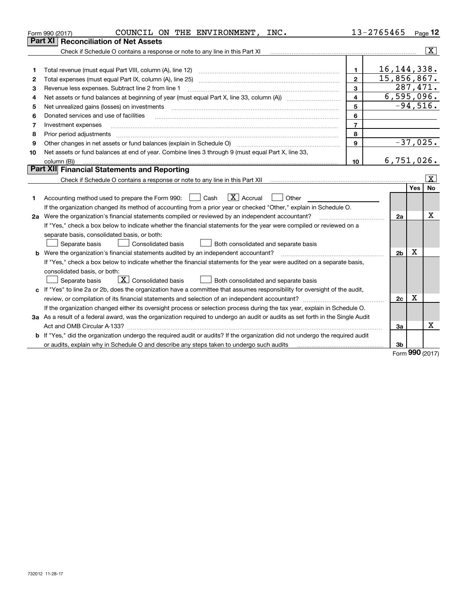|    | COUNCIL ON THE ENVIRONMENT,<br>INC.<br>Form 990 (2017)                                                                               |                | 13-2765465     | <u>Page</u> 12   |
|----|--------------------------------------------------------------------------------------------------------------------------------------|----------------|----------------|------------------|
|    | Part XI<br><b>Reconciliation of Net Assets</b>                                                                                       |                |                |                  |
|    | Check if Schedule O contains a response or note to any line in this Part XI                                                          |                |                | $\sqrt{X}$       |
|    |                                                                                                                                      |                |                |                  |
| 1  | Total revenue (must equal Part VIII, column (A), line 12)                                                                            | 1.             | 16, 144, 338.  |                  |
| 2  | Total expenses (must equal Part IX, column (A), line 25)                                                                             | $\mathbf{2}$   | 15,856,867.    |                  |
| З  | Revenue less expenses. Subtract line 2 from line 1                                                                                   | 3              |                | 287,471.         |
| 4  |                                                                                                                                      | $\overline{4}$ |                | 6,595,096.       |
| 5  | Net unrealized gains (losses) on investments                                                                                         | 5              |                | $-94,516.$       |
| 6  | Donated services and use of facilities                                                                                               | 6              |                |                  |
| 7  | Investment expenses                                                                                                                  | $\overline{7}$ |                |                  |
| 8  | Prior period adjustments                                                                                                             | 8              |                |                  |
| 9  | Other changes in net assets or fund balances (explain in Schedule O)                                                                 | 9              |                | $-37,025.$       |
| 10 | Net assets or fund balances at end of year. Combine lines 3 through 9 (must equal Part X, line 33,                                   |                |                |                  |
|    | column (B))                                                                                                                          | 10             |                | 6,751,026.       |
|    | Part XII Financial Statements and Reporting                                                                                          |                |                |                  |
|    |                                                                                                                                      |                |                | X                |
|    |                                                                                                                                      |                |                | <b>No</b><br>Yes |
| 1  | $\boxed{\mathbf{X}}$ Accrual<br>Accounting method used to prepare the Form 990: <u>June</u> Cash<br>Other                            |                |                |                  |
|    | If the organization changed its method of accounting from a prior year or checked "Other," explain in Schedule O.                    |                |                |                  |
|    | 2a Were the organization's financial statements compiled or reviewed by an independent accountant?                                   |                | 2a             | x                |
|    | If "Yes," check a box below to indicate whether the financial statements for the year were compiled or reviewed on a                 |                |                |                  |
|    | separate basis, consolidated basis, or both:                                                                                         |                |                |                  |
|    | Separate basis<br><b>Consolidated basis</b><br>Both consolidated and separate basis                                                  |                |                |                  |
|    | b Were the organization's financial statements audited by an independent accountant?                                                 |                | 2 <sub>b</sub> | x                |
|    | If "Yes," check a box below to indicate whether the financial statements for the year were audited on a separate basis,              |                |                |                  |
|    | consolidated basis, or both:                                                                                                         |                |                |                  |
|    | $\boxed{\textbf{X}}$ Consolidated basis<br>Separate basis<br>Both consolidated and separate basis                                    |                |                |                  |
|    | c If "Yes" to line 2a or 2b, does the organization have a committee that assumes responsibility for oversight of the audit,          |                |                |                  |
|    | review, or compilation of its financial statements and selection of an independent accountant?                                       |                | 2c             | х                |
|    | If the organization changed either its oversight process or selection process during the tax year, explain in Schedule O.            |                |                |                  |
|    | 3a As a result of a federal award, was the organization required to undergo an audit or audits as set forth in the Single Audit      |                |                |                  |
|    | Act and OMB Circular A-133?                                                                                                          |                | За             | x                |
|    | <b>b</b> If "Yes," did the organization undergo the required audit or audits? If the organization did not undergo the required audit |                |                |                  |
|    |                                                                                                                                      |                | Зb             |                  |
|    |                                                                                                                                      |                |                | $000 \text{ m}$  |

Form (2017) **990**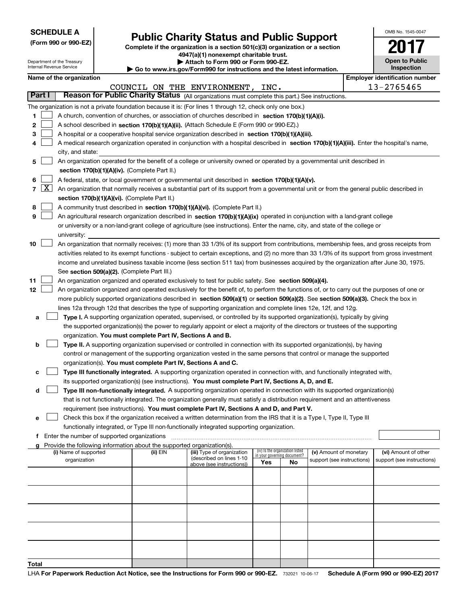| <b>SCHEDULE A</b> |  |
|-------------------|--|
|-------------------|--|

Department of the Treasury

**(Form 990 or 990-EZ)**

# **Public Charity Status and Public Support**

**Complete if the organization is a section 501(c)(3) organization or a section 4947(a)(1) nonexempt charitable trust. | Attach to Form 990 or Form 990-EZ.** 

| $\blacktriangleright$ Attuon to Form over or Form over EE. |  |                                                                 |
|------------------------------------------------------------|--|-----------------------------------------------------------------|
|                                                            |  | www.jrs.gov/Form990 for instructions and the latest information |

OMB No. 1545-0047

**2017**

**Open to Public**

|       |        | Internal Revenue Service                      |                                                                        | $\blacktriangleright$ Go to www.irs.gov/Form990 for instructions and the latest information.                                                                                                                             |     |                                   |                            | Inspection                            |
|-------|--------|-----------------------------------------------|------------------------------------------------------------------------|--------------------------------------------------------------------------------------------------------------------------------------------------------------------------------------------------------------------------|-----|-----------------------------------|----------------------------|---------------------------------------|
|       |        | Name of the organization                      |                                                                        |                                                                                                                                                                                                                          |     |                                   |                            | <b>Employer identification number</b> |
|       |        |                                               |                                                                        | COUNCIL ON THE ENVIRONMENT, INC.                                                                                                                                                                                         |     |                                   |                            | 13-2765465                            |
|       | Part I |                                               |                                                                        | Reason for Public Charity Status (All organizations must complete this part.) See instructions.                                                                                                                          |     |                                   |                            |                                       |
|       |        |                                               |                                                                        | The organization is not a private foundation because it is: (For lines 1 through 12, check only one box.)                                                                                                                |     |                                   |                            |                                       |
| 1.    |        |                                               |                                                                        | A church, convention of churches, or association of churches described in section 170(b)(1)(A)(i).                                                                                                                       |     |                                   |                            |                                       |
| 2     |        |                                               |                                                                        | A school described in section 170(b)(1)(A)(ii). (Attach Schedule E (Form 990 or 990-EZ).)                                                                                                                                |     |                                   |                            |                                       |
| 3     |        |                                               |                                                                        | A hospital or a cooperative hospital service organization described in section 170(b)(1)(A)(iii).                                                                                                                        |     |                                   |                            |                                       |
| 4     |        |                                               |                                                                        | A medical research organization operated in conjunction with a hospital described in section 170(b)(1)(A)(iii). Enter the hospital's name,                                                                               |     |                                   |                            |                                       |
|       |        | city, and state:                              |                                                                        |                                                                                                                                                                                                                          |     |                                   |                            |                                       |
| 5     |        |                                               |                                                                        | An organization operated for the benefit of a college or university owned or operated by a governmental unit described in                                                                                                |     |                                   |                            |                                       |
|       |        |                                               | section 170(b)(1)(A)(iv). (Complete Part II.)                          |                                                                                                                                                                                                                          |     |                                   |                            |                                       |
| 6     |        |                                               |                                                                        | A federal, state, or local government or governmental unit described in section 170(b)(1)(A)(v).                                                                                                                         |     |                                   |                            |                                       |
|       | 7   X  |                                               |                                                                        | An organization that normally receives a substantial part of its support from a governmental unit or from the general public described in                                                                                |     |                                   |                            |                                       |
|       |        |                                               | section 170(b)(1)(A)(vi). (Complete Part II.)                          |                                                                                                                                                                                                                          |     |                                   |                            |                                       |
| 8     |        |                                               |                                                                        | A community trust described in section 170(b)(1)(A)(vi). (Complete Part II.)                                                                                                                                             |     |                                   |                            |                                       |
| 9     |        |                                               |                                                                        | An agricultural research organization described in section 170(b)(1)(A)(ix) operated in conjunction with a land-grant college                                                                                            |     |                                   |                            |                                       |
|       |        |                                               |                                                                        | or university or a non-land-grant college of agriculture (see instructions). Enter the name, city, and state of the college or                                                                                           |     |                                   |                            |                                       |
|       |        | university:                                   |                                                                        |                                                                                                                                                                                                                          |     |                                   |                            |                                       |
| 10    |        |                                               |                                                                        | An organization that normally receives: (1) more than 33 1/3% of its support from contributions, membership fees, and gross receipts from                                                                                |     |                                   |                            |                                       |
|       |        |                                               |                                                                        | activities related to its exempt functions - subject to certain exceptions, and (2) no more than 33 1/3% of its support from gross investment                                                                            |     |                                   |                            |                                       |
|       |        |                                               |                                                                        | income and unrelated business taxable income (less section 511 tax) from businesses acquired by the organization after June 30, 1975.                                                                                    |     |                                   |                            |                                       |
|       |        |                                               | See section 509(a)(2). (Complete Part III.)                            |                                                                                                                                                                                                                          |     |                                   |                            |                                       |
| 11    |        |                                               |                                                                        | An organization organized and operated exclusively to test for public safety. See section 509(a)(4).                                                                                                                     |     |                                   |                            |                                       |
| 12    |        |                                               |                                                                        | An organization organized and operated exclusively for the benefit of, to perform the functions of, or to carry out the purposes of one or                                                                               |     |                                   |                            |                                       |
|       |        |                                               |                                                                        | more publicly supported organizations described in section 509(a)(1) or section 509(a)(2). See section 509(a)(3). Check the box in                                                                                       |     |                                   |                            |                                       |
|       |        |                                               |                                                                        | lines 12a through 12d that describes the type of supporting organization and complete lines 12e, 12f, and 12g.                                                                                                           |     |                                   |                            |                                       |
| а     |        |                                               |                                                                        | Type I. A supporting organization operated, supervised, or controlled by its supported organization(s), typically by giving                                                                                              |     |                                   |                            |                                       |
|       |        |                                               |                                                                        | the supported organization(s) the power to regularly appoint or elect a majority of the directors or trustees of the supporting                                                                                          |     |                                   |                            |                                       |
|       |        |                                               | organization. You must complete Part IV, Sections A and B.             |                                                                                                                                                                                                                          |     |                                   |                            |                                       |
| b     |        |                                               |                                                                        | Type II. A supporting organization supervised or controlled in connection with its supported organization(s), by having                                                                                                  |     |                                   |                            |                                       |
|       |        |                                               |                                                                        | control or management of the supporting organization vested in the same persons that control or manage the supported                                                                                                     |     |                                   |                            |                                       |
|       |        |                                               | organization(s). You must complete Part IV, Sections A and C.          |                                                                                                                                                                                                                          |     |                                   |                            |                                       |
| с     |        |                                               |                                                                        | Type III functionally integrated. A supporting organization operated in connection with, and functionally integrated with,                                                                                               |     |                                   |                            |                                       |
|       |        |                                               |                                                                        | its supported organization(s) (see instructions). You must complete Part IV, Sections A, D, and E.                                                                                                                       |     |                                   |                            |                                       |
| d     |        |                                               |                                                                        | Type III non-functionally integrated. A supporting organization operated in connection with its supported organization(s)                                                                                                |     |                                   |                            |                                       |
|       |        |                                               |                                                                        | that is not functionally integrated. The organization generally must satisfy a distribution requirement and an attentiveness<br>requirement (see instructions). You must complete Part IV, Sections A and D, and Part V. |     |                                   |                            |                                       |
|       |        |                                               |                                                                        | Check this box if the organization received a written determination from the IRS that it is a Type I, Type II, Type III                                                                                                  |     |                                   |                            |                                       |
| е     |        |                                               |                                                                        | functionally integrated, or Type III non-functionally integrated supporting organization.                                                                                                                                |     |                                   |                            |                                       |
|       |        | f Enter the number of supported organizations |                                                                        |                                                                                                                                                                                                                          |     |                                   |                            |                                       |
|       |        |                                               | Provide the following information about the supported organization(s). |                                                                                                                                                                                                                          |     |                                   |                            |                                       |
|       |        | (i) Name of supported                         | (ii) EIN                                                               | (iii) Type of organization                                                                                                                                                                                               |     | (iv) Is the organization listed   | (v) Amount of monetary     | (vi) Amount of other                  |
|       |        | organization                                  |                                                                        | (described on lines 1-10<br>above (see instructions))                                                                                                                                                                    | Yes | in your governing document?<br>No | support (see instructions) | support (see instructions)            |
|       |        |                                               |                                                                        |                                                                                                                                                                                                                          |     |                                   |                            |                                       |
|       |        |                                               |                                                                        |                                                                                                                                                                                                                          |     |                                   |                            |                                       |
|       |        |                                               |                                                                        |                                                                                                                                                                                                                          |     |                                   |                            |                                       |
|       |        |                                               |                                                                        |                                                                                                                                                                                                                          |     |                                   |                            |                                       |
|       |        |                                               |                                                                        |                                                                                                                                                                                                                          |     |                                   |                            |                                       |
|       |        |                                               |                                                                        |                                                                                                                                                                                                                          |     |                                   |                            |                                       |
|       |        |                                               |                                                                        |                                                                                                                                                                                                                          |     |                                   |                            |                                       |
|       |        |                                               |                                                                        |                                                                                                                                                                                                                          |     |                                   |                            |                                       |
|       |        |                                               |                                                                        |                                                                                                                                                                                                                          |     |                                   |                            |                                       |
|       |        |                                               |                                                                        |                                                                                                                                                                                                                          |     |                                   |                            |                                       |
| Total |        |                                               |                                                                        |                                                                                                                                                                                                                          |     |                                   |                            |                                       |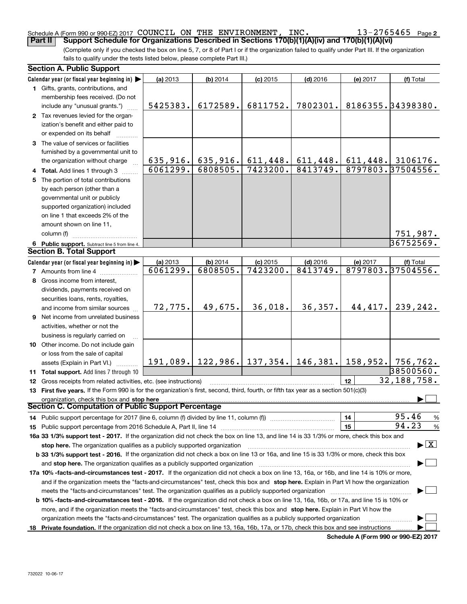### Schedule A (Form 990 or 990-EZ) 2017 Page COUNCIL ON THE ENVIRONMENT, INC. 13-2765465**Part II Comport Schedule for Organizations Described in Sections 170(b)(1)(A)(iv) and 170(b)(1)(A)(vi)**

**2**

(Complete only if you checked the box on line 5, 7, or 8 of Part I or if the organization failed to qualify under Part III. If the organization fails to qualify under the tests listed below, please complete Part III.)

| <b>Section A. Public Support</b>                                                                                                                                                                                                                                                      |                      |                        |                        |                                              |          |                                          |  |  |
|---------------------------------------------------------------------------------------------------------------------------------------------------------------------------------------------------------------------------------------------------------------------------------------|----------------------|------------------------|------------------------|----------------------------------------------|----------|------------------------------------------|--|--|
| Calendar year (or fiscal year beginning in)                                                                                                                                                                                                                                           | (a) 2013             | $(b)$ 2014             | $(c)$ 2015             | $(d)$ 2016                                   | (e) 2017 | (f) Total                                |  |  |
| 1 Gifts, grants, contributions, and                                                                                                                                                                                                                                                   |                      |                        |                        |                                              |          |                                          |  |  |
| membership fees received. (Do not                                                                                                                                                                                                                                                     |                      |                        |                        |                                              |          |                                          |  |  |
| include any "unusual grants.")                                                                                                                                                                                                                                                        | 5425383.             | 6172589.               | 6811752.               | 7802301.                                     |          | 8186355.34398380.                        |  |  |
| 2 Tax revenues levied for the organ-                                                                                                                                                                                                                                                  |                      |                        |                        |                                              |          |                                          |  |  |
| ization's benefit and either paid to                                                                                                                                                                                                                                                  |                      |                        |                        |                                              |          |                                          |  |  |
| or expended on its behalf                                                                                                                                                                                                                                                             |                      |                        |                        |                                              |          |                                          |  |  |
| 3 The value of services or facilities                                                                                                                                                                                                                                                 |                      |                        |                        |                                              |          |                                          |  |  |
| furnished by a governmental unit to                                                                                                                                                                                                                                                   |                      |                        |                        |                                              |          |                                          |  |  |
| the organization without charge                                                                                                                                                                                                                                                       | 635,916.             |                        | $635, 916.$ 611, 448.  | 611,448.                                     |          | $611, 448.$ 3106176.                     |  |  |
| 4 Total. Add lines 1 through 3                                                                                                                                                                                                                                                        | 6061299.             | 6808505.               | 7423200.               | 8413749.                                     |          | 8797803.37504556.                        |  |  |
| 5 The portion of total contributions                                                                                                                                                                                                                                                  |                      |                        |                        |                                              |          |                                          |  |  |
| by each person (other than a                                                                                                                                                                                                                                                          |                      |                        |                        |                                              |          |                                          |  |  |
| governmental unit or publicly                                                                                                                                                                                                                                                         |                      |                        |                        |                                              |          |                                          |  |  |
| supported organization) included                                                                                                                                                                                                                                                      |                      |                        |                        |                                              |          |                                          |  |  |
| on line 1 that exceeds 2% of the                                                                                                                                                                                                                                                      |                      |                        |                        |                                              |          |                                          |  |  |
| amount shown on line 11,                                                                                                                                                                                                                                                              |                      |                        |                        |                                              |          |                                          |  |  |
| column (f)                                                                                                                                                                                                                                                                            |                      |                        |                        |                                              |          | 751,987.                                 |  |  |
| 6 Public support. Subtract line 5 from line 4.                                                                                                                                                                                                                                        |                      |                        |                        |                                              |          | 36752569.                                |  |  |
| <b>Section B. Total Support</b>                                                                                                                                                                                                                                                       |                      |                        |                        |                                              |          |                                          |  |  |
|                                                                                                                                                                                                                                                                                       |                      |                        |                        |                                              |          |                                          |  |  |
| Calendar year (or fiscal year beginning in)                                                                                                                                                                                                                                           | (a) 2013<br>6061299. | $(b)$ 2014<br>6808505. | $(c)$ 2015<br>7423200. | $(d)$ 2016<br>8413749.                       | (e) 2017 | (f) Total<br>8797803.37504556.           |  |  |
| <b>7</b> Amounts from line 4                                                                                                                                                                                                                                                          |                      |                        |                        |                                              |          |                                          |  |  |
| 8 Gross income from interest,                                                                                                                                                                                                                                                         |                      |                        |                        |                                              |          |                                          |  |  |
| dividends, payments received on                                                                                                                                                                                                                                                       |                      |                        |                        |                                              |          |                                          |  |  |
| securities loans, rents, royalties,                                                                                                                                                                                                                                                   |                      |                        |                        |                                              |          |                                          |  |  |
| and income from similar sources                                                                                                                                                                                                                                                       | 72,775.              | 49,675.                | 36,018.                | 36,357.                                      | 44,417.  | 239,242.                                 |  |  |
| 9 Net income from unrelated business                                                                                                                                                                                                                                                  |                      |                        |                        |                                              |          |                                          |  |  |
| activities, whether or not the                                                                                                                                                                                                                                                        |                      |                        |                        |                                              |          |                                          |  |  |
| business is regularly carried on                                                                                                                                                                                                                                                      |                      |                        |                        |                                              |          |                                          |  |  |
| 10 Other income. Do not include gain                                                                                                                                                                                                                                                  |                      |                        |                        |                                              |          |                                          |  |  |
| or loss from the sale of capital                                                                                                                                                                                                                                                      |                      |                        |                        |                                              |          |                                          |  |  |
| assets (Explain in Part VI.)                                                                                                                                                                                                                                                          |                      |                        |                        | 191,089. 122,986. 137,354. 146,381. 158,952. |          | 756,762.                                 |  |  |
| 11 Total support. Add lines 7 through 10                                                                                                                                                                                                                                              |                      |                        |                        |                                              |          | 38500560.                                |  |  |
| 12 Gross receipts from related activities, etc. (see instructions)                                                                                                                                                                                                                    |                      |                        |                        |                                              | 12       | 32, 188, 758.                            |  |  |
| 13 First five years. If the Form 990 is for the organization's first, second, third, fourth, or fifth tax year as a section 501(c)(3)                                                                                                                                                 |                      |                        |                        |                                              |          |                                          |  |  |
| organization, check this box and stop here                                                                                                                                                                                                                                            |                      |                        |                        |                                              |          |                                          |  |  |
| Section C. Computation of Public Support Percentage                                                                                                                                                                                                                                   |                      |                        |                        |                                              |          |                                          |  |  |
| 14 Public support percentage for 2017 (line 6, column (f) divided by line 11, column (f) <i>mummention</i>                                                                                                                                                                            |                      |                        |                        |                                              | 14       | 95.46<br>%                               |  |  |
|                                                                                                                                                                                                                                                                                       |                      |                        |                        |                                              | 15       | 94.23<br>%                               |  |  |
| 16a 33 1/3% support test - 2017. If the organization did not check the box on line 13, and line 14 is 33 1/3% or more, check this box and                                                                                                                                             |                      |                        |                        |                                              |          |                                          |  |  |
| stop here. The organization qualifies as a publicly supported organization                                                                                                                                                                                                            |                      |                        |                        |                                              |          | $\blacktriangleright$ $\boxed{\text{X}}$ |  |  |
| b 33 1/3% support test - 2016. If the organization did not check a box on line 13 or 16a, and line 15 is 33 1/3% or more, check this box                                                                                                                                              |                      |                        |                        |                                              |          |                                          |  |  |
| and stop here. The organization qualifies as a publicly supported organization                                                                                                                                                                                                        |                      |                        |                        |                                              |          |                                          |  |  |
|                                                                                                                                                                                                                                                                                       |                      |                        |                        |                                              |          |                                          |  |  |
| 17a 10% -facts-and-circumstances test - 2017. If the organization did not check a box on line 13, 16a, or 16b, and line 14 is 10% or more,<br>and if the organization meets the "facts-and-circumstances" test, check this box and stop here. Explain in Part VI how the organization |                      |                        |                        |                                              |          |                                          |  |  |
| meets the "facts-and-circumstances" test. The organization qualifies as a publicly supported organization                                                                                                                                                                             |                      |                        |                        |                                              |          |                                          |  |  |
| <b>b 10% -facts-and-circumstances test - 2016.</b> If the organization did not check a box on line 13, 16a, 16b, or 17a, and line 15 is 10% or                                                                                                                                        |                      |                        |                        |                                              |          |                                          |  |  |
| more, and if the organization meets the "facts-and-circumstances" test, check this box and stop here. Explain in Part VI how the                                                                                                                                                      |                      |                        |                        |                                              |          |                                          |  |  |
| organization meets the "facts-and-circumstances" test. The organization qualifies as a publicly supported organization                                                                                                                                                                |                      |                        |                        |                                              |          |                                          |  |  |
|                                                                                                                                                                                                                                                                                       |                      |                        |                        |                                              |          |                                          |  |  |
| 18 Private foundation. If the organization did not check a box on line 13, 16a, 16b, 17a, or 17b, check this box and see instructions<br><b>Cohodulo A (Form 000 or 000 E7) 2017</b>                                                                                                  |                      |                        |                        |                                              |          |                                          |  |  |

**Schedule A (Form 990 or 990-EZ) 2017**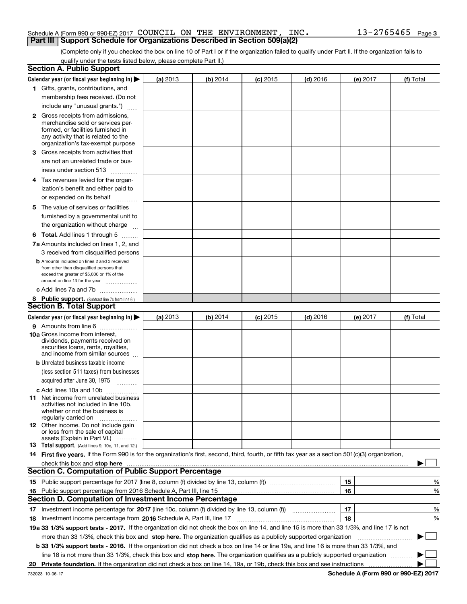## Schedule A (Form 990 or 990-EZ) 2017 Page COUNCIL ON THE ENVIRONMENT, INC. 13-2765465**Part III** | Support Schedule for Organizations Described in Section 509(a)(2)

(Complete only if you checked the box on line 10 of Part I or if the organization failed to qualify under Part II. If the organization fails to qualify under the tests listed below, please complete Part II.)

|    | <b>Section A. Public Support</b>                                                                                                                                                                                               |                 |          |            |            |    |          |                                      |        |
|----|--------------------------------------------------------------------------------------------------------------------------------------------------------------------------------------------------------------------------------|-----------------|----------|------------|------------|----|----------|--------------------------------------|--------|
|    | Calendar year (or fiscal year beginning in) $\blacktriangleright$                                                                                                                                                              | <b>(a)</b> 2013 | (b) 2014 | $(c)$ 2015 | $(d)$ 2016 |    | (e) 2017 | (f) Total                            |        |
|    | 1 Gifts, grants, contributions, and                                                                                                                                                                                            |                 |          |            |            |    |          |                                      |        |
|    | membership fees received. (Do not                                                                                                                                                                                              |                 |          |            |            |    |          |                                      |        |
|    | include any "unusual grants.")                                                                                                                                                                                                 |                 |          |            |            |    |          |                                      |        |
|    | <b>2</b> Gross receipts from admissions,<br>merchandise sold or services per-<br>formed, or facilities furnished in<br>any activity that is related to the<br>organization's tax-exempt purpose                                |                 |          |            |            |    |          |                                      |        |
|    | 3 Gross receipts from activities that<br>are not an unrelated trade or bus-                                                                                                                                                    |                 |          |            |            |    |          |                                      |        |
|    | iness under section 513                                                                                                                                                                                                        |                 |          |            |            |    |          |                                      |        |
|    | 4 Tax revenues levied for the organ-<br>ization's benefit and either paid to                                                                                                                                                   |                 |          |            |            |    |          |                                      |        |
|    | or expended on its behalf<br>.                                                                                                                                                                                                 |                 |          |            |            |    |          |                                      |        |
|    | 5 The value of services or facilities<br>furnished by a governmental unit to<br>the organization without charge                                                                                                                |                 |          |            |            |    |          |                                      |        |
|    | <b>6 Total.</b> Add lines 1 through 5                                                                                                                                                                                          |                 |          |            |            |    |          |                                      |        |
|    | 7a Amounts included on lines 1, 2, and                                                                                                                                                                                         |                 |          |            |            |    |          |                                      |        |
|    | 3 received from disqualified persons                                                                                                                                                                                           |                 |          |            |            |    |          |                                      |        |
|    | <b>b</b> Amounts included on lines 2 and 3 received<br>from other than disqualified persons that<br>exceed the greater of \$5,000 or 1% of the<br>amount on line 13 for the year                                               |                 |          |            |            |    |          |                                      |        |
|    | c Add lines 7a and 7b                                                                                                                                                                                                          |                 |          |            |            |    |          |                                      |        |
|    | 8 Public support. (Subtract line 7c from line 6.)                                                                                                                                                                              |                 |          |            |            |    |          |                                      |        |
|    | <b>Section B. Total Support</b>                                                                                                                                                                                                |                 |          |            |            |    |          |                                      |        |
|    | Calendar year (or fiscal year beginning in)                                                                                                                                                                                    | (a) 2013        | (b) 2014 | $(c)$ 2015 | $(d)$ 2016 |    | (e) 2017 | (f) Total                            |        |
|    | 9 Amounts from line 6                                                                                                                                                                                                          |                 |          |            |            |    |          |                                      |        |
|    | <b>10a</b> Gross income from interest,<br>dividends, payments received on<br>securities loans, rents, royalties,<br>and income from similar sources                                                                            |                 |          |            |            |    |          |                                      |        |
|    | <b>b</b> Unrelated business taxable income                                                                                                                                                                                     |                 |          |            |            |    |          |                                      |        |
|    | (less section 511 taxes) from businesses                                                                                                                                                                                       |                 |          |            |            |    |          |                                      |        |
|    | acquired after June 30, 1975<br>$\overline{\phantom{a}}$                                                                                                                                                                       |                 |          |            |            |    |          |                                      |        |
|    | c Add lines 10a and 10b                                                                                                                                                                                                        |                 |          |            |            |    |          |                                      |        |
|    | 11 Net income from unrelated business<br>activities not included in line 10b,<br>whether or not the business is<br>regularly carried on                                                                                        |                 |          |            |            |    |          |                                      |        |
|    | <b>12</b> Other income. Do not include gain<br>or loss from the sale of capital<br>assets (Explain in Part VI.)                                                                                                                |                 |          |            |            |    |          |                                      |        |
|    | 13 Total support. (Add lines 9, 10c, 11, and 12.)                                                                                                                                                                              |                 |          |            |            |    |          |                                      |        |
|    | 14 First five years. If the Form 990 is for the organization's first, second, third, fourth, or fifth tax year as a section 501(c)(3) organization,                                                                            |                 |          |            |            |    |          |                                      |        |
|    | check this box and stop here measurement content to the state of the state of the state of the state of the state of the state of the state of the state of the state of the state of the state of the state of the state of t |                 |          |            |            |    |          |                                      |        |
|    | <b>Section C. Computation of Public Support Percentage</b>                                                                                                                                                                     |                 |          |            |            |    |          |                                      |        |
|    |                                                                                                                                                                                                                                |                 |          |            |            | 15 |          |                                      | %      |
|    | 16 Public support percentage from 2016 Schedule A, Part III, line 15                                                                                                                                                           |                 |          |            |            | 16 |          |                                      | %      |
|    | <b>Section D. Computation of Investment Income Percentage</b>                                                                                                                                                                  |                 |          |            |            |    |          |                                      |        |
|    | 17 Investment income percentage for 2017 (line 10c, column (f) divided by line 13, column (f))                                                                                                                                 |                 |          |            |            | 17 |          |                                      | %      |
|    | <b>18</b> Investment income percentage from <b>2016</b> Schedule A, Part III, line 17                                                                                                                                          |                 |          |            |            | 18 |          |                                      | %      |
|    | 19a 33 1/3% support tests - 2017. If the organization did not check the box on line 14, and line 15 is more than 33 1/3%, and line 17 is not                                                                                   |                 |          |            |            |    |          |                                      |        |
|    | more than 33 1/3%, check this box and stop here. The organization qualifies as a publicly supported organization                                                                                                               |                 |          |            |            |    |          |                                      | $\sim$ |
|    | b 33 1/3% support tests - 2016. If the organization did not check a box on line 14 or line 19a, and line 16 is more than 33 1/3%, and                                                                                          |                 |          |            |            |    |          |                                      |        |
|    | line 18 is not more than 33 1/3%, check this box and stop here. The organization qualifies as a publicly supported organization                                                                                                |                 |          |            |            |    |          |                                      |        |
| 20 | Private foundation. If the organization did not check a box on line 14, 19a, or 19b, check this box and see instructions                                                                                                       |                 |          |            |            |    |          |                                      |        |
|    | 732023 10-06-17                                                                                                                                                                                                                |                 |          |            |            |    |          | Schedule A (Form 990 or 990-EZ) 2017 |        |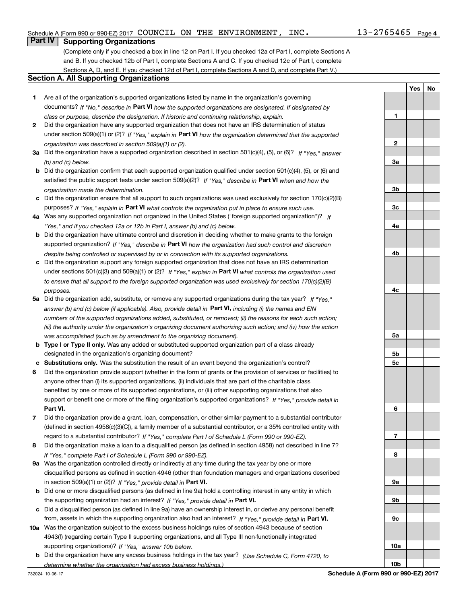**1**

**2**

**3a**

**3b**

**3c**

**4a**

**4b**

**4c**

**5a**

**5b5c**

**6**

**7**

**8**

**9a**

**9b**

**9c**

**10a**

**10b**

**Yes No**

# **Part IV Supporting Organizations**

(Complete only if you checked a box in line 12 on Part I. If you checked 12a of Part I, complete Sections A and B. If you checked 12b of Part I, complete Sections A and C. If you checked 12c of Part I, complete Sections A, D, and E. If you checked 12d of Part I, complete Sections A and D, and complete Part V.)

## **Section A. All Supporting Organizations**

- **1** Are all of the organization's supported organizations listed by name in the organization's governing documents? If "No," describe in **Part VI** how the supported organizations are designated. If designated by *class or purpose, describe the designation. If historic and continuing relationship, explain.*
- **2** Did the organization have any supported organization that does not have an IRS determination of status under section 509(a)(1) or (2)? If "Yes," explain in Part VI how the organization determined that the supported *organization was described in section 509(a)(1) or (2).*
- **3a** Did the organization have a supported organization described in section 501(c)(4), (5), or (6)? If "Yes," answer *(b) and (c) below.*
- **b** Did the organization confirm that each supported organization qualified under section 501(c)(4), (5), or (6) and satisfied the public support tests under section 509(a)(2)? If "Yes," describe in **Part VI** when and how the *organization made the determination.*
- **c**Did the organization ensure that all support to such organizations was used exclusively for section 170(c)(2)(B) purposes? If "Yes," explain in **Part VI** what controls the organization put in place to ensure such use.
- **4a***If* Was any supported organization not organized in the United States ("foreign supported organization")? *"Yes," and if you checked 12a or 12b in Part I, answer (b) and (c) below.*
- **b** Did the organization have ultimate control and discretion in deciding whether to make grants to the foreign supported organization? If "Yes," describe in **Part VI** how the organization had such control and discretion *despite being controlled or supervised by or in connection with its supported organizations.*
- **c** Did the organization support any foreign supported organization that does not have an IRS determination under sections 501(c)(3) and 509(a)(1) or (2)? If "Yes," explain in **Part VI** what controls the organization used *to ensure that all support to the foreign supported organization was used exclusively for section 170(c)(2)(B) purposes.*
- **5a***If "Yes,"* Did the organization add, substitute, or remove any supported organizations during the tax year? answer (b) and (c) below (if applicable). Also, provide detail in **Part VI,** including (i) the names and EIN *numbers of the supported organizations added, substituted, or removed; (ii) the reasons for each such action; (iii) the authority under the organization's organizing document authorizing such action; and (iv) how the action was accomplished (such as by amendment to the organizing document).*
- **b** Type I or Type II only. Was any added or substituted supported organization part of a class already designated in the organization's organizing document?
- **cSubstitutions only.**  Was the substitution the result of an event beyond the organization's control?
- **6** Did the organization provide support (whether in the form of grants or the provision of services or facilities) to **Part VI.** *If "Yes," provide detail in* support or benefit one or more of the filing organization's supported organizations? anyone other than (i) its supported organizations, (ii) individuals that are part of the charitable class benefited by one or more of its supported organizations, or (iii) other supporting organizations that also
- **7**Did the organization provide a grant, loan, compensation, or other similar payment to a substantial contributor *If "Yes," complete Part I of Schedule L (Form 990 or 990-EZ).* regard to a substantial contributor? (defined in section 4958(c)(3)(C)), a family member of a substantial contributor, or a 35% controlled entity with
- **8** Did the organization make a loan to a disqualified person (as defined in section 4958) not described in line 7? *If "Yes," complete Part I of Schedule L (Form 990 or 990-EZ).*
- **9a** Was the organization controlled directly or indirectly at any time during the tax year by one or more in section 509(a)(1) or (2))? If "Yes," *provide detail in* <code>Part VI.</code> disqualified persons as defined in section 4946 (other than foundation managers and organizations described
- **b** Did one or more disqualified persons (as defined in line 9a) hold a controlling interest in any entity in which the supporting organization had an interest? If "Yes," provide detail in P**art VI**.
- **c**Did a disqualified person (as defined in line 9a) have an ownership interest in, or derive any personal benefit from, assets in which the supporting organization also had an interest? If "Yes," provide detail in P**art VI.**
- **10a** Was the organization subject to the excess business holdings rules of section 4943 because of section supporting organizations)? If "Yes," answer 10b below. 4943(f) (regarding certain Type II supporting organizations, and all Type III non-functionally integrated
- **b** Did the organization have any excess business holdings in the tax year? (Use Schedule C, Form 4720, to *determine whether the organization had excess business holdings.)*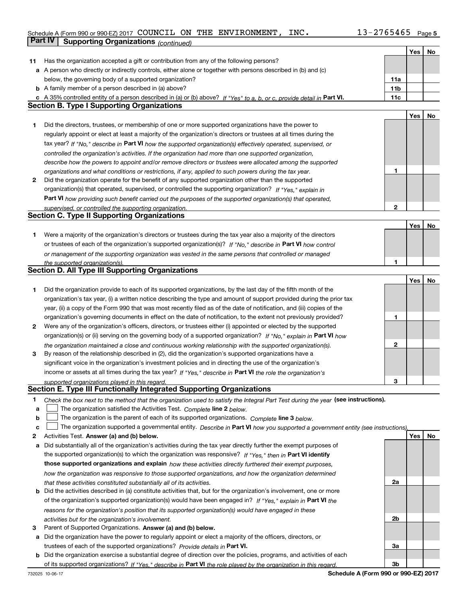# Schedule A (Form 990 or 990-EZ) 2017 Page COUNCIL ON THE ENVIRONMENT, INC. 13-2765465**Part IV Supporting Organizations** *(continued)*

|    |                                                                                                                                   |                 | Yes | No  |
|----|-----------------------------------------------------------------------------------------------------------------------------------|-----------------|-----|-----|
| 11 | Has the organization accepted a gift or contribution from any of the following persons?                                           |                 |     |     |
|    | a A person who directly or indirectly controls, either alone or together with persons described in (b) and (c)                    |                 |     |     |
|    | below, the governing body of a supported organization?                                                                            | 11a             |     |     |
|    | <b>b</b> A family member of a person described in (a) above?                                                                      | 11 <sub>b</sub> |     |     |
|    | c A 35% controlled entity of a person described in (a) or (b) above? If "Yes" to a, b, or c, provide detail in Part VI.           | 11c             |     |     |
|    | <b>Section B. Type I Supporting Organizations</b>                                                                                 |                 |     |     |
|    |                                                                                                                                   |                 | Yes | No  |
| 1  | Did the directors, trustees, or membership of one or more supported organizations have the power to                               |                 |     |     |
|    | regularly appoint or elect at least a majority of the organization's directors or trustees at all times during the                |                 |     |     |
|    | tax year? If "No," describe in Part VI how the supported organization(s) effectively operated, supervised, or                     |                 |     |     |
|    | controlled the organization's activities. If the organization had more than one supported organization,                           |                 |     |     |
|    | describe how the powers to appoint and/or remove directors or trustees were allocated among the supported                         |                 |     |     |
|    | organizations and what conditions or restrictions, if any, applied to such powers during the tax year.                            | 1               |     |     |
| 2  | Did the organization operate for the benefit of any supported organization other than the supported                               |                 |     |     |
|    | organization(s) that operated, supervised, or controlled the supporting organization? If "Yes," explain in                        |                 |     |     |
|    |                                                                                                                                   |                 |     |     |
|    | Part VI how providing such benefit carried out the purposes of the supported organization(s) that operated,                       | $\mathbf{2}$    |     |     |
|    | supervised, or controlled the supporting organization.<br><b>Section C. Type II Supporting Organizations</b>                      |                 |     |     |
|    |                                                                                                                                   |                 |     |     |
|    |                                                                                                                                   |                 | Yes | No  |
| 1  | Were a majority of the organization's directors or trustees during the tax year also a majority of the directors                  |                 |     |     |
|    | or trustees of each of the organization's supported organization(s)? If "No," describe in Part VI how control                     |                 |     |     |
|    | or management of the supporting organization was vested in the same persons that controlled or managed                            |                 |     |     |
|    | the supported organization(s).<br><b>Section D. All Type III Supporting Organizations</b>                                         | 1               |     |     |
|    |                                                                                                                                   |                 |     |     |
|    |                                                                                                                                   |                 | Yes | No  |
| 1  | Did the organization provide to each of its supported organizations, by the last day of the fifth month of the                    |                 |     |     |
|    | organization's tax year, (i) a written notice describing the type and amount of support provided during the prior tax             |                 |     |     |
|    | year, (ii) a copy of the Form 990 that was most recently filed as of the date of notification, and (iii) copies of the            |                 |     |     |
|    | organization's governing documents in effect on the date of notification, to the extent not previously provided?                  | 1               |     |     |
| 2  | Were any of the organization's officers, directors, or trustees either (i) appointed or elected by the supported                  |                 |     |     |
|    | organization(s) or (ii) serving on the governing body of a supported organization? If "No," explain in Part VI how                |                 |     |     |
|    | the organization maintained a close and continuous working relationship with the supported organization(s).                       | 2               |     |     |
| 3  | By reason of the relationship described in (2), did the organization's supported organizations have a                             |                 |     |     |
|    | significant voice in the organization's investment policies and in directing the use of the organization's                        |                 |     |     |
|    | income or assets at all times during the tax year? If "Yes," describe in Part VI the role the organization's                      |                 |     |     |
|    | supported organizations played in this regard.                                                                                    | 3               |     |     |
|    | Section E. Type III Functionally Integrated Supporting Organizations                                                              |                 |     |     |
| 1. | Check the box next to the method that the organization used to satisfy the Integral Part Test during the year (see instructions). |                 |     |     |
| a  | The organization satisfied the Activities Test. Complete line 2 below.                                                            |                 |     |     |
| b  | The organization is the parent of each of its supported organizations. Complete line 3 below.                                     |                 |     |     |
| c  | The organization supported a governmental entity. Describe in Part VI how you supported a government entity (see instructions),   |                 |     |     |
| 2  | Activities Test. Answer (a) and (b) below.                                                                                        |                 | Yes | No. |
| а  | Did substantially all of the organization's activities during the tax year directly further the exempt purposes of                |                 |     |     |
|    | the supported organization(s) to which the organization was responsive? If "Yes," then in Part VI identify                        |                 |     |     |
|    | those supported organizations and explain how these activities directly furthered their exempt purposes,                          |                 |     |     |
|    | how the organization was responsive to those supported organizations, and how the organization determined                         |                 |     |     |
|    | that these activities constituted substantially all of its activities.                                                            | 2a              |     |     |
|    | <b>b</b> Did the activities described in (a) constitute activities that, but for the organization's involvement, one or more      |                 |     |     |
|    | of the organization's supported organization(s) would have been engaged in? If "Yes," explain in Part VI the                      |                 |     |     |
|    | reasons for the organization's position that its supported organization(s) would have engaged in these                            |                 |     |     |
|    | activities but for the organization's involvement.                                                                                | 2b              |     |     |
| з  | Parent of Supported Organizations. Answer (a) and (b) below.                                                                      |                 |     |     |
|    | a Did the organization have the power to regularly appoint or elect a majority of the officers, directors, or                     |                 |     |     |
|    | trustees of each of the supported organizations? Provide details in Part VI.                                                      | За              |     |     |
|    | <b>b</b> Did the organization exercise a substantial degree of direction over the policies, programs, and activities of each      |                 |     |     |
|    |                                                                                                                                   | 3b              |     |     |
|    | of its supported organizations? If "Yes." describe in Part VI the role played by the organization in this regard.                 |                 |     |     |

**Schedule A (Form 990 or 990-EZ) 2017**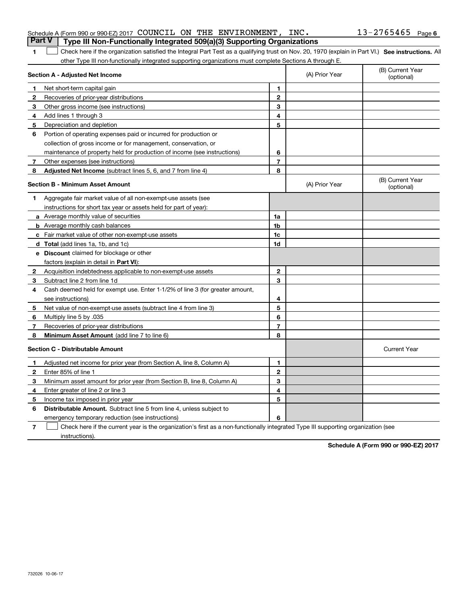| 1              | Check here if the organization satisfied the Integral Part Test as a qualifying trust on Nov. 20, 1970 (explain in Part VI.) See instructions. All<br>other Type III non-functionally integrated supporting organizations must complete Sections A through E. |                |                |                                |
|----------------|---------------------------------------------------------------------------------------------------------------------------------------------------------------------------------------------------------------------------------------------------------------|----------------|----------------|--------------------------------|
|                | Section A - Adjusted Net Income                                                                                                                                                                                                                               |                | (A) Prior Year | (B) Current Year<br>(optional) |
| 1              | Net short term capital gain                                                                                                                                                                                                                                   | $\mathbf{1}$   |                |                                |
| 2              | Recoveries of prior-year distributions                                                                                                                                                                                                                        | $\mathbf{2}$   |                |                                |
| 3              | Other gross income (see instructions)                                                                                                                                                                                                                         | 3              |                |                                |
| 4              | Add lines 1 through 3                                                                                                                                                                                                                                         | 4              |                |                                |
| 5              | Depreciation and depletion                                                                                                                                                                                                                                    | 5              |                |                                |
| 6              | Portion of operating expenses paid or incurred for production or                                                                                                                                                                                              |                |                |                                |
|                | collection of gross income or for management, conservation, or                                                                                                                                                                                                |                |                |                                |
|                | maintenance of property held for production of income (see instructions)                                                                                                                                                                                      | 6              |                |                                |
| 7 <sup>7</sup> | Other expenses (see instructions)                                                                                                                                                                                                                             | $\overline{7}$ |                |                                |
| 8              | <b>Adjusted Net Income</b> (subtract lines 5, 6, and 7 from line 4)                                                                                                                                                                                           | 8              |                |                                |
|                | <b>Section B - Minimum Asset Amount</b>                                                                                                                                                                                                                       |                | (A) Prior Year | (B) Current Year<br>(optional) |
| 1.             | Aggregate fair market value of all non-exempt-use assets (see                                                                                                                                                                                                 |                |                |                                |
|                | instructions for short tax year or assets held for part of year):                                                                                                                                                                                             |                |                |                                |
|                | <b>a</b> Average monthly value of securities                                                                                                                                                                                                                  | 1a             |                |                                |
|                | <b>b</b> Average monthly cash balances                                                                                                                                                                                                                        | 1b             |                |                                |
|                | c Fair market value of other non-exempt-use assets                                                                                                                                                                                                            | 1c             |                |                                |
|                | d Total (add lines 1a, 1b, and 1c)                                                                                                                                                                                                                            | 1d             |                |                                |
|                | <b>e</b> Discount claimed for blockage or other                                                                                                                                                                                                               |                |                |                                |
|                | factors (explain in detail in Part VI):                                                                                                                                                                                                                       |                |                |                                |
| $\mathbf{2}$   | Acquisition indebtedness applicable to non-exempt-use assets                                                                                                                                                                                                  | $\mathbf{2}$   |                |                                |
| 3              | Subtract line 2 from line 1d                                                                                                                                                                                                                                  | 3              |                |                                |
| 4              | Cash deemed held for exempt use. Enter 1-1/2% of line 3 (for greater amount,                                                                                                                                                                                  |                |                |                                |
|                | see instructions)                                                                                                                                                                                                                                             | 4              |                |                                |
| 5              | Net value of non-exempt-use assets (subtract line 4 from line 3)                                                                                                                                                                                              | 5              |                |                                |
| 6              | Multiply line 5 by .035                                                                                                                                                                                                                                       | 6              |                |                                |
| 7              | Recoveries of prior-year distributions                                                                                                                                                                                                                        | $\overline{7}$ |                |                                |
| 8              | Minimum Asset Amount (add line 7 to line 6)                                                                                                                                                                                                                   | 8              |                |                                |
|                | <b>Section C - Distributable Amount</b>                                                                                                                                                                                                                       |                |                | <b>Current Year</b>            |
| 1              | Adjusted net income for prior year (from Section A, line 8, Column A)                                                                                                                                                                                         | $\mathbf{1}$   |                |                                |
| 2              | Enter 85% of line 1                                                                                                                                                                                                                                           | $\mathbf{2}$   |                |                                |
| 3              | Minimum asset amount for prior year (from Section B, line 8, Column A)                                                                                                                                                                                        | 3              |                |                                |
| 4              | Enter greater of line 2 or line 3                                                                                                                                                                                                                             | 4              |                |                                |
| 5              | Income tax imposed in prior year                                                                                                                                                                                                                              | 5              |                |                                |
| 6              | <b>Distributable Amount.</b> Subtract line 5 from line 4, unless subject to                                                                                                                                                                                   |                |                |                                |
|                | emergency temporary reduction (see instructions)                                                                                                                                                                                                              | 6              |                |                                |
| 7              | Check here if the current year is the organization's first as a non-functionally integrated Type III supporting organization (see                                                                                                                             |                |                |                                |

# **Part V Type III Non-Functionally Integrated 509(a)(3) Supporting Organizations**

instructions).

**6** Schedule A (Form 990 or 990-EZ) 2017 COUNCILION THE ENVIRONMENT,INC。 13-2765465 Page

**Schedule A (Form 990 or 990-EZ) 2017**

COUNCIL ON THE ENVIRONMENT, INC. 13-2765465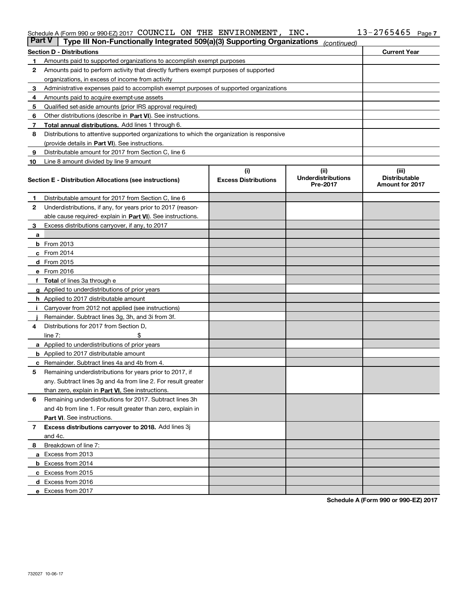#### Schedule A (Form 990 or 990-EZ) 2017 COUNCILION THE ENVIRONMENT,INC。 13-2765465 Page COUNCIL ON THE ENVIRONMENT, INC. 13-2765465

| <b>Part V</b> | Type III Non-Functionally Integrated 509(a)(3) Supporting Organizations                    |                             | (continued)                           |                                                |
|---------------|--------------------------------------------------------------------------------------------|-----------------------------|---------------------------------------|------------------------------------------------|
|               | <b>Section D - Distributions</b>                                                           |                             |                                       | <b>Current Year</b>                            |
| 1             | Amounts paid to supported organizations to accomplish exempt purposes                      |                             |                                       |                                                |
| 2             | Amounts paid to perform activity that directly furthers exempt purposes of supported       |                             |                                       |                                                |
|               | organizations, in excess of income from activity                                           |                             |                                       |                                                |
| 3             | Administrative expenses paid to accomplish exempt purposes of supported organizations      |                             |                                       |                                                |
| 4             | Amounts paid to acquire exempt-use assets                                                  |                             |                                       |                                                |
| 5             | Qualified set-aside amounts (prior IRS approval required)                                  |                             |                                       |                                                |
| 6             | Other distributions (describe in Part VI). See instructions.                               |                             |                                       |                                                |
| 7             | Total annual distributions. Add lines 1 through 6.                                         |                             |                                       |                                                |
| 8             | Distributions to attentive supported organizations to which the organization is responsive |                             |                                       |                                                |
|               | (provide details in Part VI). See instructions.                                            |                             |                                       |                                                |
| 9             | Distributable amount for 2017 from Section C, line 6                                       |                             |                                       |                                                |
| 10            | Line 8 amount divided by line 9 amount                                                     |                             |                                       |                                                |
|               |                                                                                            | (i)                         | (iii)                                 | (iii)                                          |
|               | Section E - Distribution Allocations (see instructions)                                    | <b>Excess Distributions</b> | <b>Underdistributions</b><br>Pre-2017 | <b>Distributable</b><br><b>Amount for 2017</b> |
| 1             | Distributable amount for 2017 from Section C, line 6                                       |                             |                                       |                                                |
| 2             | Underdistributions, if any, for years prior to 2017 (reason-                               |                             |                                       |                                                |
|               | able cause required- explain in Part VI). See instructions.                                |                             |                                       |                                                |
| 3             | Excess distributions carryover, if any, to 2017                                            |                             |                                       |                                                |
| а             |                                                                                            |                             |                                       |                                                |
|               | <b>b</b> From 2013                                                                         |                             |                                       |                                                |
|               | $c$ From 2014                                                                              |                             |                                       |                                                |
|               | d From 2015                                                                                |                             |                                       |                                                |
|               | e From 2016                                                                                |                             |                                       |                                                |
|               | Total of lines 3a through e                                                                |                             |                                       |                                                |
| g             | Applied to underdistributions of prior years                                               |                             |                                       |                                                |
|               | <b>h</b> Applied to 2017 distributable amount                                              |                             |                                       |                                                |
|               | Carryover from 2012 not applied (see instructions)                                         |                             |                                       |                                                |
|               | Remainder. Subtract lines 3g, 3h, and 3i from 3f.                                          |                             |                                       |                                                |
| 4             | Distributions for 2017 from Section D,                                                     |                             |                                       |                                                |
|               | line $7:$                                                                                  |                             |                                       |                                                |
|               | <b>a</b> Applied to underdistributions of prior years                                      |                             |                                       |                                                |
|               | <b>b</b> Applied to 2017 distributable amount                                              |                             |                                       |                                                |
|               | c Remainder. Subtract lines 4a and 4b from 4.                                              |                             |                                       |                                                |
| 5             | Remaining underdistributions for years prior to 2017, if                                   |                             |                                       |                                                |
|               | any. Subtract lines 3g and 4a from line 2. For result greater                              |                             |                                       |                                                |
|               | than zero, explain in Part VI. See instructions.                                           |                             |                                       |                                                |
| 6             | Remaining underdistributions for 2017. Subtract lines 3h                                   |                             |                                       |                                                |
|               | and 4b from line 1. For result greater than zero, explain in                               |                             |                                       |                                                |
|               | Part VI. See instructions.                                                                 |                             |                                       |                                                |
| 7             | Excess distributions carryover to 2018. Add lines 3j                                       |                             |                                       |                                                |
|               | and 4c.                                                                                    |                             |                                       |                                                |
|               | Breakdown of line 7:                                                                       |                             |                                       |                                                |
| 8             |                                                                                            |                             |                                       |                                                |
|               | a Excess from 2013                                                                         |                             |                                       |                                                |
|               | <b>b</b> Excess from 2014                                                                  |                             |                                       |                                                |
|               | c Excess from 2015                                                                         |                             |                                       |                                                |
|               | d Excess from 2016                                                                         |                             |                                       |                                                |
|               | e Excess from 2017                                                                         |                             |                                       |                                                |

**Schedule A (Form 990 or 990-EZ) 2017**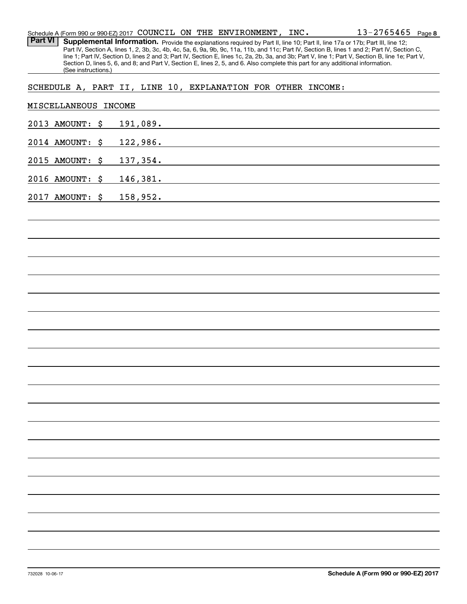|                 | (See instructions.)  |    |          |  |  | line 1; Part IV, Section D, lines 2 and 3; Part IV, Section E, lines 1c, 2a, 2b, 3a, and 3b; Part V, line 1; Part V, Section B, line 1e; Part V,<br>Section D, lines 5, 6, and 8; and Part V, Section E, lines 2, 5, and 6. Also complete this part for any additional information. |
|-----------------|----------------------|----|----------|--|--|-------------------------------------------------------------------------------------------------------------------------------------------------------------------------------------------------------------------------------------------------------------------------------------|
|                 |                      |    |          |  |  | SCHEDULE A, PART II, LINE 10, EXPLANATION FOR OTHER INCOME:                                                                                                                                                                                                                         |
|                 | MISCELLANEOUS INCOME |    |          |  |  |                                                                                                                                                                                                                                                                                     |
|                 | 2013 AMOUNT: \$      |    | 191,089. |  |  | <u> 1989 - Johann Stoff, deutscher Stoffen und der Stoffen und der Stoffen und der Stoffen und der Stoffen und der</u>                                                                                                                                                              |
|                 | 2014 AMOUNT: \$      |    | 122,986. |  |  | <u> 1980 - Johann John Stone, markin fizik eta idazlearia (h. 1980).</u>                                                                                                                                                                                                            |
|                 | 2015 AMOUNT: \$      |    | 137,354. |  |  | <u> 1989 - Johann Barbara, martxa eta batarra (h. 1982).</u>                                                                                                                                                                                                                        |
|                 | 2016 AMOUNT:         | \$ | 146,381. |  |  | <u> 1989 - Johann Stein, mars an deus Amerikaansk kommunister (</u>                                                                                                                                                                                                                 |
|                 | 2017 AMOUNT:         | \$ | 158,952. |  |  |                                                                                                                                                                                                                                                                                     |
|                 |                      |    |          |  |  |                                                                                                                                                                                                                                                                                     |
|                 |                      |    |          |  |  |                                                                                                                                                                                                                                                                                     |
|                 |                      |    |          |  |  |                                                                                                                                                                                                                                                                                     |
|                 |                      |    |          |  |  |                                                                                                                                                                                                                                                                                     |
|                 |                      |    |          |  |  |                                                                                                                                                                                                                                                                                     |
|                 |                      |    |          |  |  |                                                                                                                                                                                                                                                                                     |
|                 |                      |    |          |  |  |                                                                                                                                                                                                                                                                                     |
|                 |                      |    |          |  |  |                                                                                                                                                                                                                                                                                     |
|                 |                      |    |          |  |  |                                                                                                                                                                                                                                                                                     |
|                 |                      |    |          |  |  |                                                                                                                                                                                                                                                                                     |
|                 |                      |    |          |  |  |                                                                                                                                                                                                                                                                                     |
|                 |                      |    |          |  |  |                                                                                                                                                                                                                                                                                     |
|                 |                      |    |          |  |  |                                                                                                                                                                                                                                                                                     |
|                 |                      |    |          |  |  |                                                                                                                                                                                                                                                                                     |
|                 |                      |    |          |  |  |                                                                                                                                                                                                                                                                                     |
|                 |                      |    |          |  |  |                                                                                                                                                                                                                                                                                     |
|                 |                      |    |          |  |  |                                                                                                                                                                                                                                                                                     |
|                 |                      |    |          |  |  |                                                                                                                                                                                                                                                                                     |
|                 |                      |    |          |  |  |                                                                                                                                                                                                                                                                                     |
|                 |                      |    |          |  |  |                                                                                                                                                                                                                                                                                     |
| 732028 10-06-17 |                      |    |          |  |  | Schedule A (Form 990 or 990-EZ) 2017                                                                                                                                                                                                                                                |

Schedule A (Form 990 or 990-EZ) 2017 Page COUNCIL ON THE ENVIRONMENT, INC. Part VI | Supplemental Information. Provide the explanations required by Part II, line 10; Part II, line 17a or 17b; Part III, line 12;

Part IV, Section A, lines 1, 2, 3b, 3c, 4b, 4c, 5a, 6, 9a, 9b, 9c, 11a, 11b, and 11c; Part IV, Section B, lines 1 and 2; Part IV, Section C,

**8** 13-2765465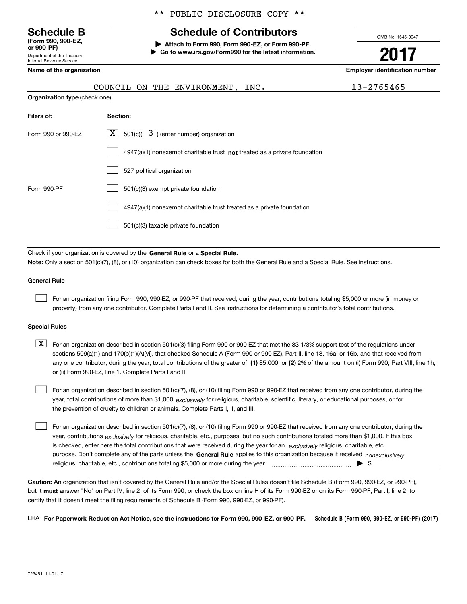Department of the Treasury Internal Revenue Service **(Form 990, 990-EZ, or 990-PF)**

# **Schedule B Schedule of Contributors**

**| Attach to Form 990, Form 990-EZ, or Form 990-PF. | Go to www.irs.gov/Form990 for the latest information.** OMB No. 1545-0047

**2017**

| Name of the organization       | <b>Employer identification number</b>                                                                                                                                                                                                                                           |            |  |  |  |  |
|--------------------------------|---------------------------------------------------------------------------------------------------------------------------------------------------------------------------------------------------------------------------------------------------------------------------------|------------|--|--|--|--|
|                                | COUNCIL ON THE ENVIRONMENT, INC.                                                                                                                                                                                                                                                | 13-2765465 |  |  |  |  |
| Organization type (check one): |                                                                                                                                                                                                                                                                                 |            |  |  |  |  |
| Filers of:<br>Section:         |                                                                                                                                                                                                                                                                                 |            |  |  |  |  |
| Form 990 or 990-EZ             | $\lfloor x \rfloor$ 501(c)( 3) (enter number) organization                                                                                                                                                                                                                      |            |  |  |  |  |
|                                | 4947(a)(1) nonexempt charitable trust not treated as a private foundation                                                                                                                                                                                                       |            |  |  |  |  |
|                                | 527 political organization                                                                                                                                                                                                                                                      |            |  |  |  |  |
| Form 990-PF                    | 501(c)(3) exempt private foundation                                                                                                                                                                                                                                             |            |  |  |  |  |
|                                | 4947(a)(1) nonexempt charitable trust treated as a private foundation                                                                                                                                                                                                           |            |  |  |  |  |
|                                | 501(c)(3) taxable private foundation                                                                                                                                                                                                                                            |            |  |  |  |  |
|                                | Check if your organization is covered by the General Rule or a Special Rule.<br>Note: Only a section 501(c)(7), (8), or (10) organization can check boxes for both the General Rule and a Special Rule. See instructions.                                                       |            |  |  |  |  |
| <b>General Rule</b>            |                                                                                                                                                                                                                                                                                 |            |  |  |  |  |
|                                | For an organization filing Form 990, 990-EZ, or 990-PF that received, during the year, contributions totaling \$5,000 or more (in money or<br>property) from any one contributor. Complete Parts Land II. See instructions for determining a contributor's total contributions. |            |  |  |  |  |

#### **Special Rules**

 $\mathcal{L}^{\text{max}}$ 

any one contributor, during the year, total contributions of the greater of  $\,$  (1) \$5,000; or **(2)** 2% of the amount on (i) Form 990, Part VIII, line 1h;  $\boxed{\textbf{X}}$  For an organization described in section 501(c)(3) filing Form 990 or 990-EZ that met the 33 1/3% support test of the regulations under sections 509(a)(1) and 170(b)(1)(A)(vi), that checked Schedule A (Form 990 or 990-EZ), Part II, line 13, 16a, or 16b, and that received from or (ii) Form 990-EZ, line 1. Complete Parts I and II.

year, total contributions of more than \$1,000 *exclusively* for religious, charitable, scientific, literary, or educational purposes, or for For an organization described in section 501(c)(7), (8), or (10) filing Form 990 or 990-EZ that received from any one contributor, during the the prevention of cruelty to children or animals. Complete Parts I, II, and III.

purpose. Don't complete any of the parts unless the **General Rule** applies to this organization because it received *nonexclusively* year, contributions <sub>exclusively</sub> for religious, charitable, etc., purposes, but no such contributions totaled more than \$1,000. If this box is checked, enter here the total contributions that were received during the year for an  $\;$ exclusively religious, charitable, etc., For an organization described in section 501(c)(7), (8), or (10) filing Form 990 or 990-EZ that received from any one contributor, during the religious, charitable, etc., contributions totaling \$5,000 or more during the year  $\ldots$  $\ldots$  $\ldots$  $\ldots$  $\ldots$  $\ldots$ 

**Caution:**  An organization that isn't covered by the General Rule and/or the Special Rules doesn't file Schedule B (Form 990, 990-EZ, or 990-PF), but it **must** answer "No" on Part IV, line 2, of its Form 990; or check the box on line H of its Form 990-EZ or on its Form 990-PF, Part I, line 2, to<br>cortify that it doesn't meet the filipe requirements of Schodule B (Fer certify that it doesn't meet the filing requirements of Schedule B (Form 990, 990-EZ, or 990-PF).

**Schedule B (Form 990, 990-EZ, or 990-PF) (2017) For Paperwork Reduction Act Notice, see the instructions for Form 990, 990-EZ, or 990-PF.** LHA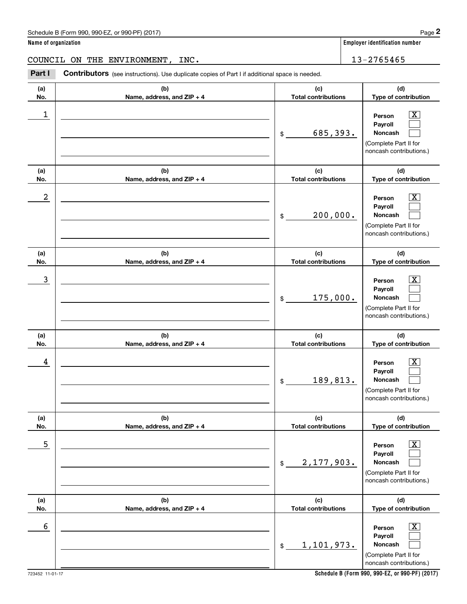| Schedule B (Form 990, 990-EZ, or 990-PF) (2017) | Page |
|-------------------------------------------------|------|
|-------------------------------------------------|------|

|                      | Schedule B (Form 990, 990-EZ, or 990-PF) (2017)                                                       |                                       | Page 2                                                                                                      |
|----------------------|-------------------------------------------------------------------------------------------------------|---------------------------------------|-------------------------------------------------------------------------------------------------------------|
| Name of organization |                                                                                                       | <b>Employer identification number</b> |                                                                                                             |
|                      | COUNCIL ON THE ENVIRONMENT,<br>INC.                                                                   |                                       | 13-2765465                                                                                                  |
| Part I               | <b>Contributors</b> (see instructions). Use duplicate copies of Part I if additional space is needed. |                                       |                                                                                                             |
| (a)<br>No.           | (b)<br>Name, address, and ZIP + 4                                                                     | (c)<br><b>Total contributions</b>     | (d)<br>Type of contribution                                                                                 |
| 1                    |                                                                                                       | 685,393.<br>\$                        | $\overline{\mathbf{X}}$<br>Person<br>Payroll<br>Noncash<br>(Complete Part II for<br>noncash contributions.) |
| (a)<br>No.           | (b)<br>Name, address, and ZIP + 4                                                                     | (c)<br><b>Total contributions</b>     | (d)<br>Type of contribution                                                                                 |
| 2                    |                                                                                                       | 200,000.<br>\$                        | $\overline{\mathbf{X}}$<br>Person<br>Payroll<br>Noncash<br>(Complete Part II for<br>noncash contributions.) |
| (a)<br>No.           | (b)<br>Name, address, and ZIP + 4                                                                     | (c)<br><b>Total contributions</b>     | (d)<br>Type of contribution                                                                                 |
| 3                    |                                                                                                       | 175,000.<br>\$                        | $\overline{\text{X}}$<br>Person<br>Payroll<br>Noncash<br>(Complete Part II for<br>noncash contributions.)   |
| (a)<br>No.           | (b)<br>Name, address, and ZIP + 4                                                                     | (c)<br><b>Total contributions</b>     | (d)<br>Type of contribution                                                                                 |
| 4                    |                                                                                                       | 189, 813.<br>\$                       | $\overline{\mathbf{X}}$<br>Person<br>Payroll<br>Noncash<br>(Complete Part II for<br>noncash contributions.) |
| (a)<br>No.           | (b)<br>Name, address, and ZIP + 4                                                                     | (c)<br><b>Total contributions</b>     | (d)<br>Type of contribution                                                                                 |
| 5                    |                                                                                                       | 2,177,903.<br>\$                      | $\overline{\mathbf{X}}$<br>Person<br>Payroll<br>Noncash<br>(Complete Part II for<br>noncash contributions.) |
| (a)<br>No.           | (b)<br>Name, address, and ZIP + 4                                                                     | (c)<br><b>Total contributions</b>     | (d)<br>Type of contribution                                                                                 |
| 6                    |                                                                                                       | 1,101,973.<br>\$                      | $\overline{\mathbf{X}}$<br>Person<br>Payroll<br>Noncash<br>(Complete Part II for<br>noncash contributions.) |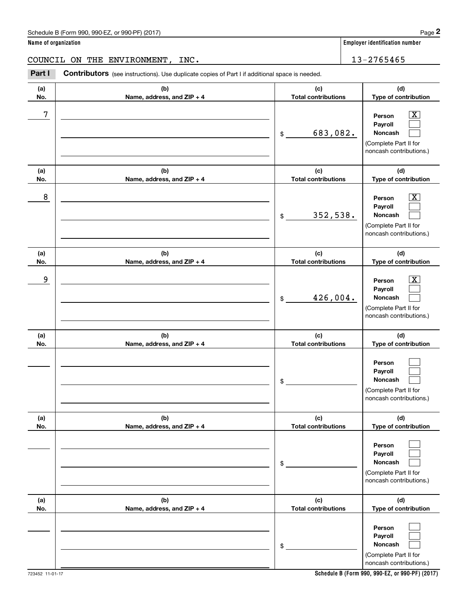| Schedule B (Form 990, 990-EZ, or 990-PF) (2017) | Page |
|-------------------------------------------------|------|
|-------------------------------------------------|------|

|                      | Schedule B (Form 990, 990-EZ, or 990-PF) (2017)                                                |                                   | Page 2                                                                                                      |
|----------------------|------------------------------------------------------------------------------------------------|-----------------------------------|-------------------------------------------------------------------------------------------------------------|
| Name of organization |                                                                                                |                                   | Employer identification number                                                                              |
|                      | COUNCIL ON THE ENVIRONMENT,<br>INC.                                                            |                                   | 13-2765465                                                                                                  |
| Part I               | Contributors (see instructions). Use duplicate copies of Part I if additional space is needed. |                                   |                                                                                                             |
| (a)<br>No.           | (b)<br>Name, address, and ZIP + 4                                                              | (c)<br><b>Total contributions</b> | (d)<br>Type of contribution                                                                                 |
| 7                    |                                                                                                | 683,082.<br>\$                    | $\overline{\mathbf{X}}$<br>Person<br>Payroll<br>Noncash<br>(Complete Part II for<br>noncash contributions.) |
| (a)<br>No.           | (b)<br>Name, address, and ZIP + 4                                                              | (c)<br><b>Total contributions</b> | (d)<br>Type of contribution                                                                                 |
| 8                    |                                                                                                | 352,538.<br>\$                    | $\overline{\mathbf{X}}$<br>Person<br>Payroll<br>Noncash<br>(Complete Part II for<br>noncash contributions.) |
| (a)<br>No.           | (b)<br>Name, address, and ZIP + 4                                                              | (c)<br><b>Total contributions</b> | (d)<br>Type of contribution                                                                                 |
| 9                    |                                                                                                | 426,004.<br>\$                    | $\overline{\mathbf{X}}$<br>Person<br>Payroll<br>Noncash<br>(Complete Part II for<br>noncash contributions.) |
| (a)<br>No.           | (b)<br>Name, address, and ZIP + 4                                                              | (c)<br><b>Total contributions</b> | (d)<br>Type of contribution                                                                                 |
|                      |                                                                                                | \$                                | Person<br>Payroll<br>Noncash<br>(Complete Part II for<br>noncash contributions.)                            |
| (a)<br>No.           | (b)<br>Name, address, and ZIP + 4                                                              | (c)<br><b>Total contributions</b> | (d)<br>Type of contribution                                                                                 |
|                      |                                                                                                | \$                                | Person<br>Payroll<br>Noncash<br>(Complete Part II for<br>noncash contributions.)                            |
| (a)<br>No.           | (b)<br>Name, address, and ZIP + 4                                                              | (c)<br><b>Total contributions</b> | (d)<br>Type of contribution                                                                                 |
|                      |                                                                                                | \$                                | Person<br>Payroll<br>Noncash<br>(Complete Part II for<br>noncash contributions.)                            |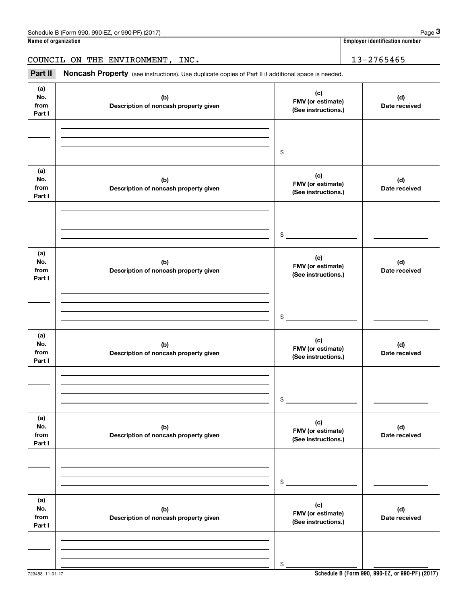|                              | Schedule B (Form 990, 990-EZ, or 990-PF) (2017)                                                     |                                                 | Page 3                                |
|------------------------------|-----------------------------------------------------------------------------------------------------|-------------------------------------------------|---------------------------------------|
| Name of organization         |                                                                                                     |                                                 | <b>Employer identification number</b> |
|                              | COUNCIL ON THE ENVIRONMENT, INC.                                                                    |                                                 | 13-2765465                            |
| Part II                      | Noncash Property (see instructions). Use duplicate copies of Part II if additional space is needed. |                                                 |                                       |
| (a)<br>No.<br>from<br>Part I | (b)<br>Description of noncash property given                                                        | (c)<br>FMV (or estimate)<br>(See instructions.) | (d)<br>Date received                  |
|                              |                                                                                                     | \$                                              |                                       |
| (a)<br>No.<br>from<br>Part I | (b)<br>Description of noncash property given                                                        | (c)<br>FMV (or estimate)<br>(See instructions.) | (d)<br>Date received                  |
|                              |                                                                                                     | \$                                              |                                       |
| (a)<br>No.<br>from<br>Part I | (b)<br>Description of noncash property given                                                        | (c)<br>FMV (or estimate)<br>(See instructions.) | (d)<br>Date received                  |
|                              |                                                                                                     | \$                                              |                                       |
| (a)<br>No.<br>from<br>Part I | (b)<br>Description of noncash property given                                                        | (c)<br>FMV (or estimate)<br>(See instructions.) | (d)<br>Date received                  |
|                              |                                                                                                     | \$                                              |                                       |
| (a)<br>No.<br>from<br>Part I | (b)<br>Description of noncash property given                                                        | (c)<br>FMV (or estimate)<br>(See instructions.) | (d)<br>Date received                  |
|                              |                                                                                                     | \$                                              |                                       |
| (a)<br>No.<br>from<br>Part I | (b)<br>Description of noncash property given                                                        | (c)<br>FMV (or estimate)<br>(See instructions.) | (d)<br>Date received                  |
|                              |                                                                                                     | \$                                              |                                       |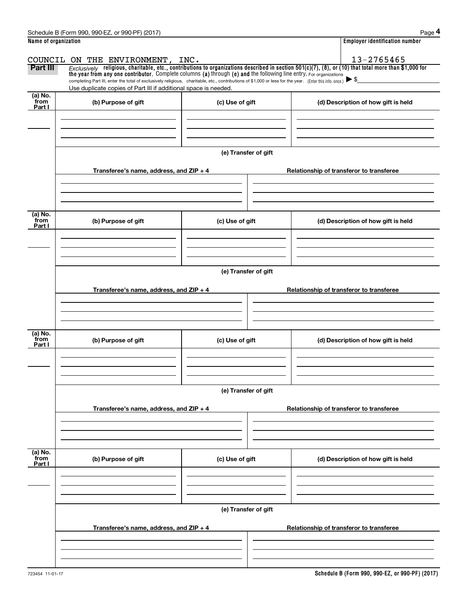|                      | Schedule B (Form 990, 990-EZ, or 990-PF) (2017)                                                                                                                                                                                                                                                          |                      | Page 4                                                                                                                                                   |  |  |  |  |  |  |  |
|----------------------|----------------------------------------------------------------------------------------------------------------------------------------------------------------------------------------------------------------------------------------------------------------------------------------------------------|----------------------|----------------------------------------------------------------------------------------------------------------------------------------------------------|--|--|--|--|--|--|--|
| Name of organization |                                                                                                                                                                                                                                                                                                          |                      | <b>Employer identification number</b>                                                                                                                    |  |  |  |  |  |  |  |
|                      | COUNCIL ON THE ENVIRONMENT, INC.                                                                                                                                                                                                                                                                         |                      | 13-2765465                                                                                                                                               |  |  |  |  |  |  |  |
| Part III             |                                                                                                                                                                                                                                                                                                          |                      | Exclusively religious, charitable, etc., contributions to organizations described in section $501(c)(7)$ , (8), or (10) that total more than \$1,000 for |  |  |  |  |  |  |  |
|                      | the year from any one contributor. Complete columns (a) through (e) and the following line entry. For organizations<br>completing Part III, enter the total of exclusively religious, charitable, etc., contributions of \$1,000 or less for the year. (Enter this info. once.) $\blacktriangleright$ \$ |                      |                                                                                                                                                          |  |  |  |  |  |  |  |
|                      | Use duplicate copies of Part III if additional space is needed.                                                                                                                                                                                                                                          |                      |                                                                                                                                                          |  |  |  |  |  |  |  |
| (a) No.<br>from      | (b) Purpose of gift                                                                                                                                                                                                                                                                                      | (c) Use of gift      | (d) Description of how gift is held                                                                                                                      |  |  |  |  |  |  |  |
| Part I               |                                                                                                                                                                                                                                                                                                          |                      |                                                                                                                                                          |  |  |  |  |  |  |  |
|                      |                                                                                                                                                                                                                                                                                                          |                      |                                                                                                                                                          |  |  |  |  |  |  |  |
|                      |                                                                                                                                                                                                                                                                                                          |                      |                                                                                                                                                          |  |  |  |  |  |  |  |
|                      |                                                                                                                                                                                                                                                                                                          |                      |                                                                                                                                                          |  |  |  |  |  |  |  |
|                      |                                                                                                                                                                                                                                                                                                          | (e) Transfer of gift |                                                                                                                                                          |  |  |  |  |  |  |  |
|                      | Transferee's name, address, and ZIP + 4                                                                                                                                                                                                                                                                  |                      | Relationship of transferor to transferee                                                                                                                 |  |  |  |  |  |  |  |
|                      |                                                                                                                                                                                                                                                                                                          |                      |                                                                                                                                                          |  |  |  |  |  |  |  |
|                      |                                                                                                                                                                                                                                                                                                          |                      |                                                                                                                                                          |  |  |  |  |  |  |  |
|                      |                                                                                                                                                                                                                                                                                                          |                      |                                                                                                                                                          |  |  |  |  |  |  |  |
| (a) No.<br>from      | (b) Purpose of gift                                                                                                                                                                                                                                                                                      | (c) Use of gift      | (d) Description of how gift is held                                                                                                                      |  |  |  |  |  |  |  |
| Part I               |                                                                                                                                                                                                                                                                                                          |                      |                                                                                                                                                          |  |  |  |  |  |  |  |
|                      |                                                                                                                                                                                                                                                                                                          |                      |                                                                                                                                                          |  |  |  |  |  |  |  |
|                      |                                                                                                                                                                                                                                                                                                          |                      |                                                                                                                                                          |  |  |  |  |  |  |  |
|                      |                                                                                                                                                                                                                                                                                                          |                      |                                                                                                                                                          |  |  |  |  |  |  |  |
|                      |                                                                                                                                                                                                                                                                                                          | (e) Transfer of gift |                                                                                                                                                          |  |  |  |  |  |  |  |
|                      | Transferee's name, address, and $ZIP + 4$                                                                                                                                                                                                                                                                |                      | Relationship of transferor to transferee                                                                                                                 |  |  |  |  |  |  |  |
|                      |                                                                                                                                                                                                                                                                                                          |                      |                                                                                                                                                          |  |  |  |  |  |  |  |
|                      |                                                                                                                                                                                                                                                                                                          |                      |                                                                                                                                                          |  |  |  |  |  |  |  |
|                      |                                                                                                                                                                                                                                                                                                          |                      |                                                                                                                                                          |  |  |  |  |  |  |  |
| (a) No.<br>from      | (b) Purpose of gift                                                                                                                                                                                                                                                                                      | (c) Use of gift      | (d) Description of how gift is held                                                                                                                      |  |  |  |  |  |  |  |
| Part I               |                                                                                                                                                                                                                                                                                                          |                      |                                                                                                                                                          |  |  |  |  |  |  |  |
|                      |                                                                                                                                                                                                                                                                                                          |                      |                                                                                                                                                          |  |  |  |  |  |  |  |
|                      |                                                                                                                                                                                                                                                                                                          |                      |                                                                                                                                                          |  |  |  |  |  |  |  |
|                      |                                                                                                                                                                                                                                                                                                          |                      |                                                                                                                                                          |  |  |  |  |  |  |  |
|                      |                                                                                                                                                                                                                                                                                                          | (e) Transfer of gift |                                                                                                                                                          |  |  |  |  |  |  |  |
|                      | Transferee's name, address, and $ZIP + 4$                                                                                                                                                                                                                                                                |                      | Relationship of transferor to transferee                                                                                                                 |  |  |  |  |  |  |  |
|                      |                                                                                                                                                                                                                                                                                                          |                      |                                                                                                                                                          |  |  |  |  |  |  |  |
|                      |                                                                                                                                                                                                                                                                                                          |                      |                                                                                                                                                          |  |  |  |  |  |  |  |
|                      |                                                                                                                                                                                                                                                                                                          |                      |                                                                                                                                                          |  |  |  |  |  |  |  |
| (a) No.<br>from      | (b) Purpose of gift                                                                                                                                                                                                                                                                                      | (c) Use of gift      | (d) Description of how gift is held                                                                                                                      |  |  |  |  |  |  |  |
| Part I               |                                                                                                                                                                                                                                                                                                          |                      |                                                                                                                                                          |  |  |  |  |  |  |  |
|                      |                                                                                                                                                                                                                                                                                                          |                      |                                                                                                                                                          |  |  |  |  |  |  |  |
|                      |                                                                                                                                                                                                                                                                                                          |                      |                                                                                                                                                          |  |  |  |  |  |  |  |
|                      |                                                                                                                                                                                                                                                                                                          |                      |                                                                                                                                                          |  |  |  |  |  |  |  |
|                      | (e) Transfer of gift                                                                                                                                                                                                                                                                                     |                      |                                                                                                                                                          |  |  |  |  |  |  |  |
|                      | Transferee's name, address, and $ZIP + 4$                                                                                                                                                                                                                                                                |                      | Relationship of transferor to transferee                                                                                                                 |  |  |  |  |  |  |  |
|                      |                                                                                                                                                                                                                                                                                                          |                      |                                                                                                                                                          |  |  |  |  |  |  |  |
|                      |                                                                                                                                                                                                                                                                                                          |                      |                                                                                                                                                          |  |  |  |  |  |  |  |
|                      |                                                                                                                                                                                                                                                                                                          |                      |                                                                                                                                                          |  |  |  |  |  |  |  |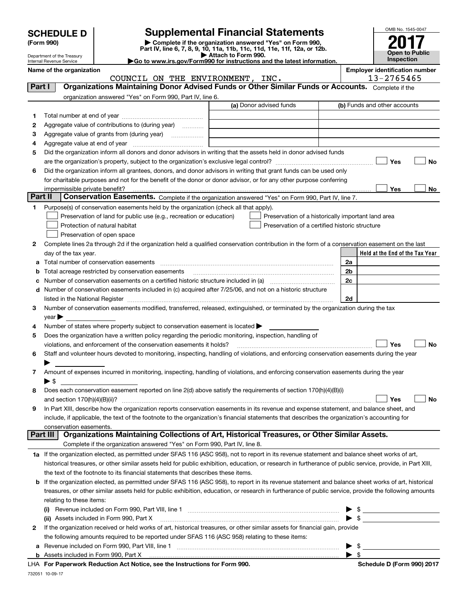| <b>HEDULE D</b> |  |
|-----------------|--|
| ⊶ ∩∩∩\          |  |

Department of the Treasury

# **SCHEDULE D Supplemental Financial Statements**

(Form 990)<br>
Pepartment of the Treasury<br>
Department of the Treasury<br>
Department of the Treasury<br>
Department of the Treasury<br> **Co to www.irs.gov/Form990 for instructions and the latest information.**<br> **Co to www.irs.gov/Form9** 



Internal Revenue Service

**Name of the organization Employer identification number**

|         | COUNCIL ON THE ENVIRONMENT, INC.                                                                                                                                                                                              |                                                    | 13-2765465     |                                 |  |  |
|---------|-------------------------------------------------------------------------------------------------------------------------------------------------------------------------------------------------------------------------------|----------------------------------------------------|----------------|---------------------------------|--|--|
| Part I  | Organizations Maintaining Donor Advised Funds or Other Similar Funds or Accounts. Complete if the                                                                                                                             |                                                    |                |                                 |  |  |
|         | organization answered "Yes" on Form 990, Part IV, line 6.                                                                                                                                                                     |                                                    |                |                                 |  |  |
|         |                                                                                                                                                                                                                               | (a) Donor advised funds                            |                | (b) Funds and other accounts    |  |  |
| 1.      |                                                                                                                                                                                                                               |                                                    |                |                                 |  |  |
| 2       | Aggregate value of contributions to (during year)                                                                                                                                                                             |                                                    |                |                                 |  |  |
| З       | Aggregate value of grants from (during year)                                                                                                                                                                                  |                                                    |                |                                 |  |  |
| 4       |                                                                                                                                                                                                                               |                                                    |                |                                 |  |  |
| 5       | Did the organization inform all donors and donor advisors in writing that the assets held in donor advised funds                                                                                                              |                                                    |                |                                 |  |  |
|         |                                                                                                                                                                                                                               |                                                    |                | Yes<br>No                       |  |  |
| 6       | Did the organization inform all grantees, donors, and donor advisors in writing that grant funds can be used only                                                                                                             |                                                    |                |                                 |  |  |
|         | for charitable purposes and not for the benefit of the donor or donor advisor, or for any other purpose conferring                                                                                                            |                                                    |                |                                 |  |  |
|         | impermissible private benefit?                                                                                                                                                                                                |                                                    |                | Yes<br>No                       |  |  |
| Part II | Conservation Easements. Complete if the organization answered "Yes" on Form 990, Part IV, line 7.                                                                                                                             |                                                    |                |                                 |  |  |
| 1.      | Purpose(s) of conservation easements held by the organization (check all that apply).                                                                                                                                         |                                                    |                |                                 |  |  |
|         | Preservation of land for public use (e.g., recreation or education)                                                                                                                                                           | Preservation of a historically important land area |                |                                 |  |  |
|         | Protection of natural habitat                                                                                                                                                                                                 | Preservation of a certified historic structure     |                |                                 |  |  |
|         | Preservation of open space                                                                                                                                                                                                    |                                                    |                |                                 |  |  |
| 2       | Complete lines 2a through 2d if the organization held a qualified conservation contribution in the form of a conservation easement on the last                                                                                |                                                    |                |                                 |  |  |
|         | day of the tax year.                                                                                                                                                                                                          |                                                    |                | Held at the End of the Tax Year |  |  |
| а       |                                                                                                                                                                                                                               |                                                    | 2a             |                                 |  |  |
| b       | Total acreage restricted by conservation easements                                                                                                                                                                            |                                                    | 2b             |                                 |  |  |
|         | Number of conservation easements on a certified historic structure included in (a) manufacture included in (a)                                                                                                                |                                                    | 2 <sub>c</sub> |                                 |  |  |
| d       | Number of conservation easements included in (c) acquired after 7/25/06, and not on a historic structure                                                                                                                      |                                                    |                |                                 |  |  |
|         | listed in the National Register [111] Marshall Register [11] Marshall Register [11] Marshall Register [11] Marshall Register [11] Marshall Register [11] Marshall Register [11] Marshall Register [11] Marshall Register [11] | 2d                                                 |                |                                 |  |  |
| 3       | Number of conservation easements modified, transferred, released, extinguished, or terminated by the organization during the tax                                                                                              |                                                    |                |                                 |  |  |
|         | $year \triangleright$                                                                                                                                                                                                         |                                                    |                |                                 |  |  |
| 4       | Number of states where property subject to conservation easement is located >                                                                                                                                                 |                                                    |                |                                 |  |  |
| 5       | Does the organization have a written policy regarding the periodic monitoring, inspection, handling of                                                                                                                        |                                                    |                |                                 |  |  |
|         | violations, and enforcement of the conservation easements it holds?                                                                                                                                                           |                                                    |                | Yes<br>No                       |  |  |
| 6       | Staff and volunteer hours devoted to monitoring, inspecting, handling of violations, and enforcing conservation easements during the year                                                                                     |                                                    |                |                                 |  |  |
|         |                                                                                                                                                                                                                               |                                                    |                |                                 |  |  |
| 7       | Amount of expenses incurred in monitoring, inspecting, handling of violations, and enforcing conservation easements during the year                                                                                           |                                                    |                |                                 |  |  |
|         | ▶ \$                                                                                                                                                                                                                          |                                                    |                |                                 |  |  |
| 8       | Does each conservation easement reported on line 2(d) above satisfy the requirements of section 170(h)(4)(B)(i)                                                                                                               |                                                    |                |                                 |  |  |
|         | and section 170(h)(4)(B)(ii)?                                                                                                                                                                                                 |                                                    |                | Yes<br>No                       |  |  |
| 9       | In Part XIII, describe how the organization reports conservation easements in its revenue and expense statement, and balance sheet, and                                                                                       |                                                    |                |                                 |  |  |
|         | include, if applicable, the text of the footnote to the organization's financial statements that describes the organization's accounting for                                                                                  |                                                    |                |                                 |  |  |
|         | conservation easements.                                                                                                                                                                                                       |                                                    |                |                                 |  |  |
|         | Organizations Maintaining Collections of Art, Historical Treasures, or Other Similar Assets.<br>Part III                                                                                                                      |                                                    |                |                                 |  |  |
|         | Complete if the organization answered "Yes" on Form 990, Part IV, line 8.                                                                                                                                                     |                                                    |                |                                 |  |  |
|         | 1a If the organization elected, as permitted under SFAS 116 (ASC 958), not to report in its revenue statement and balance sheet works of art,                                                                                 |                                                    |                |                                 |  |  |
|         | historical treasures, or other similar assets held for public exhibition, education, or research in furtherance of public service, provide, in Part XIII,                                                                     |                                                    |                |                                 |  |  |
|         | the text of the footnote to its financial statements that describes these items.                                                                                                                                              |                                                    |                |                                 |  |  |
| b       | If the organization elected, as permitted under SFAS 116 (ASC 958), to report in its revenue statement and balance sheet works of art, historical                                                                             |                                                    |                |                                 |  |  |
|         | treasures, or other similar assets held for public exhibition, education, or research in furtherance of public service, provide the following amounts                                                                         |                                                    |                |                                 |  |  |
|         | relating to these items:                                                                                                                                                                                                      |                                                    |                |                                 |  |  |
|         | (i) Revenue included on Form 990, Part VIII, line 1 [2000] [2010] Contract the included on Form 990, Part VIII, line 1                                                                                                        |                                                    |                | \$                              |  |  |
|         | (ii) Assets included in Form 990, Part X                                                                                                                                                                                      |                                                    |                |                                 |  |  |
| 2       | If the organization received or held works of art, historical treasures, or other similar assets for financial gain, provide                                                                                                  |                                                    |                |                                 |  |  |
|         | the following amounts required to be reported under SFAS 116 (ASC 958) relating to these items:                                                                                                                               |                                                    |                |                                 |  |  |
| а       |                                                                                                                                                                                                                               |                                                    |                |                                 |  |  |
|         | Appate included in Form 000, Dort V.                                                                                                                                                                                          |                                                    |                |                                 |  |  |

**For Paperwork Reduction Act Notice, see the Instructions for Form 990. Schedule D (Form 990) 2017** LHA  $\rightarrow$  \$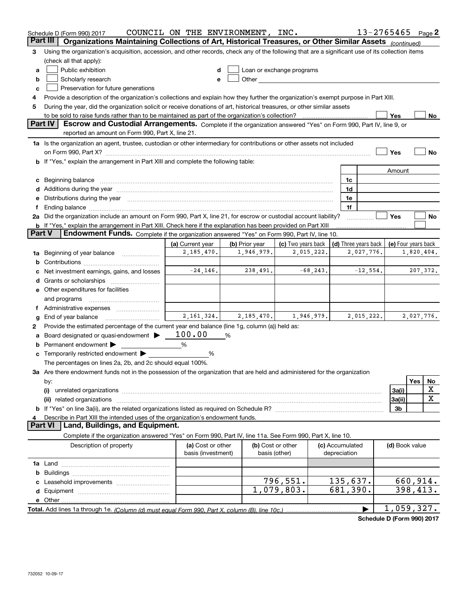|               | Schedule D (Form 990) 2017                                                                                                                                                                                                     | COUNCIL ON THE ENVIRONMENT, INC.        |                |                                                                                                                                                                                                                               |                                 |                       | 13-2765465     | Page 2              |
|---------------|--------------------------------------------------------------------------------------------------------------------------------------------------------------------------------------------------------------------------------|-----------------------------------------|----------------|-------------------------------------------------------------------------------------------------------------------------------------------------------------------------------------------------------------------------------|---------------------------------|-----------------------|----------------|---------------------|
|               | Organizations Maintaining Collections of Art, Historical Treasures, or Other Similar Assets (continued)<br>Part III                                                                                                            |                                         |                |                                                                                                                                                                                                                               |                                 |                       |                |                     |
| 3             | Using the organization's acquisition, accession, and other records, check any of the following that are a significant use of its collection items<br>(check all that apply):                                                   |                                         |                |                                                                                                                                                                                                                               |                                 |                       |                |                     |
| a             | Public exhibition                                                                                                                                                                                                              | d                                       |                | Loan or exchange programs                                                                                                                                                                                                     |                                 |                       |                |                     |
| b             | Scholarly research                                                                                                                                                                                                             | е                                       |                | Other and the contract of the contract of the contract of the contract of the contract of the contract of the contract of the contract of the contract of the contract of the contract of the contract of the contract of the |                                 |                       |                |                     |
| c             | Preservation for future generations                                                                                                                                                                                            |                                         |                |                                                                                                                                                                                                                               |                                 |                       |                |                     |
| 4             | Provide a description of the organization's collections and explain how they further the organization's exempt purpose in Part XIII.                                                                                           |                                         |                |                                                                                                                                                                                                                               |                                 |                       |                |                     |
| 5             | During the year, did the organization solicit or receive donations of art, historical treasures, or other similar assets                                                                                                       |                                         |                |                                                                                                                                                                                                                               |                                 |                       |                |                     |
|               | to be sold to raise funds rather than to be maintained as part of the organization's collection?                                                                                                                               |                                         |                |                                                                                                                                                                                                                               |                                 |                       | Yes            | No                  |
|               | Part IV<br>Escrow and Custodial Arrangements. Complete if the organization answered "Yes" on Form 990, Part IV, line 9, or                                                                                                     |                                         |                |                                                                                                                                                                                                                               |                                 |                       |                |                     |
|               | reported an amount on Form 990, Part X, line 21.                                                                                                                                                                               |                                         |                |                                                                                                                                                                                                                               |                                 |                       |                |                     |
|               | 1a Is the organization an agent, trustee, custodian or other intermediary for contributions or other assets not included                                                                                                       |                                         |                |                                                                                                                                                                                                                               |                                 |                       |                |                     |
|               |                                                                                                                                                                                                                                |                                         |                |                                                                                                                                                                                                                               |                                 |                       | Yes            | No                  |
|               | b If "Yes," explain the arrangement in Part XIII and complete the following table:                                                                                                                                             |                                         |                |                                                                                                                                                                                                                               |                                 |                       |                |                     |
|               |                                                                                                                                                                                                                                |                                         |                |                                                                                                                                                                                                                               |                                 | 1c                    | Amount         |                     |
|               | d Additions during the year manufactured and an account of the year manufactured and account of the year manufactured and account of the year manufactured and account of the year manufactured and account of the year manufa |                                         |                |                                                                                                                                                                                                                               |                                 | 1d                    |                |                     |
|               | e Distributions during the year manufactured and a control of the year manufactured and the year manufactured and the year manufactured and the year manufactured and the year manufactured and the year manufactured and the  |                                         |                |                                                                                                                                                                                                                               |                                 | 1e                    |                |                     |
| t             | Ending balance manufactured and contract the contract of the contract of the contract of the contract of the contract of the contract of the contract of the contract of the contract of the contract of the contract of the c |                                         |                |                                                                                                                                                                                                                               |                                 | 1f                    |                |                     |
|               | 2a Did the organization include an amount on Form 990, Part X, line 21, for escrow or custodial account liability?                                                                                                             |                                         |                |                                                                                                                                                                                                                               |                                 |                       | Yes            | No                  |
|               | <b>b</b> If "Yes," explain the arrangement in Part XIII. Check here if the explanation has been provided on Part XIII                                                                                                          |                                         |                |                                                                                                                                                                                                                               |                                 |                       |                |                     |
| <b>Part V</b> | Endowment Funds. Complete if the organization answered "Yes" on Form 990, Part IV, line 10.                                                                                                                                    |                                         |                |                                                                                                                                                                                                                               |                                 |                       |                |                     |
|               |                                                                                                                                                                                                                                | (a) Current year                        | (b) Prior year | (c) Two years back                                                                                                                                                                                                            |                                 | (d) Three years back  |                | (e) Four years back |
|               | 1a Beginning of year balance                                                                                                                                                                                                   | 2,185,470.                              | 1,946,979.     | 2,015,222.                                                                                                                                                                                                                    |                                 | 2,027,776.            |                | 1,820,404.          |
|               |                                                                                                                                                                                                                                |                                         |                |                                                                                                                                                                                                                               |                                 |                       |                |                     |
|               | Net investment earnings, gains, and losses                                                                                                                                                                                     | $-24, 146.$                             | 238,491.       | $-68, 243.$                                                                                                                                                                                                                   |                                 | $-12,554.$            |                | 207,372.            |
|               |                                                                                                                                                                                                                                |                                         |                |                                                                                                                                                                                                                               |                                 |                       |                |                     |
|               | e Other expenditures for facilities                                                                                                                                                                                            |                                         |                |                                                                                                                                                                                                                               |                                 |                       |                |                     |
|               | and programs                                                                                                                                                                                                                   |                                         |                |                                                                                                                                                                                                                               |                                 |                       |                |                     |
|               | Administrative expenses                                                                                                                                                                                                        |                                         |                |                                                                                                                                                                                                                               |                                 |                       |                |                     |
| g             | End of year balance                                                                                                                                                                                                            | 2,161,324.                              | 2, 185, 470.   | 1,946,979.                                                                                                                                                                                                                    |                                 | 2,015,222.            |                | 2,027,776.          |
| 2             | Provide the estimated percentage of the current year end balance (line 1g, column (a)) held as:                                                                                                                                |                                         |                |                                                                                                                                                                                                                               |                                 |                       |                |                     |
| а             | Board designated or quasi-endowment                                                                                                                                                                                            | 100.00                                  | %              |                                                                                                                                                                                                                               |                                 |                       |                |                     |
|               | <b>b</b> Permanent endowment $\blacktriangleright$                                                                                                                                                                             | %                                       |                |                                                                                                                                                                                                                               |                                 |                       |                |                     |
|               | <b>c</b> Temporarily restricted endowment $\blacktriangleright$                                                                                                                                                                | %                                       |                |                                                                                                                                                                                                                               |                                 |                       |                |                     |
|               | The percentages on lines 2a, 2b, and 2c should equal 100%.<br>3a Are there endowment funds not in the possession of the organization that are held and administered for the organization                                       |                                         |                |                                                                                                                                                                                                                               |                                 |                       |                |                     |
|               | by:                                                                                                                                                                                                                            |                                         |                |                                                                                                                                                                                                                               |                                 |                       |                | Yes<br>No           |
|               | (i)                                                                                                                                                                                                                            |                                         |                |                                                                                                                                                                                                                               |                                 |                       | 3a(i)          | х                   |
|               |                                                                                                                                                                                                                                |                                         |                |                                                                                                                                                                                                                               |                                 |                       | 3a(ii)         | X                   |
|               |                                                                                                                                                                                                                                |                                         |                |                                                                                                                                                                                                                               |                                 |                       | 3b             |                     |
| 4             | Describe in Part XIII the intended uses of the organization's endowment funds.                                                                                                                                                 |                                         |                |                                                                                                                                                                                                                               |                                 |                       |                |                     |
|               | Land, Buildings, and Equipment.<br><b>Part VI</b>                                                                                                                                                                              |                                         |                |                                                                                                                                                                                                                               |                                 |                       |                |                     |
|               | Complete if the organization answered "Yes" on Form 990, Part IV, line 11a. See Form 990, Part X, line 10.                                                                                                                     |                                         |                |                                                                                                                                                                                                                               |                                 |                       |                |                     |
|               | Description of property                                                                                                                                                                                                        | (a) Cost or other<br>basis (investment) | basis (other)  | (b) Cost or other                                                                                                                                                                                                             | (c) Accumulated<br>depreciation |                       | (d) Book value |                     |
|               |                                                                                                                                                                                                                                |                                         |                |                                                                                                                                                                                                                               |                                 |                       |                |                     |
|               |                                                                                                                                                                                                                                |                                         |                |                                                                                                                                                                                                                               |                                 |                       |                |                     |
|               |                                                                                                                                                                                                                                |                                         |                | 796,551.                                                                                                                                                                                                                      |                                 | 135,637.              |                | 660,914.            |
|               |                                                                                                                                                                                                                                |                                         |                | 1,079,803.                                                                                                                                                                                                                    |                                 | $\overline{681,}390.$ |                | 398,413.            |
|               |                                                                                                                                                                                                                                |                                         |                |                                                                                                                                                                                                                               |                                 |                       |                |                     |
|               |                                                                                                                                                                                                                                |                                         |                |                                                                                                                                                                                                                               |                                 | ▶                     |                | 1,059,327.          |

**Schedule D (Form 990) 2017**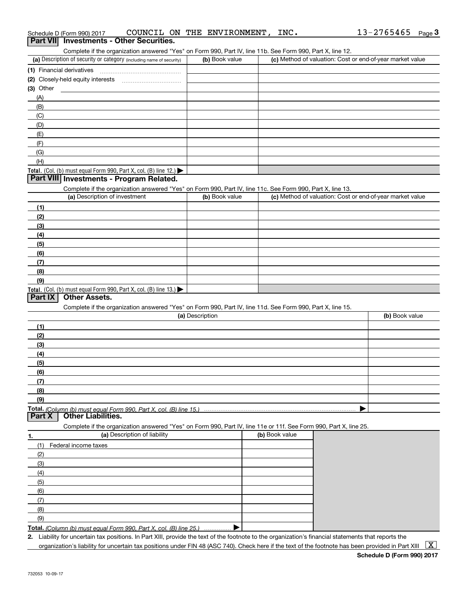| (a) Description of security or category (including name of security)                                              | (b) Book value  | Complete if the organization answered "Yes" on Form 990, Part IV, line 11b. See Form 990, Part X, line 12. | (c) Method of valuation: Cost or end-of-year market value |
|-------------------------------------------------------------------------------------------------------------------|-----------------|------------------------------------------------------------------------------------------------------------|-----------------------------------------------------------|
| (1) Financial derivatives                                                                                         |                 |                                                                                                            |                                                           |
| (2) Closely-held equity interests                                                                                 |                 |                                                                                                            |                                                           |
| (3) Other                                                                                                         |                 |                                                                                                            |                                                           |
| (A)                                                                                                               |                 |                                                                                                            |                                                           |
| (B)                                                                                                               |                 |                                                                                                            |                                                           |
| (C)                                                                                                               |                 |                                                                                                            |                                                           |
| (D)                                                                                                               |                 |                                                                                                            |                                                           |
| (E)                                                                                                               |                 |                                                                                                            |                                                           |
| (F)                                                                                                               |                 |                                                                                                            |                                                           |
| (G)                                                                                                               |                 |                                                                                                            |                                                           |
|                                                                                                                   |                 |                                                                                                            |                                                           |
| (H)                                                                                                               |                 |                                                                                                            |                                                           |
| Total. (Col. (b) must equal Form 990, Part X, col. (B) line 12.)<br>Part VIII Investments - Program Related.      |                 |                                                                                                            |                                                           |
|                                                                                                                   |                 |                                                                                                            |                                                           |
| Complete if the organization answered "Yes" on Form 990, Part IV, line 11c. See Form 990, Part X, line 13.        |                 |                                                                                                            |                                                           |
| (a) Description of investment                                                                                     | (b) Book value  |                                                                                                            | (c) Method of valuation: Cost or end-of-year market value |
| (1)                                                                                                               |                 |                                                                                                            |                                                           |
| (2)                                                                                                               |                 |                                                                                                            |                                                           |
| (3)                                                                                                               |                 |                                                                                                            |                                                           |
| (4)                                                                                                               |                 |                                                                                                            |                                                           |
| (5)                                                                                                               |                 |                                                                                                            |                                                           |
| (6)                                                                                                               |                 |                                                                                                            |                                                           |
| (7)                                                                                                               |                 |                                                                                                            |                                                           |
| (8)                                                                                                               |                 |                                                                                                            |                                                           |
| (9)                                                                                                               |                 |                                                                                                            |                                                           |
| Total. (Col. (b) must equal Form 990, Part X, col. (B) line 13.)                                                  |                 |                                                                                                            |                                                           |
| <b>Other Assets.</b><br>Part IX                                                                                   |                 |                                                                                                            |                                                           |
| Complete if the organization answered "Yes" on Form 990, Part IV, line 11d. See Form 990, Part X, line 15.        |                 |                                                                                                            |                                                           |
|                                                                                                                   |                 |                                                                                                            |                                                           |
|                                                                                                                   | (a) Description |                                                                                                            | (b) Book value                                            |
| (1)                                                                                                               |                 |                                                                                                            |                                                           |
| (2)                                                                                                               |                 |                                                                                                            |                                                           |
|                                                                                                                   |                 |                                                                                                            |                                                           |
| (3)                                                                                                               |                 |                                                                                                            |                                                           |
| (4)                                                                                                               |                 |                                                                                                            |                                                           |
| (5)                                                                                                               |                 |                                                                                                            |                                                           |
| (6)                                                                                                               |                 |                                                                                                            |                                                           |
| (7)                                                                                                               |                 |                                                                                                            |                                                           |
| (8)                                                                                                               |                 |                                                                                                            |                                                           |
| (9)                                                                                                               |                 |                                                                                                            |                                                           |
|                                                                                                                   |                 |                                                                                                            |                                                           |
| <b>Other Liabilities.</b>                                                                                         |                 |                                                                                                            |                                                           |
| Complete if the organization answered "Yes" on Form 990, Part IV, line 11e or 11f. See Form 990, Part X, line 25. |                 |                                                                                                            |                                                           |
| (a) Description of liability                                                                                      |                 | (b) Book value                                                                                             |                                                           |
| (1)<br>Federal income taxes                                                                                       |                 |                                                                                                            |                                                           |
| (2)                                                                                                               |                 |                                                                                                            |                                                           |
| (3)                                                                                                               |                 |                                                                                                            |                                                           |
| (4)                                                                                                               |                 |                                                                                                            |                                                           |
| (5)                                                                                                               |                 |                                                                                                            |                                                           |
| (6)                                                                                                               |                 |                                                                                                            |                                                           |
| Total. (Column (b) must equal Form 990. Part X, col. (B) line 15.)<br>Part X<br>1.<br>(7)                         |                 |                                                                                                            |                                                           |
| (8)                                                                                                               |                 |                                                                                                            |                                                           |

organization's liability for uncertain tax positions under FIN 48 (ASC 740). Check here if the text of the footnote has been provided in Part XIII  $~\boxed{\rm X}$ 

## Schedule D (Form 990) 2017  ${\tt CONCIL\;ON\; THE\; ENVIRONMENT}$  ,  ${\tt INC.}$   $13\text{--}2765465$   ${\tt Page}$ Schedule D (Form 990) 2017 COUNCIL ON THE ENVIRONMENT, INC. 13-2765465 Page 3<br>**Part VII | Investments - Other Securities.**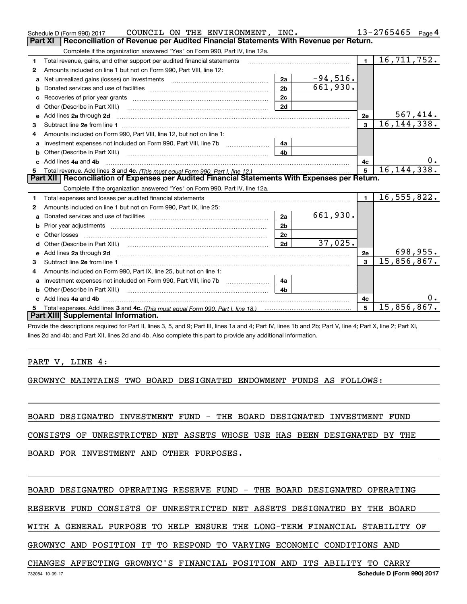|                | COUNCIL ON THE ENVIRONMENT, INC.<br>Schedule D (Form 990) 2017                                                                                                                                                                 |                |                         |                | $13 - 2765465$ Page 4       |    |
|----------------|--------------------------------------------------------------------------------------------------------------------------------------------------------------------------------------------------------------------------------|----------------|-------------------------|----------------|-----------------------------|----|
| <b>Part XI</b> | Reconciliation of Revenue per Audited Financial Statements With Revenue per Return.                                                                                                                                            |                |                         |                |                             |    |
|                | Complete if the organization answered "Yes" on Form 990, Part IV, line 12a.                                                                                                                                                    |                |                         |                |                             |    |
| 1              | Total revenue, gains, and other support per audited financial statements                                                                                                                                                       |                |                         | $\blacksquare$ | 16,711,752.                 |    |
| 2              | Amounts included on line 1 but not on Form 990, Part VIII, line 12:                                                                                                                                                            |                |                         |                |                             |    |
| a              |                                                                                                                                                                                                                                | 2a             | $-94,516.$              |                |                             |    |
| b              |                                                                                                                                                                                                                                | 2 <sub>b</sub> | $\overline{661}$ , 930. |                |                             |    |
|                |                                                                                                                                                                                                                                | 2c             |                         |                |                             |    |
|                | Other (Describe in Part XIII.) <b>Construction Contract Construction</b> Chern Construction Construction Construction                                                                                                          | 2d             |                         |                |                             |    |
| e              | Add lines 2a through 2d <b>continuum contract and all and all and all and all and all and all and all and all and a</b>                                                                                                        |                |                         | 2e             | 567, 414.                   |    |
| 3              |                                                                                                                                                                                                                                |                |                         | 3              | 16, 144, 338.               |    |
| 4              | Amounts included on Form 990, Part VIII, line 12, but not on line 1:                                                                                                                                                           |                |                         |                |                             |    |
| a              | Investment expenses not included on Form 990, Part VIII, line 7b [1000000000000000000000000000000000                                                                                                                           | 4a             |                         |                |                             |    |
| b              |                                                                                                                                                                                                                                | 4b             |                         |                |                             |    |
|                | c Add lines 4a and 4b                                                                                                                                                                                                          |                |                         | 4c             |                             | 0. |
|                |                                                                                                                                                                                                                                |                |                         | 5              | 16, 144, 338.               |    |
|                | Part XII   Reconciliation of Expenses per Audited Financial Statements With Expenses per Return.                                                                                                                               |                |                         |                |                             |    |
|                | Complete if the organization answered "Yes" on Form 990, Part IV, line 12a.                                                                                                                                                    |                |                         |                |                             |    |
| 1              | Total expenses and losses per audited financial statements                                                                                                                                                                     |                |                         | $\blacksquare$ | $\overline{16}$ , 555, 822. |    |
| $\mathbf{2}$   | Amounts included on line 1 but not on Form 990, Part IX, line 25:                                                                                                                                                              |                |                         |                |                             |    |
| a              |                                                                                                                                                                                                                                | 2a             | 661,930.                |                |                             |    |
| b              |                                                                                                                                                                                                                                | 2 <sub>b</sub> |                         |                |                             |    |
|                |                                                                                                                                                                                                                                | 2c             |                         |                |                             |    |
| d              | Other (Describe in Part XIII.) (2000) (2000) (2000) (2000) (2000) (2000) (2000) (2000) (2000) (2000) (2000) (2000) (2000) (2000) (2000) (2000) (2000) (2000) (2000) (2000) (2000) (2000) (2000) (2000) (2000) (2000) (2000) (2 | 2d             | 37,025.                 |                |                             |    |
| e              | Add lines 2a through 2d <b>must be a constructed as the constant of the constant of the constant of the construction</b>                                                                                                       |                |                         | 2e             | 698,955.                    |    |
| 3              |                                                                                                                                                                                                                                |                |                         | $\mathbf{a}$   | 15,856,867.                 |    |
| 4              | Amounts included on Form 990, Part IX, line 25, but not on line 1:                                                                                                                                                             |                |                         |                |                             |    |
| a              | Investment expenses not included on Form 990, Part VIII, line 7b [1000000000000000000000000000000000                                                                                                                           | 4a             |                         |                |                             |    |
| b              |                                                                                                                                                                                                                                | 4h             |                         |                |                             |    |
|                | Add lines 4a and 4b                                                                                                                                                                                                            |                |                         | 4c             |                             | 0. |
| 5.             |                                                                                                                                                                                                                                |                |                         | 5              | 15,856,867.                 |    |
|                |                                                                                                                                                                                                                                |                |                         |                |                             |    |
|                | <b>Part XIII Supplemental Information.</b>                                                                                                                                                                                     |                |                         |                |                             |    |

lines 2d and 4b; and Part XII, lines 2d and 4b. Also complete this part to provide any additional information.

## PART V, LINE 4:

GROWNYC MAINTAINS TWO BOARD DESIGNATED ENDOWMENT FUNDS AS FOLLOWS:

BOARD DESIGNATED INVESTMENT FUND - THE BOARD DESIGNATED INVESTMENT FUND

CONSISTS OF UNRESTRICTED NET ASSETS WHOSE USE HAS BEEN DESIGNATED BY THE

BOARD FOR INVESTMENT AND OTHER PURPOSES.

# BOARD DESIGNATED OPERATING RESERVE FUND - THE BOARD DESIGNATED OPERATING

RESERVE FUND CONSISTS OF UNRESTRICTED NET ASSETS DESIGNATED BY THE BOARD

WITH A GENERAL PURPOSE TO HELP ENSURE THE LONG-TERM FINANCIAL STABILITY OF

GROWNYC AND POSITION IT TO RESPOND TO VARYING ECONOMIC CONDITIONS AND

## CHANGES AFFECTING GROWNYC'S FINANCIAL POSITION AND ITS ABILITY TO CARRY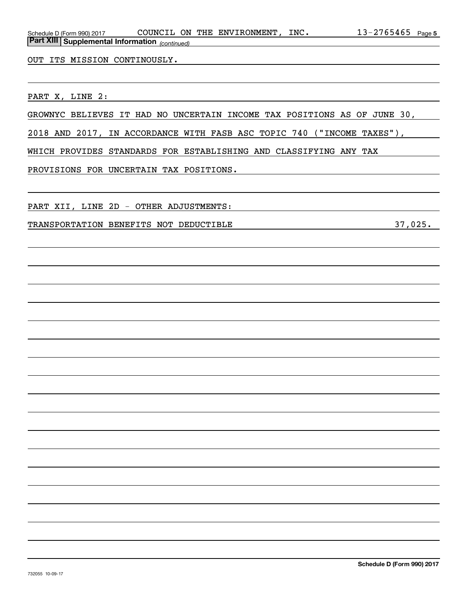| OUT ITS MISSION CONTINOUSLY.<br><u> 1989 - Johann Stein, marwolaethau a bhann an t-Amhair an t-Amhair an t-Amhair an t-Amhair an t-Amhair an t-A</u>            |
|-----------------------------------------------------------------------------------------------------------------------------------------------------------------|
|                                                                                                                                                                 |
| PART X, LINE 2:                                                                                                                                                 |
| GROWNYC BELIEVES IT HAD NO UNCERTAIN INCOME TAX POSITIONS AS OF JUNE 30,                                                                                        |
| 2018 AND 2017, IN ACCORDANCE WITH FASB ASC TOPIC 740 ("INCOME TAXES"),                                                                                          |
| WHICH PROVIDES STANDARDS FOR ESTABLISHING AND CLASSIFYING ANY TAX                                                                                               |
| PROVISIONS FOR UNCERTAIN TAX POSITIONS.<br><u> 1980 - Johann Stein, marwolaethau a bhann an t-Amhain an t-Amhain an t-Amhain an t-Amhain an t-Amhain an t-A</u> |
|                                                                                                                                                                 |
| PART XII, LINE 2D - OTHER ADJUSTMENTS:<br><u> 1989 - Johann Barn, amerikansk politiker (d. 1989)</u>                                                            |
| TRANSPORTATION BENEFITS NOT DEDUCTIBLE                                                                                                                          |
|                                                                                                                                                                 |
|                                                                                                                                                                 |
|                                                                                                                                                                 |
|                                                                                                                                                                 |
|                                                                                                                                                                 |
|                                                                                                                                                                 |
|                                                                                                                                                                 |
|                                                                                                                                                                 |
|                                                                                                                                                                 |
|                                                                                                                                                                 |
|                                                                                                                                                                 |
|                                                                                                                                                                 |
|                                                                                                                                                                 |
|                                                                                                                                                                 |
|                                                                                                                                                                 |
|                                                                                                                                                                 |
|                                                                                                                                                                 |
|                                                                                                                                                                 |
| Cohodulo D (Form 000) 2017                                                                                                                                      |

Schedule D (Form 990) 2017 COUNCILION THE ENVIRONMENT,INC。 I3-2765465 Page

COUNCIL ON THE ENVIRONMENT, INC.

*(continued)*

**Part XIII Supplemental Information** 

**5**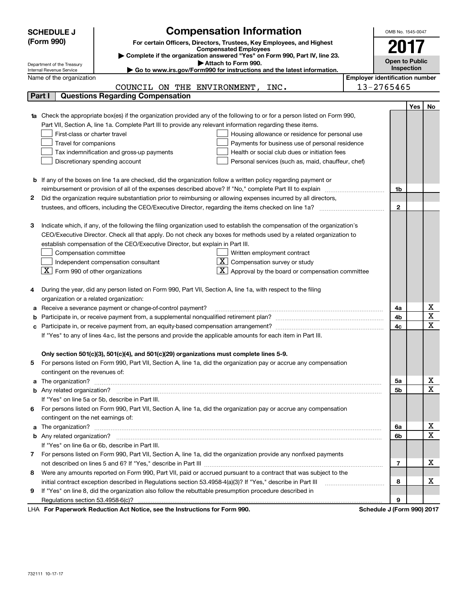|    | <b>SCHEDULE J</b>                                                                                             | <b>Compensation Information</b>                                                                                                                                                                                                      |                                       | OMB No. 1545-0047          |     |             |
|----|---------------------------------------------------------------------------------------------------------------|--------------------------------------------------------------------------------------------------------------------------------------------------------------------------------------------------------------------------------------|---------------------------------------|----------------------------|-----|-------------|
|    | (Form 990)                                                                                                    | For certain Officers, Directors, Trustees, Key Employees, and Highest                                                                                                                                                                |                                       |                            |     |             |
|    |                                                                                                               | <b>Compensated Employees</b>                                                                                                                                                                                                         |                                       | 2017                       |     |             |
|    |                                                                                                               | Complete if the organization answered "Yes" on Form 990, Part IV, line 23.<br>Attach to Form 990.                                                                                                                                    |                                       | <b>Open to Public</b>      |     |             |
|    | Department of the Treasury<br>Internal Revenue Service                                                        | ► Go to www.irs.gov/Form990 for instructions and the latest information.                                                                                                                                                             |                                       | Inspection                 |     |             |
|    | Name of the organization                                                                                      |                                                                                                                                                                                                                                      | <b>Employer identification number</b> |                            |     |             |
|    |                                                                                                               | COUNCIL ON THE ENVIRONMENT,<br>INC.                                                                                                                                                                                                  |                                       | 13-2765465                 |     |             |
|    | Part I                                                                                                        | <b>Questions Regarding Compensation</b>                                                                                                                                                                                              |                                       |                            |     |             |
|    |                                                                                                               |                                                                                                                                                                                                                                      |                                       |                            | Yes | No          |
|    |                                                                                                               | Check the appropriate box(es) if the organization provided any of the following to or for a person listed on Form 990,                                                                                                               |                                       |                            |     |             |
|    |                                                                                                               | Part VII, Section A, line 1a. Complete Part III to provide any relevant information regarding these items.                                                                                                                           |                                       |                            |     |             |
|    | First-class or charter travel                                                                                 | Housing allowance or residence for personal use                                                                                                                                                                                      |                                       |                            |     |             |
|    | Travel for companions                                                                                         | Payments for business use of personal residence                                                                                                                                                                                      |                                       |                            |     |             |
|    |                                                                                                               | Health or social club dues or initiation fees<br>Tax indemnification and gross-up payments                                                                                                                                           |                                       |                            |     |             |
|    |                                                                                                               | Discretionary spending account<br>Personal services (such as, maid, chauffeur, chef)                                                                                                                                                 |                                       |                            |     |             |
|    |                                                                                                               |                                                                                                                                                                                                                                      |                                       |                            |     |             |
| b  |                                                                                                               | If any of the boxes on line 1a are checked, did the organization follow a written policy regarding payment or                                                                                                                        |                                       |                            |     |             |
|    |                                                                                                               | reimbursement or provision of all of the expenses described above? If "No," complete Part III to explain                                                                                                                             |                                       | 1b                         |     |             |
| 2  |                                                                                                               | Did the organization require substantiation prior to reimbursing or allowing expenses incurred by all directors,                                                                                                                     |                                       |                            |     |             |
|    |                                                                                                               |                                                                                                                                                                                                                                      |                                       | $\mathbf{2}$               |     |             |
|    |                                                                                                               |                                                                                                                                                                                                                                      |                                       |                            |     |             |
| з  |                                                                                                               | Indicate which, if any, of the following the filing organization used to establish the compensation of the organization's                                                                                                            |                                       |                            |     |             |
|    |                                                                                                               | CEO/Executive Director. Check all that apply. Do not check any boxes for methods used by a related organization to                                                                                                                   |                                       |                            |     |             |
|    |                                                                                                               | establish compensation of the CEO/Executive Director, but explain in Part III.                                                                                                                                                       |                                       |                            |     |             |
|    | Compensation committee                                                                                        | Written employment contract                                                                                                                                                                                                          |                                       |                            |     |             |
|    |                                                                                                               | $\overline{X}$ Compensation survey or study<br>Independent compensation consultant                                                                                                                                                   |                                       |                            |     |             |
|    | $\boxed{\text{X}}$ Form 990 of other organizations                                                            | Approval by the board or compensation committee                                                                                                                                                                                      |                                       |                            |     |             |
|    |                                                                                                               | During the year, did any person listed on Form 990, Part VII, Section A, line 1a, with respect to the filing                                                                                                                         |                                       |                            |     |             |
| 4  | organization or a related organization:                                                                       |                                                                                                                                                                                                                                      |                                       |                            |     |             |
|    |                                                                                                               |                                                                                                                                                                                                                                      |                                       | 4a                         |     | х           |
| b  | Receive a severance payment or change-of-control payment?<br>а                                                |                                                                                                                                                                                                                                      |                                       |                            |     | $\mathbf X$ |
|    |                                                                                                               |                                                                                                                                                                                                                                      |                                       | 4b<br>4c                   |     | $\mathbf X$ |
|    | If "Yes" to any of lines 4a-c, list the persons and provide the applicable amounts for each item in Part III. |                                                                                                                                                                                                                                      |                                       |                            |     |             |
|    |                                                                                                               |                                                                                                                                                                                                                                      |                                       |                            |     |             |
|    |                                                                                                               | Only section 501(c)(3), 501(c)(4), and 501(c)(29) organizations must complete lines 5-9.                                                                                                                                             |                                       |                            |     |             |
| 5  |                                                                                                               | For persons listed on Form 990, Part VII, Section A, line 1a, did the organization pay or accrue any compensation                                                                                                                    |                                       |                            |     |             |
|    | contingent on the revenues of:                                                                                |                                                                                                                                                                                                                                      |                                       |                            |     |             |
| a  |                                                                                                               | The organization? <b>With the contract of the contract of the contract of the contract of the contract of the contract of the contract of the contract of the contract of the contract of the contract of the contract of the co</b> |                                       | 5а                         |     | х           |
|    |                                                                                                               |                                                                                                                                                                                                                                      |                                       | 5b                         |     | $\mathbf X$ |
|    |                                                                                                               | If "Yes" on line 5a or 5b, describe in Part III.                                                                                                                                                                                     |                                       |                            |     |             |
| 6. |                                                                                                               | For persons listed on Form 990, Part VII, Section A, line 1a, did the organization pay or accrue any compensation                                                                                                                    |                                       |                            |     |             |
|    | contingent on the net earnings of:                                                                            |                                                                                                                                                                                                                                      |                                       |                            |     |             |
| a  |                                                                                                               |                                                                                                                                                                                                                                      |                                       | 6a                         |     | х           |
|    |                                                                                                               |                                                                                                                                                                                                                                      |                                       | 6b                         |     | $\mathbf X$ |
|    |                                                                                                               | If "Yes" on line 6a or 6b, describe in Part III.                                                                                                                                                                                     |                                       |                            |     |             |
|    |                                                                                                               | 7 For persons listed on Form 990, Part VII, Section A, line 1a, did the organization provide any nonfixed payments                                                                                                                   |                                       |                            |     |             |
|    |                                                                                                               |                                                                                                                                                                                                                                      |                                       | 7                          |     | х           |
| 8  |                                                                                                               | Were any amounts reported on Form 990, Part VII, paid or accrued pursuant to a contract that was subject to the                                                                                                                      |                                       |                            |     |             |
|    |                                                                                                               | initial contract exception described in Regulations section 53.4958-4(a)(3)? If "Yes," describe in Part III                                                                                                                          |                                       | 8                          |     | х           |
| 9  |                                                                                                               | If "Yes" on line 8, did the organization also follow the rebuttable presumption procedure described in                                                                                                                               |                                       |                            |     |             |
|    |                                                                                                               |                                                                                                                                                                                                                                      |                                       | 9                          |     |             |
|    |                                                                                                               | LHA For Paperwork Reduction Act Notice, see the Instructions for Form 990.                                                                                                                                                           |                                       | Schedule J (Form 990) 2017 |     |             |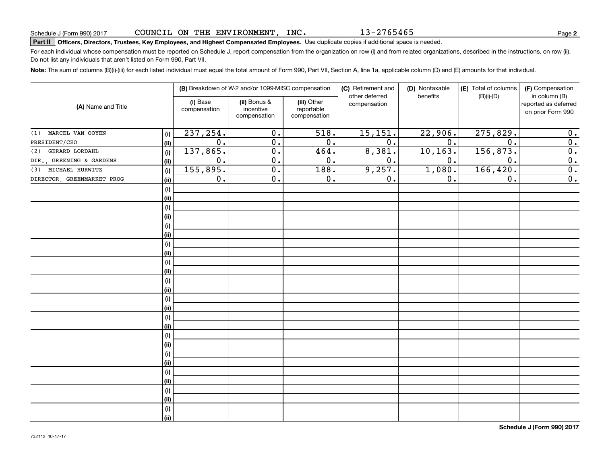# **Part II Officers, Directors, Trustees, Key Employees, and Highest Compensated Employees.**  Schedule J (Form 990) 2017 Page Use duplicate copies if additional space is needed.

For each individual whose compensation must be reported on Schedule J, report compensation from the organization on row (i) and from related organizations, described in the instructions, on row (ii). Do not list any individuals that aren't listed on Form 990, Part VII.

**Note:**  The sum of columns (B)(i)-(iii) for each listed individual must equal the total amount of Form 990, Part VII, Section A, line 1a, applicable column (D) and (E) amounts for that individual.

| (A) Name and Title         |      |                          | (B) Breakdown of W-2 and/or 1099-MISC compensation |                                           | (C) Retirement and<br>other deferred | (D) Nontaxable<br>benefits | (E) Total of columns<br>$(B)(i)-(D)$ | (F) Compensation<br>in column (B)         |
|----------------------------|------|--------------------------|----------------------------------------------------|-------------------------------------------|--------------------------------------|----------------------------|--------------------------------------|-------------------------------------------|
|                            |      | (i) Base<br>compensation | (ii) Bonus &<br>incentive<br>compensation          | (iii) Other<br>reportable<br>compensation | compensation                         |                            |                                      | reported as deferred<br>on prior Form 990 |
| MARCEL VAN OOYEN<br>(1)    | (i)  | 237,254.                 | $\overline{0}$ .                                   | $\overline{518}$ .                        | 15, 151.                             | 22,906.                    | 275,829.                             | 0.                                        |
| PRESIDENT/CEO              | (ii) | $\overline{0}$ .         | $\overline{0}$ .                                   | $\overline{0}$ .                          | $\overline{0}$ .                     | $\overline{0}$ .           | $\overline{0}$ .                     | $\overline{0}$ .                          |
| GERARD LORDAHL<br>(2)      | (i)  | 137,865.                 | $\overline{0}$ .                                   | 464.                                      | 8,381.                               | 10, 163.                   | 156,873.                             | $\overline{\mathbf{0}}$ .                 |
| DIR., GREENING & GARDENS   | (ii) | $\overline{0}$ .         | $\overline{0}$ .                                   | 0.                                        | $\overline{0}$ .                     | 0.                         | $\overline{0}$ .                     | $\overline{\mathbf{0}}$ .                 |
| (3) MICHAEL HURWITZ        | (i)  | 155,895.                 | $\overline{0}$ .                                   | 188.                                      | 9,257.                               | 1,080.                     | 166,420.                             | 0.                                        |
| DIRECTOR, GREENMARKET PROG | (ii) | $\mathbf 0$ .            | $\overline{0}$ .                                   | 0.                                        | 0.                                   | 0.                         | 0.                                   | 0.                                        |
|                            | (i)  |                          |                                                    |                                           |                                      |                            |                                      |                                           |
|                            | (ii) |                          |                                                    |                                           |                                      |                            |                                      |                                           |
|                            | (i)  |                          |                                                    |                                           |                                      |                            |                                      |                                           |
|                            | (ii) |                          |                                                    |                                           |                                      |                            |                                      |                                           |
|                            | (i)  |                          |                                                    |                                           |                                      |                            |                                      |                                           |
|                            | (ii) |                          |                                                    |                                           |                                      |                            |                                      |                                           |
|                            | (i)  |                          |                                                    |                                           |                                      |                            |                                      |                                           |
|                            | (ii) |                          |                                                    |                                           |                                      |                            |                                      |                                           |
|                            | (i)  |                          |                                                    |                                           |                                      |                            |                                      |                                           |
|                            | (ii) |                          |                                                    |                                           |                                      |                            |                                      |                                           |
|                            | (i)  |                          |                                                    |                                           |                                      |                            |                                      |                                           |
|                            | (ii) |                          |                                                    |                                           |                                      |                            |                                      |                                           |
|                            | (i)  |                          |                                                    |                                           |                                      |                            |                                      |                                           |
|                            | (ii) |                          |                                                    |                                           |                                      |                            |                                      |                                           |
|                            | (i)  |                          |                                                    |                                           |                                      |                            |                                      |                                           |
|                            | (ii) |                          |                                                    |                                           |                                      |                            |                                      |                                           |
|                            | (i)  |                          |                                                    |                                           |                                      |                            |                                      |                                           |
|                            | (ii) |                          |                                                    |                                           |                                      |                            |                                      |                                           |
|                            | (i)  |                          |                                                    |                                           |                                      |                            |                                      |                                           |
|                            | (ii) |                          |                                                    |                                           |                                      |                            |                                      |                                           |
|                            | (i)  |                          |                                                    |                                           |                                      |                            |                                      |                                           |
|                            | (ii) |                          |                                                    |                                           |                                      |                            |                                      |                                           |
|                            | (i)  |                          |                                                    |                                           |                                      |                            |                                      |                                           |
|                            | (ii) |                          |                                                    |                                           |                                      |                            |                                      |                                           |
|                            | (i)  |                          |                                                    |                                           |                                      |                            |                                      |                                           |
|                            | (ii) |                          |                                                    |                                           |                                      |                            |                                      |                                           |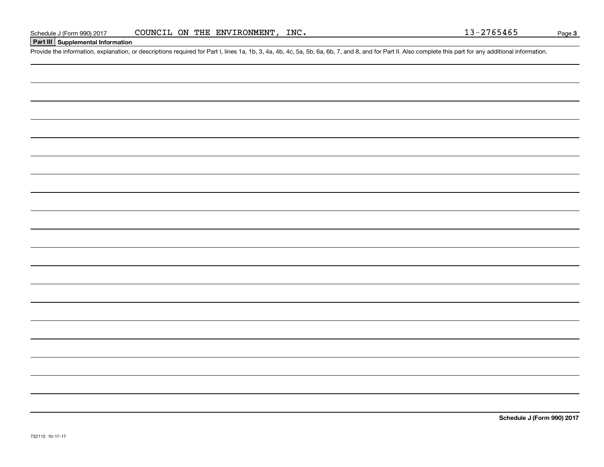# **Part III Supplemental Information**

Schedule J (Form 990) 2017 COUNCIL ON THE ENVIRONMENT, INC.<br>Part III Supplemental Information<br>Provide the information, explanation, or descriptions required for Part I, lines 1a, 1b, 3, 4a, 4b, 4c, 5a, 5b, 6a, 6b, 7, and 8

**Schedule J (Form 990) 2017**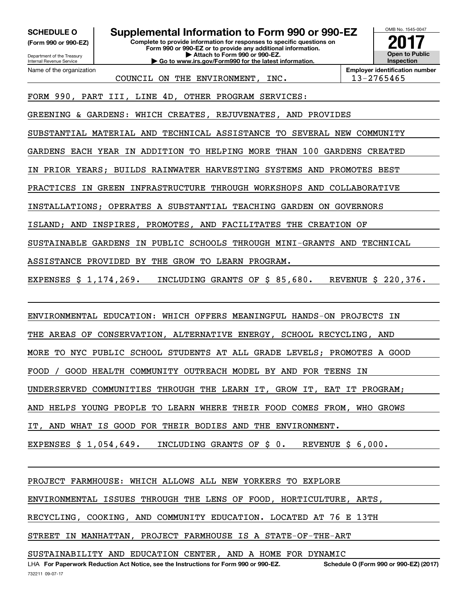**(Form 990 or 990-EZ)**

Department of the Treasury Internal Revenue Service Name of the organization

**SCHEDULE O Supplemental Information to Form 990 or 990-EZ**

**Complete to provide information for responses to specific questions on Form 990 or 990-EZ or to provide any additional information. | Attach to Form 990 or 990-EZ. | Go to www.irs.gov/Form990 for the latest information.**

**Open to Public Inspection2017**

OMB No. 1545-0047

COUNCIL ON THE ENVIRONMENT, INC.  $\vert$  13-2765465

**Employer identification number**

FORM 990, PART III, LINE 4D, OTHER PROGRAM SERVICES:

GREENING & GARDENS: WHICH CREATES, REJUVENATES, AND PROVIDES

SUBSTANTIAL MATERIAL AND TECHNICAL ASSISTANCE TO SEVERAL NEW COMMUNITY

GARDENS EACH YEAR IN ADDITION TO HELPING MORE THAN 100 GARDENS CREATED

IN PRIOR YEARS; BUILDS RAINWATER HARVESTING SYSTEMS AND PROMOTES BEST

PRACTICES IN GREEN INFRASTRUCTURE THROUGH WORKSHOPS AND COLLABORATIVE

INSTALLATIONS; OPERATES A SUBSTANTIAL TEACHING GARDEN ON GOVERNORS

ISLAND; AND INSPIRES, PROMOTES, AND FACILITATES THE CREATION OF

SUSTAINABLE GARDENS IN PUBLIC SCHOOLS THROUGH MINI-GRANTS AND TECHNICAL

ASSISTANCE PROVIDED BY THE GROW TO LEARN PROGRAM.

EXPENSES \$ 1,174,269. INCLUDING GRANTS OF \$ 85,680. REVENUE \$ 220,376.

ENVIRONMENTAL EDUCATION: WHICH OFFERS MEANINGFUL HANDS-ON PROJECTS IN

THE AREAS OF CONSERVATION, ALTERNATIVE ENERGY, SCHOOL RECYCLING, AND

MORE TO NYC PUBLIC SCHOOL STUDENTS AT ALL GRADE LEVELS; PROMOTES A GOOD

FOOD / GOOD HEALTH COMMUNITY OUTREACH MODEL BY AND FOR TEENS IN

UNDERSERVED COMMUNITIES THROUGH THE LEARN IT, GROW IT, EAT IT PROGRAM;

AND HELPS YOUNG PEOPLE TO LEARN WHERE THEIR FOOD COMES FROM, WHO GROWS

IT, AND WHAT IS GOOD FOR THEIR BODIES AND THE ENVIRONMENT.

EXPENSES \$ 1,054,649. INCLUDING GRANTS OF \$ 0. REVENUE \$ 6,000.

PROJECT FARMHOUSE: WHICH ALLOWS ALL NEW YORKERS TO EXPLORE

ENVIRONMENTAL ISSUES THROUGH THE LENS OF FOOD, HORTICULTURE, ARTS,

RECYCLING, COOKING, AND COMMUNITY EDUCATION. LOCATED AT 76 E 13TH

STREET IN MANHATTAN, PROJECT FARMHOUSE IS A STATE-OF-THE-ART

SUSTAINABILITY AND EDUCATION CENTER, AND A HOME FOR DYNAMIC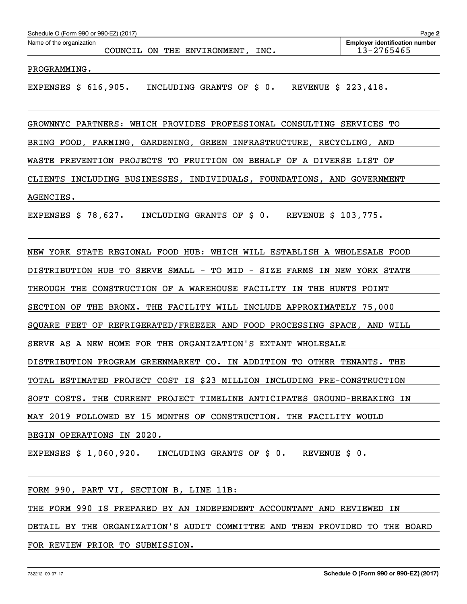| Schedule O (Form 990 or 990-EZ) (2017)<br>Page 2 |  |  |  |                             |      |                                                     |
|--------------------------------------------------|--|--|--|-----------------------------|------|-----------------------------------------------------|
| Name of the organization                         |  |  |  | COUNCIL ON THE ENVIRONMENT. | INC. | <b>Employer identification number</b><br>13-2765465 |
|                                                  |  |  |  |                             |      |                                                     |

PROGRAMMING.

EXPENSES \$ 616,905. INCLUDING GRANTS OF \$ 0. REVENUE \$ 223,418.

GROWNNYC PARTNERS: WHICH PROVIDES PROFESSIONAL CONSULTING SERVICES TO BRING FOOD, FARMING, GARDENING, GREEN INFRASTRUCTURE, RECYCLING, AND WASTE PREVENTION PROJECTS TO FRUITION ON BEHALF OF A DIVERSE LIST OF CLIENTS INCLUDING BUSINESSES, INDIVIDUALS, FOUNDATIONS, AND GOVERNMENT AGENCIES.

EXPENSES \$ 78,627. INCLUDING GRANTS OF \$ 0. REVENUE \$ 103,775.

NEW YORK STATE REGIONAL FOOD HUB: WHICH WILL ESTABLISH A WHOLESALE FOOD DISTRIBUTION HUB TO SERVE SMALL - TO MID - SIZE FARMS IN NEW YORK STATE THROUGH THE CONSTRUCTION OF A WAREHOUSE FACILITY IN THE HUNTS POINT SECTION OF THE BRONX. THE FACILITY WILL INCLUDE APPROXIMATELY 75,000 SQUARE FEET OF REFRIGERATED/FREEZER AND FOOD PROCESSING SPACE, AND WILL SERVE AS A NEW HOME FOR THE ORGANIZATION'S EXTANT WHOLESALE DISTRIBUTION PROGRAM GREENMARKET CO. IN ADDITION TO OTHER TENANTS. THE TOTAL ESTIMATED PROJECT COST IS \$23 MILLION INCLUDING PRE-CONSTRUCTION SOFT COSTS. THE CURRENT PROJECT TIMELINE ANTICIPATES GROUND-BREAKING IN MAY 2019 FOLLOWED BY 15 MONTHS OF CONSTRUCTION. THE FACILITY WOULD BEGIN OPERATIONS IN 2020.

EXPENSES \$ 1,060,920. INCLUDING GRANTS OF \$ 0. REVENUE \$ 0.

FORM 990, PART VI, SECTION B, LINE 11B:

THE FORM 990 IS PREPARED BY AN INDEPENDENT ACCOUNTANT AND REVIEWED IN

DETAIL BY THE ORGANIZATION'S AUDIT COMMITTEE AND THEN PROVIDED TO THE BOARD

FOR REVIEW PRIOR TO SUBMISSION.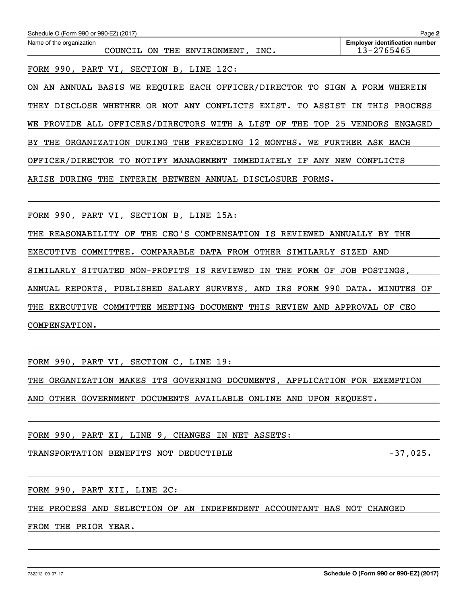| Schedule O (Form 990 or 990-EZ) (2017)                                      | Page 2                                              |
|-----------------------------------------------------------------------------|-----------------------------------------------------|
| Name of the organization<br>COUNCIL ON THE ENVIRONMENT, INC.                | <b>Employer identification number</b><br>13-2765465 |
| FORM 990, PART VI, SECTION B, LINE 12C:                                     |                                                     |
| ON AN ANNUAL BASIS WE REQUIRE EACH OFFICER/DIRECTOR TO SIGN A FORM WHEREIN  |                                                     |
| THEY DISCLOSE WHETHER OR NOT ANY CONFLICTS EXIST. TO ASSIST IN THIS PROCESS |                                                     |
| WE PROVIDE ALL OFFICERS/DIRECTORS WITH A LIST OF THE TOP 25 VENDORS ENGAGED |                                                     |
| BY THE ORGANIZATION DURING THE PRECEDING 12 MONTHS. WE FURTHER ASK EACH     |                                                     |
| OFFICER/DIRECTOR TO NOTIFY MANAGEMENT IMMEDIATELY IF ANY NEW CONFLICTS      |                                                     |
| ARISE DURING THE INTERIM BETWEEN ANNUAL DISCLOSURE FORMS.                   |                                                     |
|                                                                             |                                                     |
| FORM 990, PART VI, SECTION B, LINE 15A:                                     |                                                     |
| THE REASONABILITY OF THE CEO'S COMPENSATION IS REVIEWED ANNUALLY BY THE     |                                                     |
| EXECUTIVE COMMITTEE. COMPARABLE DATA FROM OTHER SIMILARLY SIZED AND         |                                                     |
| SIMILARLY SITUATED NON-PROFITS IS REVIEWED IN THE FORM OF JOB POSTINGS,     |                                                     |
| ANNUAL REPORTS, PUBLISHED SALARY SURVEYS, AND IRS FORM 990 DATA. MINUTES OF |                                                     |
| THE EXECUTIVE COMMITTEE MEETING DOCUMENT THIS REVIEW AND APPROVAL OF CEO    |                                                     |
| COMPENSATION.                                                               |                                                     |
|                                                                             |                                                     |
| FORM 990, PART VI, SECTION C, LINE 19:                                      |                                                     |
| THE ORGANIZATION MAKES ITS GOVERNING DOCUMENTS, APPLICATION FOR EXEMPTION   |                                                     |
| AND OTHER GOVERNMENT DOCUMENTS AVAILABLE ONLINE AND UPON REQUEST.           |                                                     |
|                                                                             |                                                     |
| FORM 990, PART XI, LINE 9, CHANGES IN NET ASSETS:                           |                                                     |
| TRANSPORTATION BENEFITS NOT DEDUCTIBLE                                      |                                                     |
|                                                                             |                                                     |
| FORM 990, PART XII, LINE 2C:                                                |                                                     |
| THE PROCESS AND SELECTION OF AN INDEPENDENT ACCOUNTANT HAS NOT CHANGED      |                                                     |
| FROM THE PRIOR YEAR.                                                        |                                                     |
|                                                                             |                                                     |
|                                                                             |                                                     |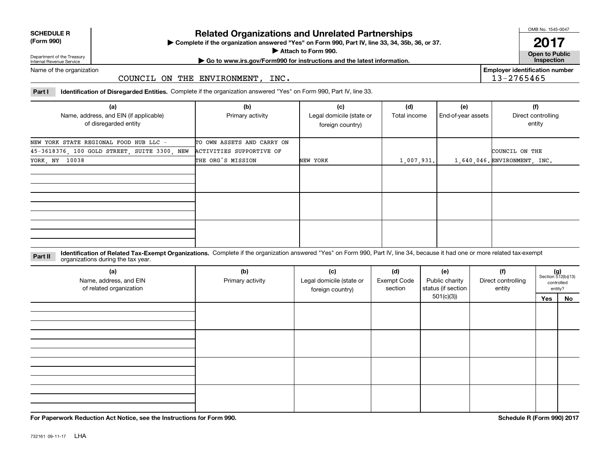| <b>SCHEDULE R</b> |             |  |
|-------------------|-------------|--|
|                   | $\sim$ 0.00 |  |

#### **(Form 990)**

# **Related Organizations and Unrelated Partnerships**

**Complete if the organization answered "Yes" on Form 990, Part IV, line 33, 34, 35b, 36, or 37.** |

**Attach to Form 990.**  |

OMB No. 1545-0047

**Open to Public 2017**

**Employer identification number**

13-2765465

Department of the Treasury Internal Revenue Service

**| Go to www.irs.gov/Form990 for instructions and the latest information. Inspection**

Name of the organization

## COUNCIL ON THE ENVIRONMENT, INC.

**Part I Identification of Disregarded Entities.**  Complete if the organization answered "Yes" on Form 990, Part IV, line 33.

| (a)<br>Name, address, and EIN (if applicable)<br>of disregarded entity | (b)<br>Primary activity    | (c)<br>Legal domicile (state or<br>foreign country) | (d)<br>Total income | (e)<br>End-of-year assets | (f)<br>Direct controlling<br>entity |
|------------------------------------------------------------------------|----------------------------|-----------------------------------------------------|---------------------|---------------------------|-------------------------------------|
| NEW YORK STATE REGIONAL FOOD HUB LLC -                                 | TO OWN ASSETS AND CARRY ON |                                                     |                     |                           |                                     |
| 45-3618376, 100 GOLD STREET, SUITE 3300, NEW                           | ACTIVITIES SUPPORTIVE OF   |                                                     |                     |                           | COUNCIL ON THE                      |
| YORK, NY 10038                                                         | THE ORG'S MISSION          | NEW YORK                                            | 1,007,931.          |                           | 1,640,046. ENVIRONMENT, INC.        |
|                                                                        |                            |                                                     |                     |                           |                                     |
|                                                                        |                            |                                                     |                     |                           |                                     |
|                                                                        |                            |                                                     |                     |                           |                                     |

**Identification of Related Tax-Exempt Organizations.** Complete if the organization answered "Yes" on Form 990, Part IV, line 34, because it had one or more related tax-exempt **Part II** organizations during the tax year.

| (a)<br>Name, address, and EIN<br>of related organization | (b)<br>Primary activity | (c)<br>Legal domicile (state or<br>foreign country) | (d)<br><b>Exempt Code</b><br>section | (e)<br>Public charity<br>status (if section | (f)<br>Direct controlling<br>entity |     | $(g)$<br>Section 512(b)(13)<br>controlled<br>entity? |
|----------------------------------------------------------|-------------------------|-----------------------------------------------------|--------------------------------------|---------------------------------------------|-------------------------------------|-----|------------------------------------------------------|
|                                                          |                         |                                                     |                                      | 501(c)(3)                                   |                                     | Yes | No                                                   |
|                                                          |                         |                                                     |                                      |                                             |                                     |     |                                                      |
|                                                          |                         |                                                     |                                      |                                             |                                     |     |                                                      |
|                                                          |                         |                                                     |                                      |                                             |                                     |     |                                                      |
|                                                          |                         |                                                     |                                      |                                             |                                     |     |                                                      |

**For Paperwork Reduction Act Notice, see the Instructions for Form 990. Schedule R (Form 990) 2017**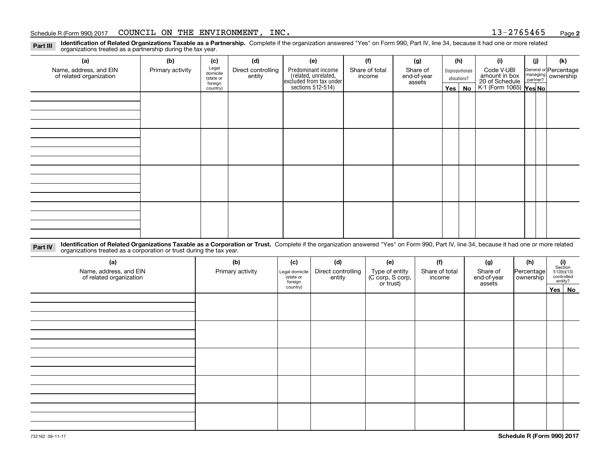**2**

**Identification of Related Organizations Taxable as a Partnership.** Complete if the organization answered "Yes" on Form 990, Part IV, line 34, because it had one or more related **Part III** organizations treated as a partnership during the tax year.

| (a)                     | (b)              | (c)                  | (d)                                                                                        | (e)                                                                 | (f)        | (g)                   |                          | (h) | (i)                                               | (j) | (k)                |
|-------------------------|------------------|----------------------|--------------------------------------------------------------------------------------------|---------------------------------------------------------------------|------------|-----------------------|--------------------------|-----|---------------------------------------------------|-----|--------------------|
| Name, address, and EIN  | Primary activity | Legal<br>domicile    | Predominant income<br>Direct controlling<br>Share of total<br>Share of<br>Disproportionate |                                                                     | Code V-UBI |                       | General or Percentage    |     |                                                   |     |                    |
| of related organization |                  | (state or<br>foreign | entity                                                                                     | related, unrelated,<br>excluded from tax under<br>sections 512-514) | income     | end-of-year<br>assets | allocations?<br>Yes   No |     | amount in box                                     |     | managing ownership |
|                         |                  | country)             |                                                                                            |                                                                     |            |                       |                          |     | 20 of Schedule Partner?<br>K-1 (Form 1065) Yes No |     |                    |
|                         |                  |                      |                                                                                            |                                                                     |            |                       |                          |     |                                                   |     |                    |
|                         |                  |                      |                                                                                            |                                                                     |            |                       |                          |     |                                                   |     |                    |
|                         |                  |                      |                                                                                            |                                                                     |            |                       |                          |     |                                                   |     |                    |
|                         |                  |                      |                                                                                            |                                                                     |            |                       |                          |     |                                                   |     |                    |
|                         |                  |                      |                                                                                            |                                                                     |            |                       |                          |     |                                                   |     |                    |
|                         |                  |                      |                                                                                            |                                                                     |            |                       |                          |     |                                                   |     |                    |
|                         |                  |                      |                                                                                            |                                                                     |            |                       |                          |     |                                                   |     |                    |
|                         |                  |                      |                                                                                            |                                                                     |            |                       |                          |     |                                                   |     |                    |
|                         |                  |                      |                                                                                            |                                                                     |            |                       |                          |     |                                                   |     |                    |
|                         |                  |                      |                                                                                            |                                                                     |            |                       |                          |     |                                                   |     |                    |
|                         |                  |                      |                                                                                            |                                                                     |            |                       |                          |     |                                                   |     |                    |
|                         |                  |                      |                                                                                            |                                                                     |            |                       |                          |     |                                                   |     |                    |
|                         |                  |                      |                                                                                            |                                                                     |            |                       |                          |     |                                                   |     |                    |
|                         |                  |                      |                                                                                            |                                                                     |            |                       |                          |     |                                                   |     |                    |
|                         |                  |                      |                                                                                            |                                                                     |            |                       |                          |     |                                                   |     |                    |
|                         |                  |                      |                                                                                            |                                                                     |            |                       |                          |     |                                                   |     |                    |
|                         |                  |                      |                                                                                            |                                                                     |            |                       |                          |     |                                                   |     |                    |

**Identification of Related Organizations Taxable as a Corporation or Trust.** Complete if the organization answered "Yes" on Form 990, Part IV, line 34, because it had one or more related **Part IV** organizations treated as a corporation or trust during the tax year.

| (a)<br>Name, address, and EIN<br>of related organization | (b)<br>Primary activity | (c)<br>Legal domicile<br>(state or<br>foreign | (d)<br>Direct controlling<br>entity | (e)<br>Type of entity<br>(C corp, S corp,<br>or trust) | (f)<br>Share of total<br>income | (g)<br>Share of<br>end-of-year<br>assets | (h)<br>Percentage<br>ownership | $(i)$ Section<br>512(b)(13)<br>controlled<br>entity? |
|----------------------------------------------------------|-------------------------|-----------------------------------------------|-------------------------------------|--------------------------------------------------------|---------------------------------|------------------------------------------|--------------------------------|------------------------------------------------------|
|                                                          |                         | country)                                      |                                     |                                                        |                                 |                                          |                                | Yes   No                                             |
|                                                          |                         |                                               |                                     |                                                        |                                 |                                          |                                |                                                      |
|                                                          |                         |                                               |                                     |                                                        |                                 |                                          |                                |                                                      |
|                                                          |                         |                                               |                                     |                                                        |                                 |                                          |                                |                                                      |
|                                                          |                         |                                               |                                     |                                                        |                                 |                                          |                                |                                                      |
|                                                          |                         |                                               |                                     |                                                        |                                 |                                          |                                |                                                      |
|                                                          |                         |                                               |                                     |                                                        |                                 |                                          |                                |                                                      |
|                                                          |                         |                                               |                                     |                                                        |                                 |                                          |                                |                                                      |
|                                                          |                         |                                               |                                     |                                                        |                                 |                                          |                                |                                                      |
|                                                          |                         |                                               |                                     |                                                        |                                 |                                          |                                |                                                      |
|                                                          |                         |                                               |                                     |                                                        |                                 |                                          |                                |                                                      |
|                                                          |                         |                                               |                                     |                                                        |                                 |                                          |                                |                                                      |
|                                                          |                         |                                               |                                     |                                                        |                                 |                                          |                                |                                                      |
|                                                          |                         |                                               |                                     |                                                        |                                 |                                          |                                |                                                      |
|                                                          |                         |                                               |                                     |                                                        |                                 |                                          |                                |                                                      |
|                                                          |                         |                                               |                                     |                                                        |                                 |                                          |                                |                                                      |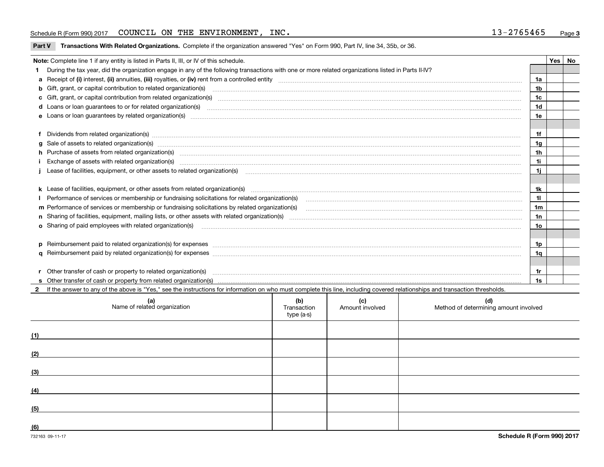| Part V Transactions With Related Organizations. Complete if the organization answered "Yes" on Form 990, Part IV, line 34, 35b, or 36 |  |  |
|---------------------------------------------------------------------------------------------------------------------------------------|--|--|
|                                                                                                                                       |  |  |

| Note: Complete line 1 if any entity is listed in Parts II, III, or IV of this schedule.                                                                                                                                        |                | Yes | No |
|--------------------------------------------------------------------------------------------------------------------------------------------------------------------------------------------------------------------------------|----------------|-----|----|
| 1 During the tax year, did the organization engage in any of the following transactions with one or more related organizations listed in Parts II-IV?                                                                          |                |     |    |
|                                                                                                                                                                                                                                | 1a             |     |    |
| b Gift, grant, or capital contribution to related organization(s) material contracts and contribution to related organization(s)                                                                                               | 1b             |     |    |
| c Gift, grant, or capital contribution from related organization(s) material contents and contribution from related organization(s) material contents and content of the content of the content of content of content of the c | 1c             |     |    |
|                                                                                                                                                                                                                                | 1 <sub>d</sub> |     |    |
|                                                                                                                                                                                                                                | 1e             |     |    |
|                                                                                                                                                                                                                                |                |     |    |
| f Dividends from related organization(s) manufactured contains and contained and contained contained and contained and contained and contained and contained and contained and contained and contained and contained and conta | 1f             |     |    |
| g Sale of assets to related organization(s) www.assettion.com/www.assettion.com/www.assettion.com/www.assettion.com/www.assettion.com/www.assettion.com/www.assettion.com/www.assettion.com/www.assettion.com/www.assettion.co | 1g             |     |    |
| h Purchase of assets from related organization(s) www.assettion.com/www.assettion.com/www.assettion.com/www.assettion.com/www.assettion.com/www.assettion.com/www.assettion.com/www.assettion.com/www.assettion.com/www.assett | 1 <sub>h</sub> |     |    |
| Exchange of assets with related organization(s) www.array.com/www.array.com/www.array.com/www.array.com/www.array.com/www.array.com/www.array.com/www.array.com/www.array.com/www.array.com/www.array.com/www.array.com/www.ar | 1i             |     |    |
| j Lease of facilities, equipment, or other assets to related organization(s) material content and content and content and content and content and content and content and content and content and content and content and cont | 1i.            |     |    |
|                                                                                                                                                                                                                                |                |     |    |
|                                                                                                                                                                                                                                | 1k             |     |    |
|                                                                                                                                                                                                                                | 11             |     |    |
| m Performance of services or membership or fundraising solicitations by related organization(s)                                                                                                                                | 1 <sub>m</sub> |     |    |
|                                                                                                                                                                                                                                | 1n             |     |    |
| <b>o</b> Sharing of paid employees with related organization(s)                                                                                                                                                                | 10             |     |    |
|                                                                                                                                                                                                                                |                |     |    |
| p Reimbursement paid to related organization(s) for expenses [1111] and the content of the content of the content of the content of the content of the content of the content of the content of the content of the content of  | 1p             |     |    |
|                                                                                                                                                                                                                                | 1q             |     |    |
|                                                                                                                                                                                                                                |                |     |    |
| r Other transfer of cash or property to related organization(s)                                                                                                                                                                | 1r             |     |    |
|                                                                                                                                                                                                                                | 1s             |     |    |
| 2 If the answer to any of the above is "Yes," see the instructions for information on who must complete this line, including covered relationships and transaction thresholds.                                                 |                |     |    |

| (a)<br>Name of related organization | (b)<br>Transaction<br>type (a-s) | (c)<br>Amount involved | (d)<br>Method of determining amount involved |
|-------------------------------------|----------------------------------|------------------------|----------------------------------------------|
| (1)                                 |                                  |                        |                                              |
| (2)                                 |                                  |                        |                                              |
| (3)                                 |                                  |                        |                                              |
| (4)                                 |                                  |                        |                                              |
| (5)                                 |                                  |                        |                                              |
| (6)                                 |                                  |                        |                                              |

 $\overline{\phantom{a}}$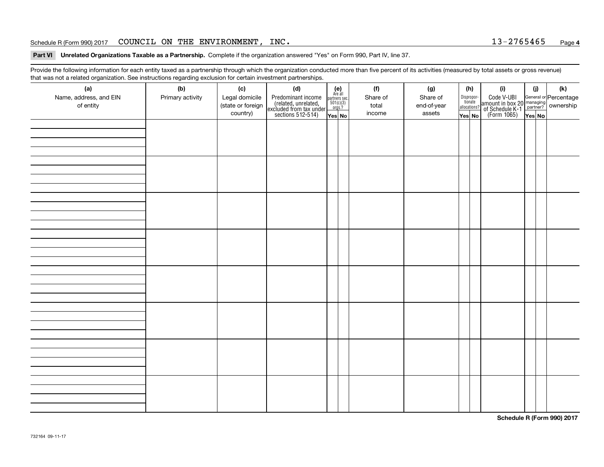**Part VI Unrelated Organizations Taxable as a Partnership.**  Complete if the organization answered "Yes" on Form 990, Part IV, line 37.

Provide the following information for each entity taxed as a partnership through which the organization conducted more than five percent of its activities (measured by total assets or gross revenue) that was not a related organization. See instructions regarding exclusion for certain investment partnerships.

| ັ<br>(a)               | ັ<br>ັ<br>(b)    | (c)               | (d)                                                                                        |                                                                                     |  | (f)      | (g)         |  | (h)                                   | (i)                                                                                                                                   | (i)    | (k) |  |  |  |  |  |
|------------------------|------------------|-------------------|--------------------------------------------------------------------------------------------|-------------------------------------------------------------------------------------|--|----------|-------------|--|---------------------------------------|---------------------------------------------------------------------------------------------------------------------------------------|--------|-----|--|--|--|--|--|
| Name, address, and EIN | Primary activity | Legal domicile    |                                                                                            | (e)<br>Are all                                                                      |  | Share of | Share of    |  |                                       |                                                                                                                                       |        |     |  |  |  |  |  |
| of entity              |                  | (state or foreign | Predominant income<br>(related, unrelated,<br>excluded from tax under<br>sections 512-514) | $\begin{array}{c}\n\text{partners} \sec.\n\\ \n501(c)(3)\n\\ \n0rgs.?\n\end{array}$ |  | total    | end-of-year |  | Dispropor-<br>tionate<br>allocations? | Code V-UBI<br>  amount in box 20 managing<br>  of Schedule K-1 partner? ownership<br>  of Schedule K-1 partner? ownership<br>  Yes No |        |     |  |  |  |  |  |
|                        |                  | country)          |                                                                                            | Yes No                                                                              |  | income   | assets      |  | Yes No                                |                                                                                                                                       | Yes No |     |  |  |  |  |  |
|                        |                  |                   |                                                                                            |                                                                                     |  |          |             |  |                                       |                                                                                                                                       |        |     |  |  |  |  |  |
|                        |                  |                   |                                                                                            |                                                                                     |  |          |             |  |                                       |                                                                                                                                       |        |     |  |  |  |  |  |
|                        |                  |                   |                                                                                            |                                                                                     |  |          |             |  |                                       |                                                                                                                                       |        |     |  |  |  |  |  |
|                        |                  |                   |                                                                                            |                                                                                     |  |          |             |  |                                       |                                                                                                                                       |        |     |  |  |  |  |  |
|                        |                  |                   |                                                                                            |                                                                                     |  |          |             |  |                                       |                                                                                                                                       |        |     |  |  |  |  |  |
|                        |                  |                   |                                                                                            |                                                                                     |  |          |             |  |                                       |                                                                                                                                       |        |     |  |  |  |  |  |
|                        |                  |                   |                                                                                            |                                                                                     |  |          |             |  |                                       |                                                                                                                                       |        |     |  |  |  |  |  |
|                        |                  |                   |                                                                                            |                                                                                     |  |          |             |  |                                       |                                                                                                                                       |        |     |  |  |  |  |  |
|                        |                  |                   |                                                                                            |                                                                                     |  |          |             |  |                                       |                                                                                                                                       |        |     |  |  |  |  |  |
|                        |                  |                   |                                                                                            |                                                                                     |  |          |             |  |                                       |                                                                                                                                       |        |     |  |  |  |  |  |
|                        |                  |                   |                                                                                            |                                                                                     |  |          |             |  |                                       |                                                                                                                                       |        |     |  |  |  |  |  |
|                        |                  |                   |                                                                                            |                                                                                     |  |          |             |  |                                       |                                                                                                                                       |        |     |  |  |  |  |  |
|                        |                  |                   |                                                                                            |                                                                                     |  |          |             |  |                                       |                                                                                                                                       |        |     |  |  |  |  |  |
|                        |                  |                   |                                                                                            |                                                                                     |  |          |             |  |                                       |                                                                                                                                       |        |     |  |  |  |  |  |
|                        |                  |                   |                                                                                            |                                                                                     |  |          |             |  |                                       |                                                                                                                                       |        |     |  |  |  |  |  |
|                        |                  |                   |                                                                                            |                                                                                     |  |          |             |  |                                       |                                                                                                                                       |        |     |  |  |  |  |  |
|                        |                  |                   |                                                                                            |                                                                                     |  |          |             |  |                                       |                                                                                                                                       |        |     |  |  |  |  |  |
|                        |                  |                   |                                                                                            |                                                                                     |  |          |             |  |                                       |                                                                                                                                       |        |     |  |  |  |  |  |
|                        |                  |                   |                                                                                            |                                                                                     |  |          |             |  |                                       |                                                                                                                                       |        |     |  |  |  |  |  |
|                        |                  |                   |                                                                                            |                                                                                     |  |          |             |  |                                       |                                                                                                                                       |        |     |  |  |  |  |  |
|                        |                  |                   |                                                                                            |                                                                                     |  |          |             |  |                                       |                                                                                                                                       |        |     |  |  |  |  |  |
|                        |                  |                   |                                                                                            |                                                                                     |  |          |             |  |                                       |                                                                                                                                       |        |     |  |  |  |  |  |
|                        |                  |                   |                                                                                            |                                                                                     |  |          |             |  |                                       |                                                                                                                                       |        |     |  |  |  |  |  |
|                        |                  |                   |                                                                                            |                                                                                     |  |          |             |  |                                       |                                                                                                                                       |        |     |  |  |  |  |  |
|                        |                  |                   |                                                                                            |                                                                                     |  |          |             |  |                                       |                                                                                                                                       |        |     |  |  |  |  |  |
|                        |                  |                   |                                                                                            |                                                                                     |  |          |             |  |                                       |                                                                                                                                       |        |     |  |  |  |  |  |
|                        |                  |                   |                                                                                            |                                                                                     |  |          |             |  |                                       |                                                                                                                                       |        |     |  |  |  |  |  |
|                        |                  |                   |                                                                                            |                                                                                     |  |          |             |  |                                       |                                                                                                                                       |        |     |  |  |  |  |  |
|                        |                  |                   |                                                                                            |                                                                                     |  |          |             |  |                                       |                                                                                                                                       |        |     |  |  |  |  |  |
|                        |                  |                   |                                                                                            |                                                                                     |  |          |             |  |                                       |                                                                                                                                       |        |     |  |  |  |  |  |
|                        |                  |                   |                                                                                            |                                                                                     |  |          |             |  |                                       |                                                                                                                                       |        |     |  |  |  |  |  |
|                        |                  |                   |                                                                                            |                                                                                     |  |          |             |  |                                       |                                                                                                                                       |        |     |  |  |  |  |  |
|                        |                  |                   |                                                                                            |                                                                                     |  |          |             |  |                                       |                                                                                                                                       |        |     |  |  |  |  |  |
|                        |                  |                   |                                                                                            |                                                                                     |  |          |             |  |                                       |                                                                                                                                       |        |     |  |  |  |  |  |

**Schedule R (Form 990) 2017**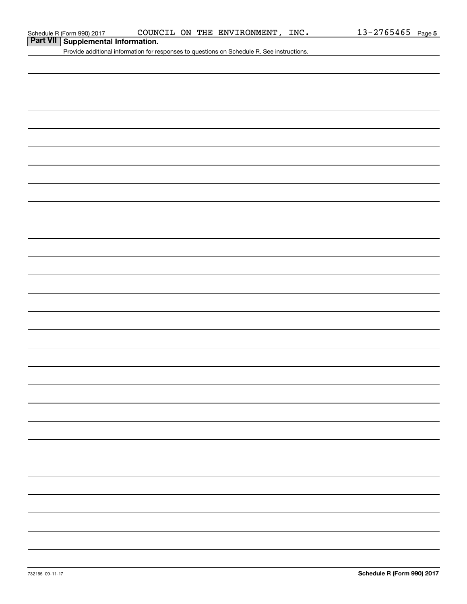# **Part VII Supplemental Information.**

Provide additional information for responses to questions on Schedule R. See instructions.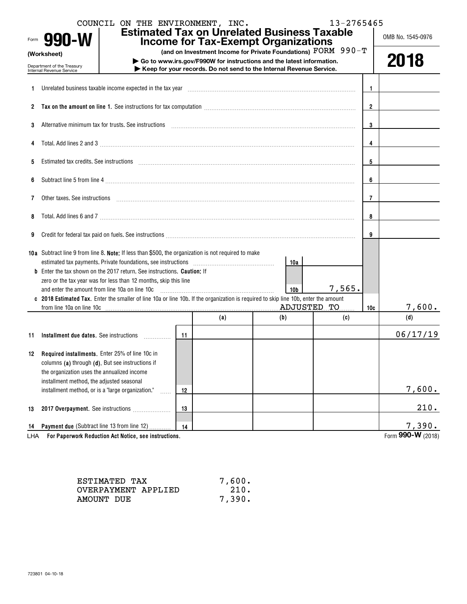|     | COUNCIL ON THE ENVIRONMENT, INC.<br>Form 990-W                                                                                                                                                                                 |    |                | <b>Estimated Tax on Unrelated Business Taxable</b><br><b>Income for Tax-Exempt Organizations</b>                                            | 13-2765465 |              | OMB No. 1545-0976 |
|-----|--------------------------------------------------------------------------------------------------------------------------------------------------------------------------------------------------------------------------------|----|----------------|---------------------------------------------------------------------------------------------------------------------------------------------|------------|--------------|-------------------|
|     | (Worksheet)                                                                                                                                                                                                                    |    |                | (and on Investment Income for Private Foundations) $\text{FORM } 990 - \text{T}$                                                            |            |              |                   |
|     | Department of the Treasury<br>Internal Revenue Service                                                                                                                                                                         |    |                | Go to www.irs.gov/F990W for instructions and the latest information.<br>Keep for your records. Do not send to the Internal Revenue Service. |            |              | 2018              |
|     |                                                                                                                                                                                                                                |    |                |                                                                                                                                             |            |              |                   |
| 1.  | Unrelated business taxable income expected in the tax year                                                                                                                                                                     |    |                |                                                                                                                                             |            | $\mathbf{1}$ |                   |
|     |                                                                                                                                                                                                                                |    | $\overline{2}$ |                                                                                                                                             |            |              |                   |
| 3   | Alternative minimum tax for trusts. See instructions with an accommunication of the material contract of the state of the state of the state of the state of the state of the state of the state of the state of the state of  |    | $\bf{3}$       |                                                                                                                                             |            |              |                   |
| 4   |                                                                                                                                                                                                                                |    |                |                                                                                                                                             |            | 4            |                   |
| 5   | Estimated tax credits. See instructions with an according contract to the internal contract of the instructions of the internal contract of the internal contract of the internal contract of the internal contract of the int |    |                |                                                                                                                                             |            | 5            |                   |
| 6   |                                                                                                                                                                                                                                |    |                |                                                                                                                                             |            | 6            |                   |
| 7   | Other taxes. See instructions entertainment and an account of the set of the set of the set of the set of the set of the set of the set of the set of the set of the set of the set of the set of the set of the set of the se |    |                |                                                                                                                                             |            | 7            |                   |
| 8   |                                                                                                                                                                                                                                |    |                |                                                                                                                                             |            | 8            |                   |
| 9   | Credit for federal tax paid on fuels. See instructions [11] productions [11] production of the federal tax paid on fuels. See instructions [11] productions [11] productions [11] productions [11] productions [11] production |    |                |                                                                                                                                             |            | 9            |                   |
|     | 10a Subtract line 9 from line 8. Note: If less than \$500, the organization is not required to make                                                                                                                            |    |                |                                                                                                                                             |            |              |                   |
|     | <b>b</b> Enter the tax shown on the 2017 return. See instructions. <b>Caution:</b> If                                                                                                                                          |    |                | 10a                                                                                                                                         |            |              |                   |
|     | zero or the tax year was for less than 12 months, skip this line                                                                                                                                                               |    |                |                                                                                                                                             |            |              |                   |
|     | and enter the amount from line 10a on line 10c                                                                                                                                                                                 |    |                | 10 <sub>b</sub>                                                                                                                             | 7,565.     |              |                   |
|     | 2018 Estimated Tax. Enter the smaller of line 10a or line 10b. If the organization is required to skip line 10b, enter the amount                                                                                              |    |                |                                                                                                                                             |            |              |                   |
|     | from line 10a on line 10c                                                                                                                                                                                                      |    |                | ADJUSTED TO                                                                                                                                 |            | 10c          | 7,600.            |
|     |                                                                                                                                                                                                                                |    | (a)            | (b)                                                                                                                                         | (c)        |              | (d)               |
| 11  |                                                                                                                                                                                                                                |    |                |                                                                                                                                             |            |              | 06/17/19          |
|     |                                                                                                                                                                                                                                |    |                |                                                                                                                                             |            |              |                   |
|     | 12 Required installments. Enter 25% of line 10c in                                                                                                                                                                             |    |                |                                                                                                                                             |            |              |                   |
|     | columns (a) through (d). But see instructions if                                                                                                                                                                               |    |                |                                                                                                                                             |            |              |                   |
|     | the organization uses the annualized income                                                                                                                                                                                    |    |                |                                                                                                                                             |            |              |                   |
|     | installment method, the adjusted seasonal                                                                                                                                                                                      |    |                |                                                                                                                                             |            |              |                   |
|     | installment method, or is a "large organization."                                                                                                                                                                              | 12 |                |                                                                                                                                             |            |              | 7,600.            |
| 13  | 2017 Overpayment. See instructions                                                                                                                                                                                             | 13 |                |                                                                                                                                             |            |              | 210.              |
|     |                                                                                                                                                                                                                                |    |                |                                                                                                                                             |            |              |                   |
| 14  | Payment due (Subtract line 13 from line 12)                                                                                                                                                                                    | 14 |                |                                                                                                                                             |            |              | 7,390.            |
| LHA | For Paperwork Reduction Act Notice, see instructions.                                                                                                                                                                          |    |                |                                                                                                                                             |            |              | Form 990-W (2018) |

| ESTIMATED TAX       | 7,600. |
|---------------------|--------|
| OVERPAYMENT APPLIED | 210.   |
| AMOUNT DUE          | 7,390. |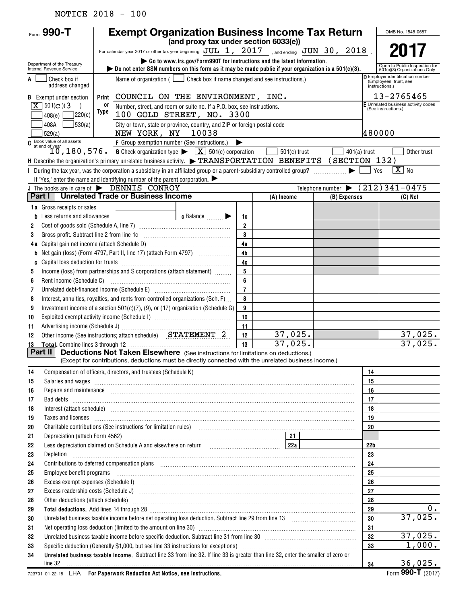# NOTICE 2018 - 100

| Form $990 - T$                                         | <b>Exempt Organization Business Income Tax Return</b>                                                                                                                                                                                                                                                                                                                                                                                            |                                                                                                                                      |                                                                            |                                       |                |                 | OMB No. 1545-0687                                             |  |  |  |  |
|--------------------------------------------------------|--------------------------------------------------------------------------------------------------------------------------------------------------------------------------------------------------------------------------------------------------------------------------------------------------------------------------------------------------------------------------------------------------------------------------------------------------|--------------------------------------------------------------------------------------------------------------------------------------|----------------------------------------------------------------------------|---------------------------------------|----------------|-----------------|---------------------------------------------------------------|--|--|--|--|
|                                                        |                                                                                                                                                                                                                                                                                                                                                                                                                                                  |                                                                                                                                      |                                                                            | (and proxy tax under section 6033(e)) |                |                 |                                                               |  |  |  |  |
|                                                        | For calendar year 2017 or other tax year beginning $JUL$ 1, $2017$ , and ending $JUN$ 30, $2018$ .                                                                                                                                                                                                                                                                                                                                               |                                                                                                                                      |                                                                            |                                       |                |                 | 2017                                                          |  |  |  |  |
| Department of the Treasury<br>Internal Revenue Service | Go to www.irs.gov/Form990T for instructions and the latest information.<br>bo not enter SSN numbers on this form as it may be made public if your organization is a $501(c)(3)$ .                                                                                                                                                                                                                                                                |                                                                                                                                      |                                                                            |                                       |                |                 | Open to Public Inspection for<br>501(c)(3) Organizations Only |  |  |  |  |
| Check box if<br>A<br>address changed                   | Name of organization ( $\Box$ Check box if name changed and see instructions.)                                                                                                                                                                                                                                                                                                                                                                   |                                                                                                                                      | Employer identification number<br>(Employees' trust, see<br>instructions.) |                                       |                |                 |                                                               |  |  |  |  |
| <b>B</b> Exempt under section                          | COUNCIL ON THE ENVIRONMENT, INC.<br>Print                                                                                                                                                                                                                                                                                                                                                                                                        |                                                                                                                                      |                                                                            |                                       |                |                 | 13-2765465                                                    |  |  |  |  |
| $X \mid 501(c)$ (3)                                    | 0ľ                                                                                                                                                                                                                                                                                                                                                                                                                                               | F Unrelated business activity codes<br>Number, street, and room or suite no. If a P.O. box, see instructions.<br>(See instructions.) |                                                                            |                                       |                |                 |                                                               |  |  |  |  |
| 7220(e)<br>408(e)                                      | Type<br>100 GOLD STREET, NO. 3300                                                                                                                                                                                                                                                                                                                                                                                                                |                                                                                                                                      |                                                                            |                                       |                |                 |                                                               |  |  |  |  |
| 530(a)<br>408A<br>529(a)                               | City or town, state or province, country, and ZIP or foreign postal code<br>NEW YORK, NY<br>10038                                                                                                                                                                                                                                                                                                                                                |                                                                                                                                      |                                                                            |                                       |                | 480000          |                                                               |  |  |  |  |
|                                                        | C Book value of all assets<br>at end of year<br>10, 180, 576.<br>F Group exemption number (See instructions.)<br>▶                                                                                                                                                                                                                                                                                                                               |                                                                                                                                      |                                                                            |                                       |                |                 |                                                               |  |  |  |  |
|                                                        | <b>G</b> Check organization type $\triangleright \quad \boxed{\mathbf{X}}$ 501(c) corporation                                                                                                                                                                                                                                                                                                                                                    |                                                                                                                                      |                                                                            | $501(c)$ trust                        | $401(a)$ trust |                 | Other trust                                                   |  |  |  |  |
|                                                        | H Describe the organization's primary unrelated business activity. $\blacktriangleright$ TRANSPORTATION BENEFITS (SECTION 132)                                                                                                                                                                                                                                                                                                                   |                                                                                                                                      |                                                                            |                                       |                |                 |                                                               |  |  |  |  |
|                                                        | I During the tax year, was the corporation a subsidiary in an affiliated group or a parent-subsidiary controlled group?                                                                                                                                                                                                                                                                                                                          |                                                                                                                                      |                                                                            |                                       |                | Yes             | $\overline{X}$ No                                             |  |  |  |  |
|                                                        | If "Yes," enter the name and identifying number of the parent corporation. $\blacktriangleright$                                                                                                                                                                                                                                                                                                                                                 |                                                                                                                                      |                                                                            |                                       |                |                 |                                                               |  |  |  |  |
|                                                        | J The books are in care of $\blacktriangleright$ DENNIS CONROY<br><b>Unrelated Trade or Business Income</b>                                                                                                                                                                                                                                                                                                                                      |                                                                                                                                      |                                                                            |                                       |                |                 | Telephone number $\blacktriangleright$ (212) 341-0475         |  |  |  |  |
| Part I                                                 |                                                                                                                                                                                                                                                                                                                                                                                                                                                  |                                                                                                                                      |                                                                            | (A) Income                            | (B) Expenses   |                 | (C) Net                                                       |  |  |  |  |
| 1a Gross receipts or sales                             |                                                                                                                                                                                                                                                                                                                                                                                                                                                  |                                                                                                                                      |                                                                            |                                       |                |                 |                                                               |  |  |  |  |
| Less returns and allowances                            | c Balance <b>Department</b><br>the control of the control of the                                                                                                                                                                                                                                                                                                                                                                                 |                                                                                                                                      | 1c<br>$\overline{2}$                                                       |                                       |                |                 |                                                               |  |  |  |  |
| 2                                                      |                                                                                                                                                                                                                                                                                                                                                                                                                                                  |                                                                                                                                      | 3                                                                          |                                       |                |                 |                                                               |  |  |  |  |
| 3                                                      |                                                                                                                                                                                                                                                                                                                                                                                                                                                  |                                                                                                                                      | 4a                                                                         |                                       |                |                 |                                                               |  |  |  |  |
| b                                                      | Net gain (loss) (Form 4797, Part II, line 17) (attach Form 4797)                                                                                                                                                                                                                                                                                                                                                                                 |                                                                                                                                      | 4 <sub>b</sub>                                                             |                                       |                |                 |                                                               |  |  |  |  |
| C                                                      |                                                                                                                                                                                                                                                                                                                                                                                                                                                  |                                                                                                                                      | 4c                                                                         |                                       |                |                 |                                                               |  |  |  |  |
| 5                                                      | Income (loss) from partnerships and S corporations (attach statement)                                                                                                                                                                                                                                                                                                                                                                            |                                                                                                                                      | 5                                                                          |                                       |                |                 |                                                               |  |  |  |  |
| Rent income (Schedule C)<br>6                          |                                                                                                                                                                                                                                                                                                                                                                                                                                                  |                                                                                                                                      | 6                                                                          |                                       |                |                 |                                                               |  |  |  |  |
| 7                                                      | Unrelated debt-financed income (Schedule E) [11] [2010] [2010] [2010] [2010] [2010] [2010] [2010] [2010] [2010                                                                                                                                                                                                                                                                                                                                   |                                                                                                                                      | $\overline{7}$                                                             |                                       |                |                 |                                                               |  |  |  |  |
| 8                                                      | Interest, annuities, royalties, and rents from controlled organizations (Sch. F)                                                                                                                                                                                                                                                                                                                                                                 |                                                                                                                                      | 8                                                                          |                                       |                |                 |                                                               |  |  |  |  |
| 9                                                      | Investment income of a section 501(c)(7), (9), or (17) organization (Schedule G)                                                                                                                                                                                                                                                                                                                                                                 |                                                                                                                                      | 9                                                                          |                                       |                |                 |                                                               |  |  |  |  |
| 10                                                     |                                                                                                                                                                                                                                                                                                                                                                                                                                                  |                                                                                                                                      | 10                                                                         |                                       |                |                 |                                                               |  |  |  |  |
| 11                                                     |                                                                                                                                                                                                                                                                                                                                                                                                                                                  |                                                                                                                                      | 11                                                                         |                                       |                |                 |                                                               |  |  |  |  |
| 12                                                     | Other income (See instructions; attach schedule) STATEMENT 2                                                                                                                                                                                                                                                                                                                                                                                     |                                                                                                                                      | 12                                                                         | 37,025.                               |                |                 | 37,025.                                                       |  |  |  |  |
| 13                                                     |                                                                                                                                                                                                                                                                                                                                                                                                                                                  |                                                                                                                                      | 13                                                                         | 37,025.                               |                |                 | 37,025.                                                       |  |  |  |  |
| Part II                                                | <b>Deductions Not Taken Elsewhere</b> (See instructions for limitations on deductions.)<br>(Except for contributions, deductions must be directly connected with the unrelated business income.)                                                                                                                                                                                                                                                 |                                                                                                                                      |                                                                            |                                       |                |                 |                                                               |  |  |  |  |
| 14                                                     |                                                                                                                                                                                                                                                                                                                                                                                                                                                  |                                                                                                                                      |                                                                            |                                       |                | 14              |                                                               |  |  |  |  |
| 15                                                     | Salaries and wages <b>with a construction of the construction of the construction of the construction</b> of the construction of the construction of the construction of the construction of the construction of the construction o                                                                                                                                                                                                              |                                                                                                                                      |                                                                            |                                       |                | 15              |                                                               |  |  |  |  |
| 16                                                     | Repairs and maintenance <i>[1] [1] [1] [1] [1] [1] [1] [1] [1] [1]</i> [1] <b>[1]</b> [1] <b>[1]</b> [1] <b>[1] [1] [1] [1] [1] [1] [1] [1] [1] [1] [1] [1] [1] [1] [1] [1] [1] [1] [1] [1] [1] [1]</b>                                                                                                                                                                                                                                          |                                                                                                                                      |                                                                            |                                       |                | 16              |                                                               |  |  |  |  |
| 17                                                     |                                                                                                                                                                                                                                                                                                                                                                                                                                                  |                                                                                                                                      |                                                                            |                                       |                | 17              |                                                               |  |  |  |  |
| 18                                                     |                                                                                                                                                                                                                                                                                                                                                                                                                                                  |                                                                                                                                      |                                                                            |                                       |                | 18              |                                                               |  |  |  |  |
| 19                                                     | Taxes and licenses <b>commissions</b> and interest and increase and interest and interest and licenses <b>and licenses</b>                                                                                                                                                                                                                                                                                                                       |                                                                                                                                      |                                                                            |                                       |                | 19              |                                                               |  |  |  |  |
| 20                                                     | Charitable contributions (See instructions for limitation rules) [11] manufacture in the contributions (See instructions for limitation rules) [11] manufacture in the contributions (See instructions for limitation rules) [                                                                                                                                                                                                                   |                                                                                                                                      |                                                                            |                                       |                | 20              |                                                               |  |  |  |  |
| 21                                                     |                                                                                                                                                                                                                                                                                                                                                                                                                                                  |                                                                                                                                      |                                                                            |                                       |                |                 |                                                               |  |  |  |  |
| 22                                                     |                                                                                                                                                                                                                                                                                                                                                                                                                                                  |                                                                                                                                      |                                                                            |                                       |                | 22 <sub>b</sub> |                                                               |  |  |  |  |
| 23<br>Depletion<br>24                                  |                                                                                                                                                                                                                                                                                                                                                                                                                                                  |                                                                                                                                      |                                                                            |                                       |                | 23<br>24        |                                                               |  |  |  |  |
| 25<br>Employee benefit programs                        | Contributions to deferred compensation plans [11] manufactured contributions to deferred compensation plans [11] manufactured compensation plans [11] manufactured compensation plans [11] manufactured contributions to defer                                                                                                                                                                                                                   |                                                                                                                                      |                                                                            |                                       |                | 25              |                                                               |  |  |  |  |
| 26                                                     | $\begin{minipage}{0.5\textwidth} \begin{tabular}{ l l l } \hline \multicolumn{1}{ l l l } \hline \multicolumn{1}{ l l } \hline \multicolumn{1}{ l } \multicolumn{1}{ l } \hline \multicolumn{1}{ l } \multicolumn{1}{ l } \multicolumn{1}{ l } \hline \multicolumn{1}{ l } \multicolumn{1}{ l } \multicolumn{1}{ l } \hline \multicolumn{1}{ l } \multicolumn{1}{ l } \hline \multicolumn{1}{ l } \multicolumn{1}{ l } \hline \multicolumn{1}{ $ |                                                                                                                                      |                                                                            |                                       |                | 26              |                                                               |  |  |  |  |
| 27                                                     |                                                                                                                                                                                                                                                                                                                                                                                                                                                  |                                                                                                                                      |                                                                            |                                       |                | 27              |                                                               |  |  |  |  |
| 28                                                     | Other deductions (attach schedule) manufactured and contract and contract and contract and contract and contract and contract and contract and contract and contract and contract and contract and contract and contract and c                                                                                                                                                                                                                   |                                                                                                                                      |                                                                            |                                       |                | 28              |                                                               |  |  |  |  |
| 29                                                     |                                                                                                                                                                                                                                                                                                                                                                                                                                                  |                                                                                                                                      |                                                                            |                                       |                | 29              | 0.                                                            |  |  |  |  |
| 30                                                     |                                                                                                                                                                                                                                                                                                                                                                                                                                                  |                                                                                                                                      |                                                                            |                                       |                | 30              | 37,025.                                                       |  |  |  |  |
| 31                                                     | Net operating loss deduction (limited to the amount on line 30) manufactured contains according to the amount of                                                                                                                                                                                                                                                                                                                                 |                                                                                                                                      |                                                                            |                                       |                | 31              |                                                               |  |  |  |  |
| 32                                                     |                                                                                                                                                                                                                                                                                                                                                                                                                                                  |                                                                                                                                      |                                                                            |                                       |                | 32              | 37,025.                                                       |  |  |  |  |
| 33                                                     |                                                                                                                                                                                                                                                                                                                                                                                                                                                  |                                                                                                                                      |                                                                            |                                       |                | 33              | 1,000.                                                        |  |  |  |  |
| 34                                                     | Unrelated business taxable income. Subtract line 33 from line 32. If line 33 is greater than line 32, enter the smaller of zero or                                                                                                                                                                                                                                                                                                               |                                                                                                                                      |                                                                            |                                       |                |                 |                                                               |  |  |  |  |
| line 32                                                |                                                                                                                                                                                                                                                                                                                                                                                                                                                  |                                                                                                                                      |                                                                            |                                       |                | 34              | 36,025.                                                       |  |  |  |  |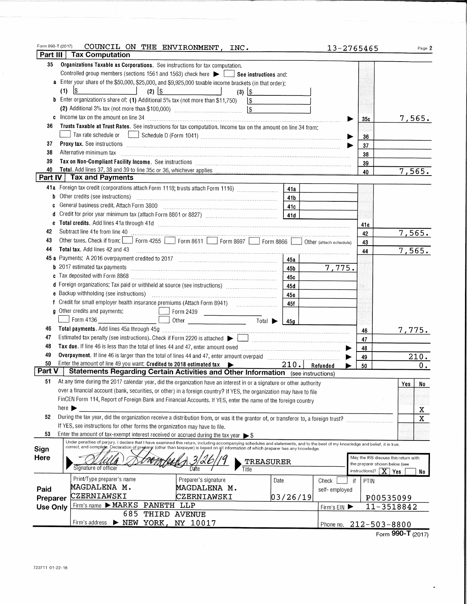| Form 990-T (2017) | COUNCIL ON THE ENVIRONMENT, INC.                                                                                                                                                                                                                                                                                          | $13 - 2765465$ |                                                                       | Page 2      |
|-------------------|---------------------------------------------------------------------------------------------------------------------------------------------------------------------------------------------------------------------------------------------------------------------------------------------------------------------------|----------------|-----------------------------------------------------------------------|-------------|
| Part III          | <b>Tax Computation</b>                                                                                                                                                                                                                                                                                                    |                |                                                                       |             |
| 35                | Organizations Taxable as Corporations. See instructions for tax computation.                                                                                                                                                                                                                                              |                |                                                                       |             |
|                   | Controlled group members (sections 1561 and 1563) check here $\blacktriangleright$ $\Box$ See instructions and:                                                                                                                                                                                                           |                |                                                                       |             |
|                   | Enter your share of the \$50,000, \$25,000, and \$9,925,000 taxable income brackets (in that order):                                                                                                                                                                                                                      |                |                                                                       |             |
|                   | $\frac{1}{2}$<br>$(2)$ $ $ \$<br>(1)<br><u> 1980 - Jan Stein Stein Stein Stein Stein Stein Stein Stein Stein Stein Stein Stein Stein Stein Stein Stein S</u><br><u>and the community of the community of the community of the community of the community of the community of the co</u><br>$(3)$ $ $ \$                   |                |                                                                       |             |
|                   | <b>b</b> Enter organization's share of: (1) Additional 5% tax (not more than \$11,750)<br>1\$                                                                                                                                                                                                                             |                |                                                                       |             |
|                   |                                                                                                                                                                                                                                                                                                                           |                |                                                                       |             |
|                   | c Income tax on the amount on line 34 [11] manufacture is a contract to the amount of the amount of the state of the state of the state of the state of the state of the state of the state of the state of the state of the s                                                                                            |                | 35с                                                                   | 7,565.      |
| 36                | Trusts Taxable at Trust Rates. See instructions for tax computation. Income tax on the amount on line 34 from:                                                                                                                                                                                                            |                |                                                                       |             |
|                   |                                                                                                                                                                                                                                                                                                                           |                | 36                                                                    |             |
| 37                |                                                                                                                                                                                                                                                                                                                           |                | 37                                                                    |             |
| 38                | Alternative minimum tax                                                                                                                                                                                                                                                                                                   |                | 38                                                                    |             |
| 39                |                                                                                                                                                                                                                                                                                                                           |                | 39                                                                    |             |
| 40                |                                                                                                                                                                                                                                                                                                                           |                | 40                                                                    | 7,565.      |
|                   | Part IV Tax and Payments                                                                                                                                                                                                                                                                                                  |                |                                                                       |             |
|                   | 41a Foreign tax credit (corporations attach Form 1118; trusts attach Form 1116)<br>41a                                                                                                                                                                                                                                    |                |                                                                       |             |
| b                 | Other credits (see instructions)<br>41b                                                                                                                                                                                                                                                                                   |                |                                                                       |             |
| c                 | General business credit. Attach Form 3800<br>41c                                                                                                                                                                                                                                                                          |                |                                                                       |             |
| d                 |                                                                                                                                                                                                                                                                                                                           |                |                                                                       |             |
| e                 |                                                                                                                                                                                                                                                                                                                           |                |                                                                       |             |
| 42                |                                                                                                                                                                                                                                                                                                                           |                | 41e                                                                   |             |
| 43                | Subtract line 41e from line 40<br>Other taxes. Check if from: Form 4255 Form 8611 Form 8697 Form 8866 Other (attach schedule)                                                                                                                                                                                             |                | 42                                                                    | 7,565.      |
| 44                |                                                                                                                                                                                                                                                                                                                           |                | 43                                                                    |             |
| 45 а              |                                                                                                                                                                                                                                                                                                                           |                | 44                                                                    | 7,565.      |
|                   | 45a                                                                                                                                                                                                                                                                                                                       |                |                                                                       |             |
| b                 | 45b                                                                                                                                                                                                                                                                                                                       | 7,775.         |                                                                       |             |
| c                 | 45с                                                                                                                                                                                                                                                                                                                       |                |                                                                       |             |
|                   | d Foreign organizations: Tax paid or withheld at source (see instructions) [11, 11, 11, 11, 11, 11, 11, 11, 11<br>45 d                                                                                                                                                                                                    |                |                                                                       |             |
|                   | 45e                                                                                                                                                                                                                                                                                                                       |                |                                                                       |             |
|                   | 45f                                                                                                                                                                                                                                                                                                                       |                |                                                                       |             |
|                   | g Other credits and payments:<br>$F$ orm 2439                                                                                                                                                                                                                                                                             |                |                                                                       |             |
|                   | Form 4136<br>$Total \rightarrow 45g$                                                                                                                                                                                                                                                                                      |                |                                                                       |             |
| 46                |                                                                                                                                                                                                                                                                                                                           |                | 46                                                                    | 7,775.      |
| 47                |                                                                                                                                                                                                                                                                                                                           |                | 47                                                                    |             |
| 48                |                                                                                                                                                                                                                                                                                                                           |                | 48                                                                    |             |
| 49                |                                                                                                                                                                                                                                                                                                                           |                | 49                                                                    | 210.        |
| 50                | Enter the amount of line 49 you want: Credited to 2018 estimated tax<br>210. Refunded                                                                                                                                                                                                                                     |                | 50                                                                    | $0 \cdot$   |
| Part V            | <b>Statements Regarding Certain Activities and Other Information</b> (see instructions)                                                                                                                                                                                                                                   |                |                                                                       |             |
| 51                | At any time during the 2017 calendar year, did the organization have an interest in or a signature or other authority                                                                                                                                                                                                     |                |                                                                       | Yes I<br>No |
|                   | over a financial account (bank, securities, or other) in a foreign country? If YES, the organization may have to file                                                                                                                                                                                                     |                |                                                                       |             |
|                   | FinCEN Form 114, Report of Foreign Bank and Financial Accounts. If YES, enter the name of the foreign country                                                                                                                                                                                                             |                |                                                                       |             |
|                   | here $\blacktriangleright$                                                                                                                                                                                                                                                                                                |                |                                                                       | X           |
| 52                | During the tax year, did the organization receive a distribution from, or was it the grantor of, or transferor to, a foreign trust?                                                                                                                                                                                       |                |                                                                       | $\rm X$     |
|                   | If YES, see instructions for other forms the organization may have to file.                                                                                                                                                                                                                                               |                |                                                                       |             |
| 53                | Enter the amount of tax-exempt interest received or accrued during the tax year $\triangleright$ \$                                                                                                                                                                                                                       |                |                                                                       |             |
|                   | Under penalties of perjury, I declare that I have examined this return, including accompanying schedules and statements, and to the best of my knowledge and belief, it is true,<br>correct, and complete. Declaration of preparer (other than taxpayer) is based on all information of which preparer has any knowledge. |                |                                                                       |             |
| Sign              |                                                                                                                                                                                                                                                                                                                           |                |                                                                       |             |
| Here              | TREASURER                                                                                                                                                                                                                                                                                                                 |                | May the IRS discuss this return with<br>the preparer shown below (see |             |
|                   | Signature of officer<br>Date<br>Title                                                                                                                                                                                                                                                                                     |                | instructions)?<br>$\overline{X}$ Yes                                  | No          |
|                   | Print/Type preparer's name<br>Preparer's signature<br>Date                                                                                                                                                                                                                                                                | Check<br>if    | PTIN                                                                  |             |
| Paid              | MAGDALENA M.<br>MAGDALENA M.                                                                                                                                                                                                                                                                                              | self-employed  |                                                                       |             |
| Preparer          | CZERNIAWSKI<br>CZERNIAWSKI<br>03/26/19                                                                                                                                                                                                                                                                                    |                | P00535099                                                             |             |
| <b>Use Only</b>   | Firm's name $\blacktriangleright$ MARKS<br>PANETH LLP                                                                                                                                                                                                                                                                     | Firm's EIN     | $11 - 3518842$                                                        |             |
|                   | 685<br>THIRD AVENUE                                                                                                                                                                                                                                                                                                       |                |                                                                       |             |
|                   | Firm's address > NEW YORK, NY 10017                                                                                                                                                                                                                                                                                       | Phone no.      | $212 - 503 - 8800$                                                    |             |
|                   |                                                                                                                                                                                                                                                                                                                           |                |                                                                       |             |

Form 990-T (2017)

 $\overline{\phantom{a}}$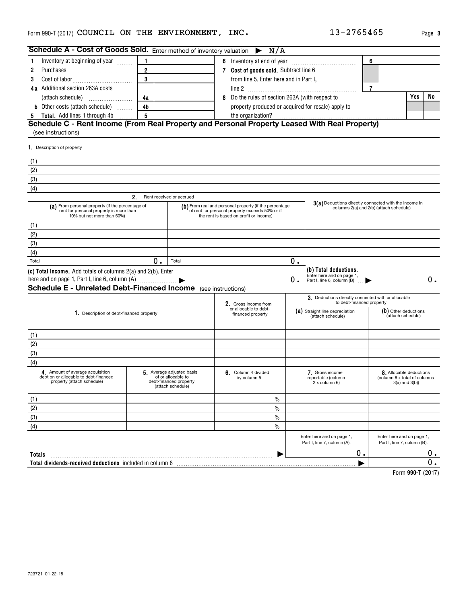| Schedule A - Cost of Goods Sold. Enter method of inventory valuation $\triangleright N/A$                                 |                |                                                                                               |                                                                                                                                                     |    |                                                                                                  |   |                                                                              |    |
|---------------------------------------------------------------------------------------------------------------------------|----------------|-----------------------------------------------------------------------------------------------|-----------------------------------------------------------------------------------------------------------------------------------------------------|----|--------------------------------------------------------------------------------------------------|---|------------------------------------------------------------------------------|----|
| Inventory at beginning of year<br>-1                                                                                      | $\mathbf{1}$   |                                                                                               |                                                                                                                                                     |    |                                                                                                  | 6 |                                                                              |    |
| 2<br>Purchases                                                                                                            | $\overline{2}$ | 7 Cost of goods sold. Subtract line 6                                                         |                                                                                                                                                     |    |                                                                                                  |   |                                                                              |    |
| 3                                                                                                                         | $\mathbf 3$    |                                                                                               | from line 5. Enter here and in Part I,                                                                                                              |    |                                                                                                  |   |                                                                              |    |
| 4a Additional section 263A costs                                                                                          |                |                                                                                               |                                                                                                                                                     |    |                                                                                                  | 7 |                                                                              |    |
|                                                                                                                           | 4a             |                                                                                               | 8 Do the rules of section 263A (with respect to                                                                                                     |    |                                                                                                  |   | Yes                                                                          | No |
| <b>b</b> Other costs (attach schedule) $\ldots$                                                                           | 4b             |                                                                                               | property produced or acquired for resale) apply to                                                                                                  |    |                                                                                                  |   |                                                                              |    |
| 5 Total. Add lines 1 through 4b                                                                                           | 5              |                                                                                               | the organization?                                                                                                                                   |    |                                                                                                  |   |                                                                              |    |
| Schedule C - Rent Income (From Real Property and Personal Property Leased With Real Property)<br>(see instructions)       |                |                                                                                               |                                                                                                                                                     |    |                                                                                                  |   |                                                                              |    |
| 1. Description of property                                                                                                |                |                                                                                               |                                                                                                                                                     |    |                                                                                                  |   |                                                                              |    |
| (1)                                                                                                                       |                |                                                                                               |                                                                                                                                                     |    |                                                                                                  |   |                                                                              |    |
| (2)                                                                                                                       |                |                                                                                               |                                                                                                                                                     |    |                                                                                                  |   |                                                                              |    |
| (3)                                                                                                                       |                |                                                                                               |                                                                                                                                                     |    |                                                                                                  |   |                                                                              |    |
| (4)                                                                                                                       |                |                                                                                               |                                                                                                                                                     |    |                                                                                                  |   |                                                                              |    |
|                                                                                                                           | 2.             | Rent received or accrued                                                                      |                                                                                                                                                     |    |                                                                                                  |   |                                                                              |    |
| (a) From personal property (if the percentage of<br>rent for personal property is more than<br>10% but not more than 50%) |                |                                                                                               | (b) From real and personal property (if the percentage<br>of rent for personal property exceeds 50% or if<br>the rent is based on profit or income) |    | 3(a) Deductions directly connected with the income in<br>columns 2(a) and 2(b) (attach schedule) |   |                                                                              |    |
| (1)                                                                                                                       |                |                                                                                               |                                                                                                                                                     |    |                                                                                                  |   |                                                                              |    |
| (2)                                                                                                                       |                |                                                                                               |                                                                                                                                                     |    |                                                                                                  |   |                                                                              |    |
| (3)                                                                                                                       |                |                                                                                               |                                                                                                                                                     |    |                                                                                                  |   |                                                                              |    |
| (4)                                                                                                                       |                |                                                                                               |                                                                                                                                                     |    |                                                                                                  |   |                                                                              |    |
| Total                                                                                                                     | 0.             | Total                                                                                         |                                                                                                                                                     | 0. |                                                                                                  |   |                                                                              |    |
| (c) Total income. Add totals of columns 2(a) and 2(b). Enter                                                              |                |                                                                                               |                                                                                                                                                     |    | (b) Total deductions.                                                                            |   |                                                                              |    |
| here and on page 1, Part I, line 6, column (A)                                                                            |                |                                                                                               |                                                                                                                                                     | ο. | Enter here and on page 1,<br>Part I, line 6, column (B)                                          |   |                                                                              | 0. |
| <b>Schedule E - Unrelated Debt-Financed Income</b> (see instructions)                                                     |                |                                                                                               |                                                                                                                                                     |    |                                                                                                  |   |                                                                              |    |
|                                                                                                                           |                |                                                                                               | 2. Gross income from                                                                                                                                |    | 3. Deductions directly connected with or allocable<br>to debt-financed property                  |   |                                                                              |    |
| 1. Description of debt-financed property                                                                                  |                |                                                                                               | or allocable to debt-<br>financed property                                                                                                          |    | (a) Straight line depreciation<br>(attach schedule)                                              |   | (b) Other deductions<br>(attach schedule)                                    |    |
| (1)                                                                                                                       |                |                                                                                               |                                                                                                                                                     |    |                                                                                                  |   |                                                                              |    |
| (2)                                                                                                                       |                |                                                                                               |                                                                                                                                                     |    |                                                                                                  |   |                                                                              |    |
| (3)                                                                                                                       |                |                                                                                               |                                                                                                                                                     |    |                                                                                                  |   |                                                                              |    |
| (4)                                                                                                                       |                |                                                                                               |                                                                                                                                                     |    |                                                                                                  |   |                                                                              |    |
| 4. Amount of average acquisition<br>debt on or allocable to debt-financed<br>property (attach schedule)                   |                | 5 Average adjusted basis<br>of or allocable to<br>debt-financed property<br>(attach schedule) | 6. Column 4 divided<br>by column 5                                                                                                                  |    | 7. Gross income<br>reportable (column<br>2 x column 6)                                           |   | 8. Allocable deductions<br>(column 6 x total of columns<br>$3(a)$ and $3(b)$ |    |
| (1)                                                                                                                       |                |                                                                                               | $\%$                                                                                                                                                |    |                                                                                                  |   |                                                                              |    |
| (2)                                                                                                                       |                |                                                                                               | $\frac{0}{0}$                                                                                                                                       |    |                                                                                                  |   |                                                                              |    |
| (3)                                                                                                                       |                |                                                                                               | $\frac{0}{0}$                                                                                                                                       |    |                                                                                                  |   |                                                                              |    |
| (4)                                                                                                                       |                |                                                                                               | $\frac{0}{0}$                                                                                                                                       |    |                                                                                                  |   |                                                                              |    |
|                                                                                                                           |                |                                                                                               |                                                                                                                                                     |    | Enter here and on page 1,<br>Part I, line 7, column (A).                                         |   | Enter here and on page 1,<br>Part I, line 7, column (B).                     |    |
| <b>Totals</b>                                                                                                             |                |                                                                                               |                                                                                                                                                     |    | 0.                                                                                               |   |                                                                              | О. |
| Total dividends-received deductions included in column 8                                                                  |                |                                                                                               |                                                                                                                                                     |    |                                                                                                  |   |                                                                              |    |
|                                                                                                                           |                |                                                                                               |                                                                                                                                                     |    |                                                                                                  |   | $L_{\text{arm}}$ 000 T (0017)                                                |    |

**990-T**  Form (2017)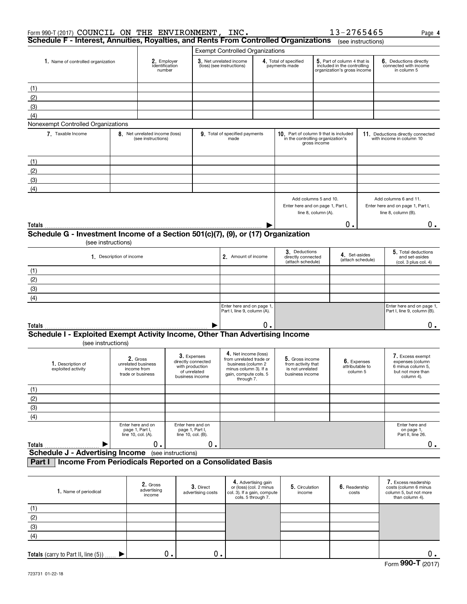| Form 990-T (2017) COUNCIL ON THE ENVIRONMENT, INC.                                                      |                                                                                   |                                                                    |                    |                                                                      |                                                                                                                         |                                                                                                     |                                                                              |              | 13-2765465                                                                                |                                            | Page 4                                                                                     |  |
|---------------------------------------------------------------------------------------------------------|-----------------------------------------------------------------------------------|--------------------------------------------------------------------|--------------------|----------------------------------------------------------------------|-------------------------------------------------------------------------------------------------------------------------|-----------------------------------------------------------------------------------------------------|------------------------------------------------------------------------------|--------------|-------------------------------------------------------------------------------------------|--------------------------------------------|--------------------------------------------------------------------------------------------|--|
| Schedule F - Interest, Annuities, Royalties, and Rents From Controlled Organizations (see instructions) |                                                                                   |                                                                    |                    |                                                                      |                                                                                                                         |                                                                                                     |                                                                              |              |                                                                                           |                                            |                                                                                            |  |
|                                                                                                         |                                                                                   |                                                                    |                    |                                                                      | <b>Exempt Controlled Organizations</b>                                                                                  |                                                                                                     |                                                                              |              |                                                                                           |                                            |                                                                                            |  |
| 1. Name of controlled organization                                                                      |                                                                                   | 2. Employer<br>identification<br>number                            |                    | 3. Net unrelated income<br>(loss) (see instructions)                 |                                                                                                                         |                                                                                                     | 4. Total of specified<br>payments made                                       |              | 5. Part of column 4 that is<br>included in the controlling<br>organization's gross income |                                            | 6. Deductions directly<br>connected with income<br>in column 5                             |  |
|                                                                                                         |                                                                                   |                                                                    |                    |                                                                      |                                                                                                                         |                                                                                                     |                                                                              |              |                                                                                           |                                            |                                                                                            |  |
| (1)                                                                                                     |                                                                                   |                                                                    |                    |                                                                      |                                                                                                                         |                                                                                                     |                                                                              |              |                                                                                           |                                            |                                                                                            |  |
| (2)                                                                                                     |                                                                                   |                                                                    |                    |                                                                      |                                                                                                                         |                                                                                                     |                                                                              |              |                                                                                           |                                            |                                                                                            |  |
| (3)                                                                                                     |                                                                                   |                                                                    |                    |                                                                      |                                                                                                                         |                                                                                                     |                                                                              |              |                                                                                           |                                            |                                                                                            |  |
| (4)                                                                                                     |                                                                                   |                                                                    |                    |                                                                      |                                                                                                                         |                                                                                                     |                                                                              |              |                                                                                           |                                            |                                                                                            |  |
| Nonexempt Controlled Organizations                                                                      |                                                                                   |                                                                    |                    |                                                                      |                                                                                                                         |                                                                                                     |                                                                              |              |                                                                                           |                                            |                                                                                            |  |
| 7. Taxable Income                                                                                       |                                                                                   | 8. Net unrelated income (loss)<br>(see instructions)               |                    |                                                                      | 9. Total of specified payments<br>made                                                                                  |                                                                                                     | 10. Part of column 9 that is included<br>in the controlling organization's   | gross income |                                                                                           |                                            | 11. Deductions directly connected<br>with income in column 10                              |  |
| (1)                                                                                                     |                                                                                   |                                                                    |                    |                                                                      |                                                                                                                         |                                                                                                     |                                                                              |              |                                                                                           |                                            |                                                                                            |  |
| (2)                                                                                                     |                                                                                   |                                                                    |                    |                                                                      |                                                                                                                         |                                                                                                     |                                                                              |              |                                                                                           |                                            |                                                                                            |  |
|                                                                                                         |                                                                                   |                                                                    |                    |                                                                      |                                                                                                                         |                                                                                                     |                                                                              |              |                                                                                           |                                            |                                                                                            |  |
| (3)                                                                                                     |                                                                                   |                                                                    |                    |                                                                      |                                                                                                                         |                                                                                                     |                                                                              |              |                                                                                           |                                            |                                                                                            |  |
| (4)                                                                                                     |                                                                                   |                                                                    |                    |                                                                      |                                                                                                                         |                                                                                                     |                                                                              |              |                                                                                           |                                            |                                                                                            |  |
|                                                                                                         | Add columns 5 and 10.<br>Enter here and on page 1, Part I,<br>line 8, column (A). |                                                                    |                    |                                                                      | Add columns 6 and 11.<br>Enter here and on page 1, Part I,<br>line 8, column (B).                                       |                                                                                                     |                                                                              |              |                                                                                           |                                            |                                                                                            |  |
| Totals                                                                                                  |                                                                                   |                                                                    |                    |                                                                      |                                                                                                                         |                                                                                                     |                                                                              |              | Ο.                                                                                        |                                            | 0.                                                                                         |  |
| Schedule G - Investment Income of a Section 501(c)(7), (9), or (17) Organization                        |                                                                                   |                                                                    |                    |                                                                      |                                                                                                                         |                                                                                                     |                                                                              |              |                                                                                           |                                            |                                                                                            |  |
|                                                                                                         | (see instructions)                                                                |                                                                    |                    |                                                                      |                                                                                                                         |                                                                                                     |                                                                              |              |                                                                                           |                                            |                                                                                            |  |
|                                                                                                         |                                                                                   |                                                                    |                    |                                                                      |                                                                                                                         |                                                                                                     | 3. Deductions                                                                |              |                                                                                           |                                            | 5. Total deductions                                                                        |  |
|                                                                                                         | 1. Description of income                                                          |                                                                    |                    |                                                                      | 2. Amount of income                                                                                                     |                                                                                                     | directly connected<br>(attach schedule)                                      |              | 4. Set-asides                                                                             | (attach schedule)                          | and set-asides<br>(col. 3 plus col. 4)                                                     |  |
| (1)                                                                                                     |                                                                                   |                                                                    |                    |                                                                      |                                                                                                                         |                                                                                                     |                                                                              |              |                                                                                           |                                            |                                                                                            |  |
| (2)                                                                                                     |                                                                                   |                                                                    |                    |                                                                      |                                                                                                                         |                                                                                                     |                                                                              |              |                                                                                           |                                            |                                                                                            |  |
| (3)                                                                                                     |                                                                                   |                                                                    |                    |                                                                      |                                                                                                                         |                                                                                                     |                                                                              |              |                                                                                           |                                            |                                                                                            |  |
| (4)                                                                                                     |                                                                                   |                                                                    |                    |                                                                      |                                                                                                                         |                                                                                                     |                                                                              |              |                                                                                           |                                            |                                                                                            |  |
|                                                                                                         |                                                                                   |                                                                    |                    |                                                                      | Enter here and on page 1,<br>Part I, line 9, column (A).                                                                |                                                                                                     |                                                                              |              |                                                                                           |                                            | Enter here and on page 1,<br>Part I, line 9, column (B).                                   |  |
| Totals                                                                                                  |                                                                                   |                                                                    |                    |                                                                      |                                                                                                                         | 0.                                                                                                  |                                                                              |              |                                                                                           |                                            | 0.                                                                                         |  |
| Schedule I - Exploited Exempt Activity Income, Other Than Advertising Income                            |                                                                                   |                                                                    |                    |                                                                      |                                                                                                                         |                                                                                                     |                                                                              |              |                                                                                           |                                            |                                                                                            |  |
| (see instructions)                                                                                      |                                                                                   |                                                                    |                    |                                                                      |                                                                                                                         |                                                                                                     |                                                                              |              |                                                                                           |                                            |                                                                                            |  |
| 1. Description of<br>exploited activity                                                                 |                                                                                   | 2. Gross<br>unrelated business<br>income from<br>trade or business |                    | 3. Expenses<br>directly connected<br>with production<br>of unrelated | 4. Net income (loss)<br>from unrelated trade or<br>business (column 2<br>minus column 3). If a<br>gain, compute cols. 5 |                                                                                                     | 5. Gross income<br>from activity that<br>is not unrelated<br>business income |              |                                                                                           | 6. Expenses<br>attributable to<br>column 5 | 7. Excess exempt<br>expenses (column<br>6 minus column 5,<br>but not more than             |  |
|                                                                                                         |                                                                                   |                                                                    |                    | business income                                                      | through 7.                                                                                                              |                                                                                                     |                                                                              |              |                                                                                           |                                            | column 4).                                                                                 |  |
| (1)                                                                                                     |                                                                                   |                                                                    |                    |                                                                      |                                                                                                                         |                                                                                                     |                                                                              |              |                                                                                           |                                            |                                                                                            |  |
| (2)                                                                                                     |                                                                                   |                                                                    |                    |                                                                      |                                                                                                                         |                                                                                                     |                                                                              |              |                                                                                           |                                            |                                                                                            |  |
| (3)                                                                                                     |                                                                                   |                                                                    |                    |                                                                      |                                                                                                                         |                                                                                                     |                                                                              |              |                                                                                           |                                            |                                                                                            |  |
| (4)                                                                                                     |                                                                                   |                                                                    |                    |                                                                      |                                                                                                                         |                                                                                                     |                                                                              |              |                                                                                           |                                            |                                                                                            |  |
|                                                                                                         |                                                                                   | Enter here and on<br>page 1, Part I,<br>line 10, col. (A).         | line 10, col. (B). | Enter here and on<br>page 1, Part I,                                 |                                                                                                                         |                                                                                                     |                                                                              |              |                                                                                           |                                            | Enter here and<br>on page 1,<br>Part II, line 26.                                          |  |
| Totals                                                                                                  |                                                                                   | 0.                                                                 |                    | 0.                                                                   |                                                                                                                         |                                                                                                     |                                                                              |              |                                                                                           |                                            | 0.                                                                                         |  |
| <b>Schedule J - Advertising Income</b> (see instructions)                                               |                                                                                   |                                                                    |                    |                                                                      |                                                                                                                         |                                                                                                     |                                                                              |              |                                                                                           |                                            |                                                                                            |  |
| Income From Periodicals Reported on a Consolidated Basis<br>Part I                                      |                                                                                   |                                                                    |                    |                                                                      |                                                                                                                         |                                                                                                     |                                                                              |              |                                                                                           |                                            |                                                                                            |  |
| 1. Name of periodical                                                                                   |                                                                                   | 2. Gross<br>advertising<br>income                                  |                    | 3. Direct<br>advertising costs                                       |                                                                                                                         | 4. Advertising gain<br>or (loss) (col. 2 minus<br>col. 3). If a gain, compute<br>cols. 5 through 7. | 5. Circulation<br>income                                                     |              | 6. Readership<br>costs                                                                    |                                            | 7. Excess readership<br>costs (column 6 minus<br>column 5, but not more<br>than column 4). |  |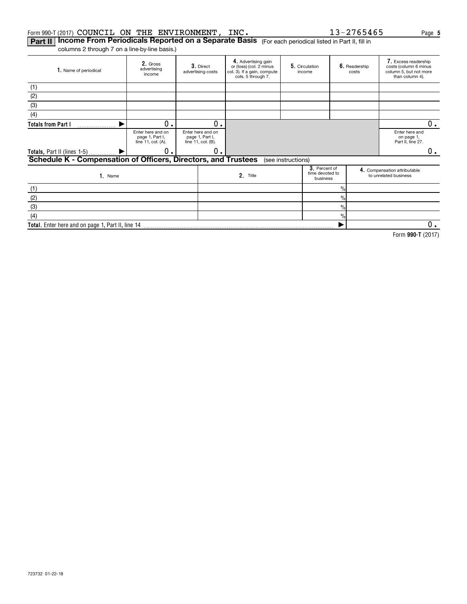#### Form 990-T (2017)  $\verb|COUNCIL|$   $\verb|ON THE ENVIROMMENT, INC. 13-2765465$  Page

**Part II | Income From Periodicals Reported on a Separate Basis** (For each periodical listed in Part II, fill in

columns 2 through 7 on a line-by-line basis.)

| 1. Name of periodical                                          | 2. Gross<br>advertising<br>income                          | 3. Direct<br>advertising costs                             | 4. Advertising gain<br>or (loss) (col. 2 minus<br>col. 3). If a gain, compute<br>cols. 5 through 7. | 5. Circulation<br>income                     |                | 6. Readership<br>costs | 7. Excess readership<br>costs (column 6 minus<br>column 5, but not more<br>than column 4). |
|----------------------------------------------------------------|------------------------------------------------------------|------------------------------------------------------------|-----------------------------------------------------------------------------------------------------|----------------------------------------------|----------------|------------------------|--------------------------------------------------------------------------------------------|
| (1)                                                            |                                                            |                                                            |                                                                                                     |                                              |                |                        |                                                                                            |
| (2)                                                            |                                                            |                                                            |                                                                                                     |                                              |                |                        |                                                                                            |
| (3)                                                            |                                                            |                                                            |                                                                                                     |                                              |                |                        |                                                                                            |
| (4)                                                            |                                                            |                                                            |                                                                                                     |                                              |                |                        |                                                                                            |
| <b>Totals from Part I</b>                                      | 0.                                                         | 0.                                                         |                                                                                                     |                                              |                |                        | $0$ .                                                                                      |
|                                                                | Enter here and on<br>page 1, Part I,<br>line 11, col. (A). | Enter here and on<br>page 1, Part I,<br>line 11, col. (B). |                                                                                                     |                                              |                |                        | Enter here and<br>on page 1,<br>Part II, line 27.                                          |
| <b>Totals, Part II (lines 1-5)</b>                             | О.                                                         | 0.                                                         |                                                                                                     |                                              |                |                        | 0.                                                                                         |
| Schedule K - Compensation of Officers, Directors, and Trustees |                                                            |                                                            |                                                                                                     | (see instructions)                           |                |                        |                                                                                            |
| 1. Name                                                        |                                                            |                                                            | 2. Title                                                                                            | 3. Percent of<br>time devoted to<br>business |                |                        | 4. Compensation attributable<br>to unrelated business                                      |
| (1)                                                            |                                                            |                                                            |                                                                                                     |                                              | $\frac{9}{6}$  |                        |                                                                                            |
| (2)                                                            |                                                            |                                                            |                                                                                                     |                                              | $\%$           |                        |                                                                                            |
| (3)                                                            |                                                            |                                                            |                                                                                                     |                                              | $\frac{0}{0}$  |                        |                                                                                            |
| (4)                                                            |                                                            |                                                            |                                                                                                     |                                              | $\frac{9}{10}$ |                        |                                                                                            |
| Total. Enter here and on page 1, Part II, line 14              |                                                            |                                                            |                                                                                                     |                                              |                |                        | 0.                                                                                         |

**990-T**  Form (2017)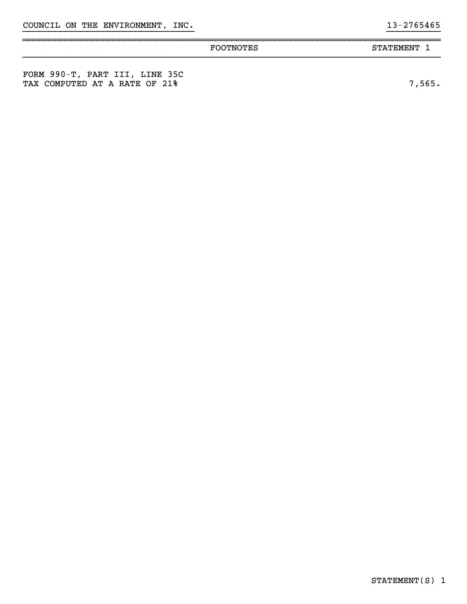|                                                                 | FOOTNOTES | STATEMENT 1 |
|-----------------------------------------------------------------|-----------|-------------|
| FORM 990-T, PART III, LINE 35C<br>TAX COMPUTED AT A RATE OF 21% |           | 7,565.      |

}}}}}}}}}}}}}}}}}}}}}}}}}}}}}}}} }}}}}}}}}}